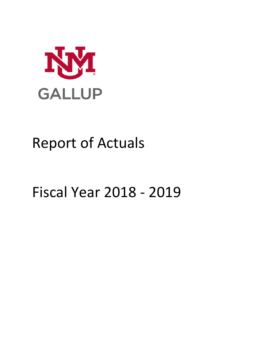

# Report of Actuals

# Fiscal Year 2018 - 2019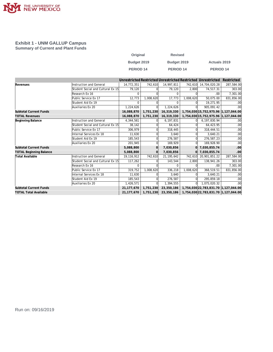

#### **Exhibit 1 - UNM GALLUP Campus Summary of Current and Plant Funds**

| Original         | <b>Revised</b>   |                     |
|------------------|------------------|---------------------|
| Budget 2019      | Budget 2019      | <b>Actuals 2019</b> |
| <b>PERIOD 14</b> | <b>PERIOD 14</b> | PERIOD 14           |

|                                |                                   |              |           |              |              | Unrestricted Restricted Unrestricted Restricted Unrestricted | Restricted       |
|--------------------------------|-----------------------------------|--------------|-----------|--------------|--------------|--------------------------------------------------------------|------------------|
| Revenues                       | Instruction and General           | 14,772,351   | 742,610   | 14,997,811   | 742,610      | 14,704,020.28                                                | 287,584.00       |
|                                | Student Social and Cultural Ex 15 | 79,120       |           | 79,120       | 2.800        | 74,517.31                                                    | 303.00           |
|                                | Research Ex 16                    | <sup>0</sup> |           | $\Omega$     |              | .00                                                          | 7,301.00         |
|                                | Public Service Ex 17              | 12,773       | 1,008,620 | 17,773       | 1,008,620    | 50,075.00                                                    | 831,856.00       |
|                                | Student Aid Ex 19                 | $\Omega$     |           | n            |              | 19,271.95                                                    | .00 <sub>1</sub> |
|                                | Auxiliaries Ex 20                 | 1,224,626    |           | 1,224,626    |              | 905.091.42                                                   | .00 <sub>1</sub> |
| <b>Subtotal Current Funds</b>  |                                   | 16,088,870   | 1,751,230 | 16,319,330   |              | 1,754,030 15,752,975.96 1,127,044.00                         |                  |
| <b>TOTAL Revenues</b>          |                                   | 16,088,870   | 1,751,230 | 16,319,330   |              | 1,754,030 15,752,975.96 1,127,044.00                         |                  |
| Beginning Balance              | Instruction and General           | 4,344,561    |           | 6,197,831    |              | 6,197,830.94                                                 | .00 <sub>1</sub> |
|                                | Student Social and Cultural Ex 15 | 38,142       |           | 64,424       |              | 64,423.95                                                    | .00 <sub>1</sub> |
|                                | Public Service Ex 17              | 306,979      |           | 318,445      |              | 318,444.51                                                   | .00              |
|                                | Internal Services Ex 18           | 11.630       |           | 3.640        |              | 3.640.21                                                     | .00 <sub>1</sub> |
|                                | Student Aid Ex 19                 | 185,543      |           | 276,587      |              | 276,587.23                                                   | .00              |
|                                | Auxiliaries Ex 20                 | 201,945      |           | 169.929      |              | 169.928.90                                                   | .00              |
| <b>Subtotal Current Funds</b>  |                                   | 5,088,800    |           | 7,030,856    |              | 7,030,855.74                                                 | .00              |
| <b>TOTAL Beginning Balance</b> |                                   | 5.088.800    | ΩI        | 7,030,856    | <sup>n</sup> | 7,030,855.74                                                 | .00 <sub>1</sub> |
| Total Available                | Instruction and General           | 19,116,912   | 742,610   | 21, 195, 642 | 742,610      | 20,901,851.22                                                | 287,584.00       |
|                                | Student Social and Cultural Ex 15 | 117,262      |           | 143,544      | 2,800        | 138,941.26                                                   | 303.00           |
|                                | Research Ex 16                    | n            |           | ∩            |              | .00                                                          | 7,301.00         |
|                                | Public Service Ex 17              | 319,752      | 1,008,620 | 336,218      | 1,008,620    | 368,519.51                                                   | 831,856.00       |
|                                | Internal Services Ex 18           | 11.630       |           | 3.640        |              | 3.640.21                                                     | .00 <sub>1</sub> |
|                                | Student Aid Ex 19                 | 185,543      |           | 276,587      |              | 295,859.18                                                   | .00 <sub>1</sub> |
|                                | Auxiliaries Ex 20                 | 1,426,571    |           | 1,394,555    |              | 1,075,020.32                                                 | .00 <sub>1</sub> |
| <b>Subtotal Current Funds</b>  |                                   | 21,177,670   | 1,751,230 | 23,350,186   |              | 1,754,030 22,783,831.70 1,127,044.00                         |                  |
| <b>TOTAL Total Available</b>   |                                   | 21,177,670   | 1,751,230 | 23,350,186   |              | 1,754,030 22,783,831.70 1,127,044.00                         |                  |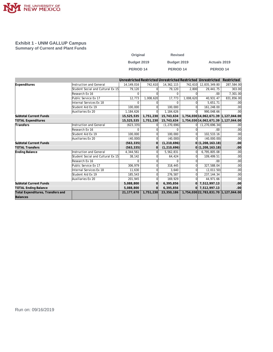

#### **Exhibit 1 - UNM GALLUP Campus Summary of Current and Plant Funds**

| Original             | <b>Revised</b> |                     |
|----------------------|----------------|---------------------|
| Budget 2019          | Budget 2019    | <b>Actuals 2019</b> |
| PERIOD <sub>14</sub> | PERIOD 14      | <b>PERIOD 14</b>    |

|                                   |                                   |              |           |               |           | Unrestricted Restricted Unrestricted Restricted Unrestricted | Restricted       |
|-----------------------------------|-----------------------------------|--------------|-----------|---------------|-----------|--------------------------------------------------------------|------------------|
| Expenditures                      | Instruction and General           | 14.149.016   | 742,610   | 14,362,115    | 742.610   | 12,835,349.80                                                | 287,584.00       |
|                                   | Student Social and Cultural Ex 15 | 79,120       |           | 79,120        | 2,800     | 29,441.75                                                    | 303.00           |
|                                   | Research Ex 16                    | <sup>n</sup> |           | $\Omega$      |           | .00.                                                         | 7,301.00         |
|                                   | Public Service Ex 17              | 12,773       | 1,008,620 | 17,773        | 1,008,620 | 40,931.47                                                    | 831,856.00       |
|                                   | Internal Services Ex 18           |              |           |               |           | 5.651.71                                                     | .00 <sub>1</sub> |
|                                   | Student Aid Ex 19                 | 100,000      |           | 100,000       |           | 161,248.00                                                   | .00 <sub>1</sub> |
|                                   | Auxiliaries Ex 20                 | 1,184,626    |           | 1,184,626     |           | 990,048.66                                                   | .00              |
| <b>Subtotal Current Funds</b>     |                                   | 15,525,535   | 1,751,230 | 15,743,634    |           | 1,754,030 14,062,671.39 1,127,044.00                         |                  |
| <b>TOTAL Expenditures</b>         |                                   | 15,525,535   | 1,751,230 | 15,743,634    |           | 1,754,030 14,062,671.39 1,127,044.00                         |                  |
| Transfers                         | Instruction and General           | (623, 335)   |           | (1, 270, 696) |           | (1, 270, 696, 34)                                            | .00 <sub>l</sub> |
|                                   | Research Ex 16                    |              |           | U             |           | .00.                                                         | .00              |
|                                   | Student Aid Ex 19                 | 100,000      |           | 100.000       |           | 102,533.16                                                   | .00 <sub>1</sub> |
|                                   | Auxiliaries Ex 20                 | (40,000)     |           | (40,000)      |           | (40,000.00)                                                  | .00 <sub>1</sub> |
| <b>Subtotal Current Funds</b>     |                                   | (563, 335)   |           | (1, 210, 696) |           | $ 0 $ (1,208,163.18)                                         | .00              |
| <b>TOTAL Transfers</b>            |                                   | (563, 335)   |           | (1, 210, 696) |           | 0(1, 208, 163.18)                                            | .00              |
| Ending Balance                    | Instruction and General           | 4,344,561    |           | 5,562,831     | ΩI        | 6,795,805.08                                                 | .00              |
|                                   | Student Social and Cultural Ex 15 | 38.142       |           | 64,424        |           | 109,499.51                                                   | .00              |
|                                   | Research Ex 16                    |              |           |               |           | .00                                                          | .00 <sub>1</sub> |
|                                   | Public Service Ex 17              | 306,979      |           | 318,445       |           | 327,588.04                                                   | .00              |
|                                   | Internal Services Ex 18           | 11,630       |           | 3.640         |           | (2,011.50)                                                   | .00 <sub>1</sub> |
|                                   | Student Aid Ex 19                 | 185,543      |           | 276,587       |           | 237, 144. 34                                                 | .00 <sub>1</sub> |
|                                   | Auxiliaries Ex 20                 | 201,945      |           | 169,929       |           | 44,971.66                                                    | .00 <sub>1</sub> |
| <b>Subtotal Current Funds</b>     |                                   | 5,088,800    |           | 6,395,856     |           | 7,512,997.13                                                 | .00              |
| <b>TOTAL Ending Balance</b>       |                                   | 5,088,800    |           | 6,395,856     |           | 0 7,512,997.13                                               | .00 <sub>1</sub> |
| Total Expenditures, Transfers and |                                   | 21,177,670   | 1,751,230 | 23,350,186    |           | 1,754,030 22,783,831.70 1,127,044.00                         |                  |
| Balances                          |                                   |              |           |               |           |                                                              |                  |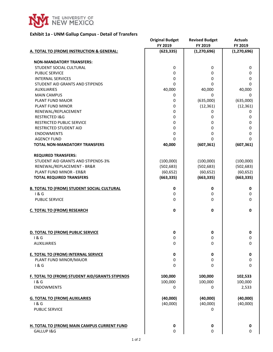

#### **Exhibit 1a - UNM Gallup Campus - Detail of Transfers**

| FY 2019<br>FY 2019<br>FY 2019<br>(623, 335)<br>(1, 270, 696)<br>A. TOTAL TO (FROM) INSTRUCTION & GENERAL: | (1, 270, 696) |
|-----------------------------------------------------------------------------------------------------------|---------------|
|                                                                                                           |               |
|                                                                                                           |               |
| <b>NON-MANDATORY TRANSFERS:</b>                                                                           |               |
| STUDENT SOCIAL CULTURAL<br>0<br>0                                                                         | 0             |
| PUBLIC SERVICE<br>0<br>0                                                                                  | 0             |
| <b>INTERNAL SERVICES</b><br>0<br>0                                                                        | 0             |
| 0<br>STUDENT AID GRANTS AND STIPENDS<br>0                                                                 | 0             |
| 40,000<br>40,000<br><b>AUXILIARIES</b>                                                                    | 40,000        |
| <b>MAIN CAMPUS</b><br>$\mathbf 0$<br>0                                                                    | 0             |
| PLANT FUND MAJOR<br>(635,000)<br>0                                                                        | (635,000)     |
| PLANT FUND MINOR<br>0<br>(12, 361)                                                                        | (12, 361)     |
| RENEWAL/REPLACEMENT<br>0<br>0                                                                             | 0             |
| <b>RESTRICTED I&amp;G</b><br>0<br>0                                                                       | 0             |
| RESTRICTED PUBLIC SERVICE<br>0<br>0                                                                       | 0             |
| <b>RESTRICTED STUDENT AID</b><br>0<br>0                                                                   | 0             |
| <b>ENDOWMENTS</b><br>0<br>0                                                                               | 0             |
| <b>AGENCY FUND</b><br>0<br>0                                                                              | 0             |
| <b>TOTAL NON-MANDATORY TRANSFERS</b><br>40,000<br>(607, 361)                                              | (607, 361)    |
|                                                                                                           |               |
| <b>REQUIRED TRANSFERS:</b>                                                                                |               |
| STUDENT AID GRANTS AND STIPENDS-3%<br>(100,000)<br>(100,000)                                              | (100,000)     |
| RENEWAL/REPLACEMENT - BR&R<br>(502, 683)<br>(502, 683)                                                    | (502, 683)    |
| PLANT FUND MINOR - ER&R<br>(60, 652)<br>(60, 652)                                                         | (60, 652)     |
| (663, 335)<br><b>TOTAL REQUIRED TRANSFERS</b><br>(663, 335)                                               | (663, 335)    |
|                                                                                                           |               |
| <b>B. TOTAL TO (FROM) STUDENT SOCIAL CULTURAL</b><br>0<br>0                                               | 0             |
| 1&G<br>0<br>0                                                                                             | 0             |
| <b>PUBLIC SERVICE</b><br>0<br>0                                                                           | 0             |
|                                                                                                           |               |
| 0<br><b>C. TOTAL TO (FROM) RESEARCH</b><br>0                                                              | 0             |
|                                                                                                           |               |
|                                                                                                           |               |
|                                                                                                           |               |
| 0<br>0<br>D. TOTAL TO (FROM) PUBLIC SERVICE                                                               | 0             |
| 1 & G<br>0<br>0                                                                                           | 0             |
| 0<br>0<br><b>AUXILIARIES</b>                                                                              | $\Omega$      |
|                                                                                                           |               |
| <b>E. TOTAL TO (FROM) INTERNAL SERVICE</b><br>$\mathbf 0$<br>0                                            | 0             |
| PLANT FUND MINOR/MAJOR<br>0<br>0                                                                          | 0             |
| 1&6<br>0<br>0                                                                                             | 0             |
|                                                                                                           |               |
| 100,000<br>F. TOTAL TO (FROM) STUDENT AID/GRANTS STIPENDS<br>100,000                                      | 102,533       |
| 1&6<br>100,000<br>100,000                                                                                 | 100,000       |
| <b>ENDOWMENTS</b><br>0<br>0                                                                               | 2,533         |
|                                                                                                           |               |
| <b>G. TOTAL TO (FROM) AUXILARIES</b><br>(40,000)<br>(40,000)                                              | (40,000)      |
| (40,000)<br>(40,000)<br>1&G                                                                               | (40,000)      |
| <b>PUBLIC SERVICE</b><br>0                                                                                |               |
|                                                                                                           |               |
|                                                                                                           |               |
| H. TOTAL TO (FROM) MAIN CAMPUS CURRENT FUND<br>0<br>0                                                     | 0             |
| GALLUP I&G<br>0<br>0                                                                                      | 0             |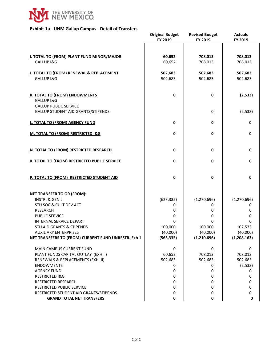

#### **Exhibit 1a - UNM Gallup Campus - Detail of Transfers**

|                                                     | <b>Original Budget</b> | <b>Revised Budget</b> | <b>Actuals</b> |
|-----------------------------------------------------|------------------------|-----------------------|----------------|
|                                                     | FY 2019                | FY 2019               | FY 2019        |
|                                                     |                        |                       |                |
| <b>I. TOTAL TO (FROM) PLANT FUND MINOR/MAJOR</b>    | 60,652                 | 708,013               | 708,013        |
| GALLUP I&G                                          | 60,652                 | 708,013               | 708,013        |
|                                                     |                        |                       |                |
| J. TOTAL TO (FROM) RENEWAL & REPLACEMENT            | 502,683                | 502,683               | 502,683        |
| GALLUP I&G                                          | 502,683                | 502,683               | 502,683        |
|                                                     |                        |                       |                |
| K. TOTAL TO (FROM) ENDOWMENTS                       | 0                      | 0                     | (2, 533)       |
| GALLUP I&G                                          |                        |                       |                |
| <b>GALLUP PUBLIC SERVICE</b>                        |                        |                       |                |
| <b>GALLUP STUDENT AID GRANTS/STIPENDS</b>           |                        | 0                     | (2, 533)       |
|                                                     |                        |                       |                |
| L. TOTAL TO (FROM) AGENCY FUND                      | 0                      | $\pmb{0}$             | $\mathbf 0$    |
| M. TOTAL TO (FROM) RESTRICTED I&G                   | 0                      | $\mathbf 0$           | $\mathbf 0$    |
|                                                     |                        |                       |                |
|                                                     |                        |                       |                |
| N. TOTAL TO (FROM) RESTRICTED RESEARCH              | 0                      | 0                     | 0              |
| <b>0. TOTAL TO (FROM) RESTRICTED PUBLIC SERVICE</b> | 0                      | $\mathbf 0$           | 0              |
|                                                     |                        |                       |                |
| P. TOTAL TO (FROM) RESTRICTED STUDENT AID           | 0                      | 0                     | $\mathbf 0$    |
|                                                     |                        |                       |                |
|                                                     |                        |                       |                |
| <b>NET TRANSFER TO OR (FROM):</b>                   |                        |                       |                |
| INSTR. & GEN'L                                      | (623, 335)             | (1, 270, 696)         | (1, 270, 696)  |
| STU SOC & CULT DEV ACT                              | 0                      | 0                     | 0              |
| <b>RESEARCH</b><br><b>PUBLIC SERVICE</b>            | 0                      | 0                     | 0              |
| INTERNAL SERVICE DEPART                             | 0<br>0                 | 0<br>0                | 0<br>$\Omega$  |
| <b>STU AID GRANTS &amp; STIPENDS</b>                | 100,000                | 100,000               | 102,533        |
| <b>AUXILIARY ENTERPRISES</b>                        | (40,000)               | (40,000)              | (40,000)       |
| NET TRANSFERS TO (FROM) CURRENT FUND UNRESTR. Exh 1 | (563, 335)             | (1, 210, 696)         | (1,208,163)    |
|                                                     |                        |                       |                |
| MAIN CAMPUS CURRENT FUND                            | 0                      | 0                     | 0              |
| PLANT FUNDS CAPITAL OUTLAY (EXH. I)                 | 60,652                 | 708,013               | 708,013        |
| RENEWALS & REPLACEMENTS (EXH. II)                   | 502,683                | 502,683               | 502,683        |
| <b>ENDOWMENTS</b>                                   | 0                      | 0                     | (2, 533)       |
| <b>AGENCY FUND</b>                                  | 0                      | 0                     | 0              |
| <b>RESTRICTED I&amp;G</b>                           | 0                      | 0                     | 0              |
| RESTRICTED RESEARCH                                 | 0                      | 0                     | 0              |
| RESTRICTED PUBLIC SERVICE                           | 0                      | 0                     | 0              |
| RESTRICTED STUDENT AID GRANTS/STIPENDS              | 0                      | 0                     | 0              |
| <b>GRAND TOTAL NET TRANSFERS</b>                    | 0                      | 0                     | 0              |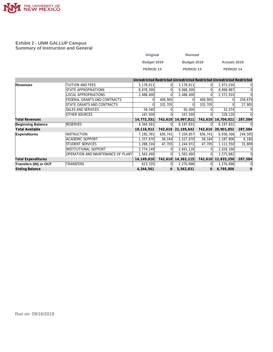

#### **Exhibit 2 - UNM GALLUP Campus Summary of Instruction and General**

| Original         | <b>Revised</b> |                      |
|------------------|----------------|----------------------|
| Budget 2019      | Budget 2019    | <b>Actuals 2019</b>  |
| <b>PERIOD 14</b> | PERIOD 14      | PERIOD <sub>14</sub> |

|                              |                                    |              |          |              |          | Unrestricted Restricted Unrestricted Restricted Unrestricted Restricted |          |
|------------------------------|------------------------------------|--------------|----------|--------------|----------|-------------------------------------------------------------------------|----------|
| Revenues                     | TUITION AND FEES                   | 3,178,611    | $\Omega$ | 3,178,611    | ΩI       | 2,972,030                                                               | 0        |
|                              | STATE APPROPRIATIONS               | 8,878,300    |          | 9,068,300    |          | 8,898,887                                                               | $\Omega$ |
|                              | LOCAL APPROPRIATIONS               | 2,488,400    |          | 2,488,400    |          | 2,571,910                                                               | $\Omega$ |
|                              | FEDERAL GRANTS AND CONTRACTS       |              | 409,905  | 0            | 409,905  |                                                                         | 259,679  |
|                              | STATE GRANTS AND CONTRACTS         |              | 332,705  |              | 332,705  |                                                                         | 27,905   |
|                              | SALES AND SERVICES                 | 59,540       | $\Omega$ | 95,000       |          | 32,074                                                                  | 0        |
|                              | <b>OTHER SOURCES</b>               | 167,500      |          | 167,500      |          | 229,120                                                                 | $\Omega$ |
| <b>Total Revenues</b>        |                                    | 14,772,351   | 742,610  | 14,997,811   | 742,610  | 14,704,021                                                              | 287,584  |
| <b>Beginning Balance</b>     | <b>RESERVES</b>                    | 4,344,561    | $\Omega$ | 6,197,831    | ΩI       | 6,197,831                                                               | 0        |
| <b>Total Available</b>       |                                    | 19,116,912   | 742,610  | 21, 195, 642 | 742,610  | 20,901,852                                                              | 287,584  |
| <b>Expenditures</b>          | <b>INSTRUCTION</b>                 | 7,185,391    | 656,741  | 7,334,857    | 656,741  | 6,936,166                                                               | 249,595  |
|                              | <b>ACADEMIC SUPPORT</b>            | 1,337,670    | 38,164   | 1,527,670    | 38,164   | 1,187,806                                                               | 6,180    |
|                              | <b>STUDENT SERVICES</b>            | 1,288,316    | 47,705   | 1,244,972    | 47,705   | 1,111,550                                                               | 31,809   |
|                              | INSTITUTIONAL SUPPORT              | 2,774,149    |          | 2,691,126    |          | 2,026,166                                                               | 0        |
|                              | OPERATION AND MAINTENANCE OF PLANT | 1,563,490    |          | 1,563,490    |          | 1,573,662                                                               | $\Omega$ |
| <b>Total Expenditures</b>    |                                    | 14, 149, 016 | 742,610  | 14, 362, 115 | 742,610  | 12,835,350                                                              | 287,584  |
| <b>Transfers (IN) or OUT</b> | TRANSFERS                          | 623,335      |          | 1,270,696    |          | 1,270,696                                                               | 0        |
| <b>Ending Balance</b>        |                                    | 4,344,561    | 0        | 5,562,831    | $\Omega$ | 6,795,806                                                               | $\Omega$ |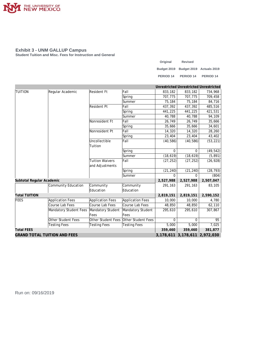

**Student Tuition and Misc. Fees for Instruction and General**

| Original             | <b>Revised</b>                       |                      |
|----------------------|--------------------------------------|----------------------|
|                      | Budget 2019 Budget 2019 Actuals 2019 |                      |
| PERIOD <sub>14</sub> | PERIOD <sub>14</sub>                 | PERIOD <sub>14</sub> |

|                                     |                         |                         |                         |           | Unrestricted Unrestricted Unrestricted |           |
|-------------------------------------|-------------------------|-------------------------|-------------------------|-----------|----------------------------------------|-----------|
| <b>TUITION</b>                      | Regular Academic        | Resident Ft             | Fall                    | 833,182   | 833,182                                | 734,968   |
|                                     |                         |                         | Spring                  | 707,775   | 707,775                                | 709,458   |
|                                     |                         |                         | Summer                  | 75,184    | 75,184                                 | 84,716    |
|                                     |                         | <b>Resident Pt</b>      | Fall                    | 437,392   | 437,392                                | 485,516   |
|                                     |                         |                         | Spring                  | 441,225   | 441,225                                | 421,531   |
|                                     |                         |                         | Summer                  | 40,788    | 40,788                                 | 94,109    |
|                                     |                         | Nonresident Ft          | Fall                    | 26,749    | 26,749                                 | 35,666    |
|                                     |                         |                         | Spring                  | 35,666    | 35,666                                 | 34,601    |
|                                     |                         | Nonresident Pt          | Fall                    | 14,320    | 14,320                                 | 28,260    |
|                                     |                         |                         | Spring                  | 23,404    | 23,404                                 | 43,402    |
|                                     |                         | Uncollectible           | Fall                    | (40, 586) | (40, 586)                              | (53, 221) |
|                                     |                         | Tuition                 |                         |           |                                        |           |
|                                     |                         |                         | Spring                  | $\Omega$  | 0                                      | (49, 542) |
|                                     |                         | Summer                  | (18, 619)               | (18, 619) | (5, 891)                               |           |
|                                     |                         | <b>Tuition Waivers</b>  | Fall                    | (27, 252) | (27, 252)                              | (26, 928) |
|                                     |                         | and Adjustments         |                         |           |                                        |           |
|                                     |                         |                         | Spring                  | (21, 240) | (21, 240)                              | (28, 793) |
|                                     |                         |                         | Summer                  | $\Omega$  | $\Omega$                               | (804)     |
| Subtotal Regular Academic           |                         |                         |                         | 2,527,988 | 2,527,988                              | 2,507,047 |
|                                     | Community Education     | Community               | Community               | 291,163   | 291,163                                | 83,105    |
|                                     |                         | Education               | Education               |           |                                        |           |
| <b>Total TUITION</b>                |                         |                         |                         | 2,819,151 | 2,819,151                              | 2,590,152 |
| FEES                                | <b>Application Fees</b> | <b>Application Fees</b> | <b>Application Fees</b> | 10,000    | 10,000                                 | 4,780     |
|                                     | Course Lab Fees         | Course Lab Fees         | Course Lab Fees         | 48,850    | 48,850                                 | 62,110    |
|                                     | Mandatory Student Fees  | Mandatory Student       | Mandatory Student       | 295,610   | 295,610                                | 307,867   |
|                                     |                         | Fees                    | Fees                    |           |                                        |           |
|                                     | Other Student Fees      | Other Student Fees      | Other Student Fees      | $\Omega$  | $\Omega$                               | 95        |
|                                     | <b>Testing Fees</b>     | <b>Testing Fees</b>     | <b>Testing Fees</b>     | 5,000     | 5,000                                  | 7,025     |
| <b>Total FEES</b>                   |                         |                         |                         |           | 359,460                                | 381,877   |
| <b>GRAND TOTAL TUITION AND FEES</b> |                         |                         |                         |           | 3,178,611 3,178,611 2,972,030          |           |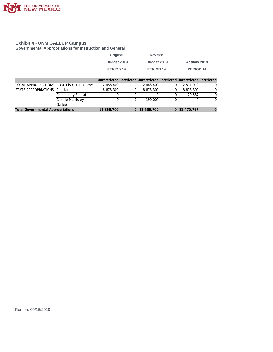

**Governmental Appropriations for Instruction and General**

| Original    | <b>Revised</b> |                      |
|-------------|----------------|----------------------|
| Budget 2019 | Budget 2019    | <b>Actuals 2019</b>  |
| PERIOD 14   | PERIOD 14      | PERIOD <sub>14</sub> |

|                                              |                     |            |            | Unrestricted Restricted Unrestricted Restricted Unrestricted Restricted |    |
|----------------------------------------------|---------------------|------------|------------|-------------------------------------------------------------------------|----|
| LOCAL APPROPRIATIONS Local District Tax Levy |                     | 2.488.400  | 2,488,400  | 2,571,910                                                               |    |
| STATE APPROPRIATIONS Regular                 |                     | 8,878,300  | 8,878,300  | 8,878,300                                                               |    |
|                                              | Community Education |            |            | 20,587                                                                  |    |
|                                              | Charlie Morrissey - |            | 190.000    |                                                                         | 0I |
|                                              | Gallup              |            |            |                                                                         |    |
| <b>Total Governmental Appropriations</b>     |                     | 11,366,700 | 11,556,700 | 0 11,470,797                                                            |    |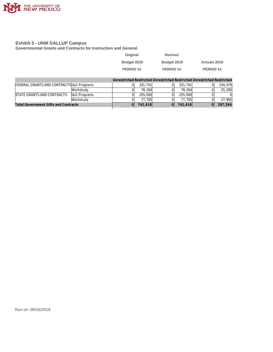

**Governmental Grants and Contracts for Instruction and General**

| Original             | <b>Revised</b>       |              |
|----------------------|----------------------|--------------|
| Budget 2019          | Budget 2019          | Actuals 2019 |
| PERIOD <sub>14</sub> | PERIOD <sub>14</sub> | PERIOD 14    |

|                                             |                         |         |         | Unrestricted Restricted Unrestricted Restricted Unrestricted Restricted |          |
|---------------------------------------------|-------------------------|---------|---------|-------------------------------------------------------------------------|----------|
| FEDERAL GRANTS AND CONTRACTS 1& G Programs  |                         | 331,741 | 331,741 | $\Omega$                                                                | 234,479  |
|                                             | Workstudy               | 78.164  | 78.164  |                                                                         | 25,200   |
| <b>ISTATE GRANTS AND CONTRACTS</b>          | <b>I&amp;G Programs</b> | 255,000 | 255,000 |                                                                         | $\Omega$ |
|                                             | Workstudy               | 77.705  | 77.705  |                                                                         | 27.905   |
| <b>Total Government Gifts and Contracts</b> | 742,610                 | 742,610 |         | 287,584                                                                 |          |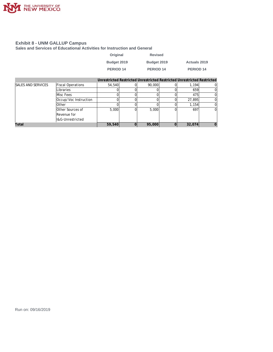

**Sales and Services of Educational Activities for Instruction and General**

| Original    | <b>Revised</b> |                     |
|-------------|----------------|---------------------|
| Budget 2019 | Budget 2019    | <b>Actuals 2019</b> |
| PERIOD 14   | PERIOD 14      | PERIOD 14           |

|                           |                          | Unrestricted Restricted Unrestricted Restricted Unrestricted Restricted |        |        |        |  |
|---------------------------|--------------------------|-------------------------------------------------------------------------|--------|--------|--------|--|
| <b>SALES AND SERVICES</b> | <b>Fiscal Operations</b> | 54,540                                                                  |        | 90,000 | 1.194  |  |
|                           | Libraries                |                                                                         |        |        | 659    |  |
|                           | Misc Fees                |                                                                         |        |        | 475    |  |
|                           | Occup/Voc Instruction    |                                                                         |        |        | 27,895 |  |
|                           | <b>Other</b>             |                                                                         |        |        | 1.154  |  |
|                           | <b>Other Sources of</b>  | 5,000                                                                   |        | 5,000  | 697    |  |
|                           | Revenue for              |                                                                         |        |        |        |  |
|                           | ll&G-Unrestricted        |                                                                         |        |        |        |  |
| Total                     | 59,540                   | 0                                                                       | 95,000 | 32,074 |        |  |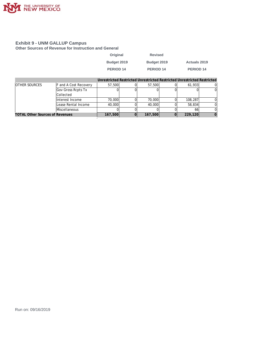

**Other Sources of Revenue for Instruction and General**

| Original         | <b>Revised</b> |                     |
|------------------|----------------|---------------------|
| Budget 2019      | Budget 2019    | <b>Actuals 2019</b> |
| <b>PERIOD 14</b> | PERIOD 14      | PERIOD 14           |

|                                        |                              |         | Unrestricted Restricted Unrestricted Restricted Unrestricted Restricted |         |  |
|----------------------------------------|------------------------------|---------|-------------------------------------------------------------------------|---------|--|
| <b>OTHER SOURCES</b>                   | <b>F</b> and A Cost Recovery | 57,500  | 57,500                                                                  | 61.933  |  |
|                                        | Gov Gross Rcpts Tx           |         |                                                                         |         |  |
|                                        | <b>Collected</b>             |         |                                                                         |         |  |
|                                        | Interest Income              | 70,000  | 70,000                                                                  | 108,287 |  |
|                                        | Lease Rental Income          | 40,000  | 40,000                                                                  | 58,834  |  |
|                                        | Miscellaneous                |         |                                                                         | 66      |  |
| <b>TOTAL Other Sources of Revenues</b> | 167,500                      | 167,500 | 229,120                                                                 |         |  |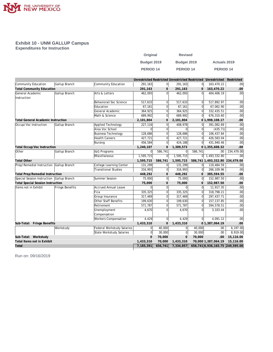

**Exhibit 10 - UNM GALLUP Campus Expenditures for Instruction**

| Original    | <b>Revised</b>       |                     |
|-------------|----------------------|---------------------|
| Budget 2019 | Budget 2019          | <b>Actuals 2019</b> |
| PERIOD 14   | PERIOD <sub>14</sub> | PERIOD 14           |

|                                           |                 |                             |                |                |                |                | Unrestricted Restricted Unrestricted Restricted Unrestricted | Restricted       |
|-------------------------------------------|-----------------|-----------------------------|----------------|----------------|----------------|----------------|--------------------------------------------------------------|------------------|
| Community Education                       | Gallup Branch   | Community Education         | 291,163        | $\Omega$       | 291,163        | 0              | 163,470.22                                                   | .00              |
| <b>Total Community Education</b>          |                 |                             | 291,163        | $\mathbf{0}$   | 291,163        | $\mathbf{0}$   | 163,470.22                                                   | .00              |
| General Academic                          | Gallup Branch   | Arts & Letters              | 462,093        | $\Omega$       | 462,093        | ΩI             | 404,406.19                                                   | .00 <sub>l</sub> |
| Instruction                               |                 |                             |                |                |                |                |                                                              |                  |
|                                           |                 | Behavioral/Soc Science      | 517,633        | $\Omega$       | 517,633        | $\Omega$       | 517,892.97                                                   | .00              |
|                                           |                 | Education                   | 67,161         | $\Omega$       | 67,161         | $\Omega$       | 67,062.90                                                    | .00              |
|                                           |                 | General Academic            | 364,925        | $\Omega$       | 364,925        | $\Omega$       | 332,435.51                                                   | .00              |
|                                           |                 | Math & Science              | 689,992        | 0              | 689,992        | $\mathbf 0$    | 676,310.60                                                   | .00 <sub>l</sub> |
| <b>Total General Academic Instruction</b> |                 |                             | 2,101,804      | $\mathbf 0$    | 2,101,804      |                | 01,998,108.17                                                | .00              |
| Occup/Voc Instruction                     | Gallup Branch   | Applied Technology          | 227,116        | $\Omega$       | 408,978        | $\Omega$       | 391,082.69                                                   | .00              |
|                                           |                 | Area Voc School             | $\Omega$       | $\Omega$       | $\Omega$       | $\Omega$       | (435.71)                                                     | .00              |
|                                           |                 | <b>Business Technology</b>  | 128,686        | 0              | 128,686        | $\Omega$       | 106,437.84                                                   | .00              |
|                                           |                 | <b>Health Careers</b>       | 427,721        | $\Omega$       | 427,721        | $\Omega$       | 426,583.04                                                   | .00              |
|                                           |                 | Nursing                     | 456,584        | $\Omega$       | 424,188        | $\overline{0}$ | 431,940.46                                                   | .00              |
| <b>Total Occup/Voc Instruction</b>        |                 |                             | 1,240,107      | $\mathbf 0$    | 1,389,573      |                | 01,355,608.32                                                | .00              |
| <b>Other</b>                              | Gallup Branch   | I&G Programs                | $\overline{0}$ | 586,741        | 0              | 586,741        | .00 <sub>1</sub>                                             | 234,479.00       |
|                                           |                 | Miscellaneous               | 1,595,715      | $\mathbf 0$    | 1,595,715      | 01             | 1,493,332.80                                                 | .00 <sub>1</sub> |
| <b>Total Other</b>                        |                 |                             | 1,595,715      | 586,741        | 1,595,715      |                | 586,741 1,493,332.80 234,479.00                              |                  |
| Prep/Remedial Instruction Gallup Branch   |                 | College Learning Center     | 131,299        | $\Omega$       | 131,299        | 0l             | 119,484.59                                                   | .00              |
|                                           |                 | <b>Transitional Studies</b> | 316,993        | $\Omega$       | 316,993        | $\Omega$       | 266,109.96                                                   | .00              |
| <b>Total Prep/Remedial Instruction</b>    |                 |                             | 448,292        | $\mathbf{0}$   | 448,292        | $\mathbf{0}$   | 385,594.55                                                   | .00              |
| Special Session Instruction Gallup Branch |                 | Summer Session              | 75,000         | $\overline{0}$ | 75,000         | $\Omega$       | 152,987.50                                                   | .00              |
| <b>Total Special Session Instruction</b>  |                 |                             | 75,000         | $\mathbf{O}$   | 75,000         | $\mathbf{0}$   | 152,987.50                                                   | .00              |
| Items not in Exhibit                      | Fringe Benefits | <b>Accrued Annual Leave</b> | $\Omega$       | $\Omega$       | $\mathbf 0$    | $\Omega$       | 11,917.35                                                    | .00              |
|                                           |                 | Fica                        | 335,325        | $\Omega$       | 335,325        | $\Omega$       | 318,798.21                                                   | .00              |
|                                           |                 | Group Insurance             | 317,469        | $\mathbf 0$    | 317,469        | $\mathbf{0}$   | 297,437.71                                                   | .00              |
|                                           |                 | Other Staff Benefits        | 199,630        | $\mathbf 0$    | 199,630        | $\mathbf{0}$   | 157, 137.85                                                  | .00              |
|                                           |                 | Retirement                  | 571,787        | $\Omega$       | 571,787        | $\Omega$       | 594,578.51                                                   | .00              |
|                                           |                 | Unemployment                | 4.670          | $\Omega$       | 4,670          | 0              | 3,103.44                                                     | .00              |
|                                           |                 | Compensation                |                |                |                |                |                                                              |                  |
|                                           |                 | <b>Workers Compensation</b> | 4,429          | $\mathbf 0$    | 4,429          | 0l             | 4,091.12                                                     | .00              |
| Sub-Total: Fringe Benefits                |                 |                             | 1,433,310      | $\mathbf{0}$   | 1,433,310      |                | 01,387,064.19                                                | .00              |
|                                           | Workstudy       | Federal Workstudy Salaries  | $\Omega$       | 40,000         | 0              | 40,000         | .00.                                                         | 6,197.00         |
|                                           |                 | State Workstudy Salaries    | 0              | 30,000         | $\overline{0}$ | 30,000         | .00                                                          | 8,919.00         |
| Sub-Total: Workstudy                      |                 |                             | $\mathbf{0}$   | 70,000         | $\mathbf{0}$   | 70,000         | .00                                                          | 15,116.00        |
| Total Items not in Exhibit                |                 |                             | 1,433,310      | 70,000         | 1,433,310      |                | 70,000 1,387,064.19                                          | 15,116.00        |
| Total                                     |                 |                             | 7,185,391      | 656,741        | 7,334,857      |                | 656,741 6,936,165.75 249,595.00                              |                  |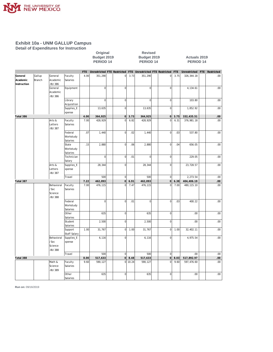

**Detail of Expenditures for Instruction**

| Original         |  |
|------------------|--|
| 3udget 2019      |  |
| <b>PERIOD 14</b> |  |

**Revised Budget 2019 Budget 2019 Actuals 2019 PERIOD 14 PERIOD 14 PERIOD 14**

|                     |                         |                     |                     | <b>FTE</b> | Unrestricted FTE Restricted |                |       | FTE Unrestricted FTE Restricted |                     | <b>FTE</b> | Unrestricted | FTE Restricted |
|---------------------|-------------------------|---------------------|---------------------|------------|-----------------------------|----------------|-------|---------------------------------|---------------------|------------|--------------|----------------|
| General<br>Academic | Gallup<br><b>Branch</b> | General<br>Academic | Faculty<br>Salaries | 4.00       | 351,290                     | $\circ$        | 3.73  | 351,290                         | $\mathbf 0$         | 3.75       | 326, 344. 18 | .00            |
| Instruction         |                         | <b>BU 386</b>       |                     |            |                             |                |       |                                 |                     |            |              |                |
|                     |                         | General             | Equipment           |            | $\overline{0}$              | $\mathbf 0$    |       | $\mathbf 0$                     | $\mathbf 0$         |            | 4,134.61     | .00            |
|                     |                         | Academic            |                     |            |                             |                |       |                                 |                     |            |              |                |
|                     |                         | <b>BU 386</b>       |                     |            |                             |                |       |                                 |                     |            |              |                |
|                     |                         |                     | Library             |            | $\overline{0}$              | $\overline{0}$ |       | $\overline{0}$                  | $\overline{0}$      |            | 103.80       | .00            |
|                     |                         |                     | Acquisition         |            |                             |                |       |                                 |                     |            |              |                |
|                     |                         |                     | Supplies_E          |            | 13,635                      | $\mathbf 0$    |       | 13,635                          | $\mathbf 0$         |            | 1,852.92     | .00            |
|                     |                         |                     | xpense              |            |                             |                |       |                                 |                     |            |              |                |
| Total 386           |                         |                     |                     | 4.00       | 364,925                     | $\overline{0}$ | 3.73  | 364,925                         | $\overline{O}$      | 3.75       | 332,435.51   | .00            |
|                     |                         | Arts &              | Faculty             | 7.00       | 428,929                     | $\Omega$       | 6.82  | 428,929                         | $\mathbf 0$         | 6.31       | 376,981.18   | .00            |
|                     |                         | Letters             | Salaries            |            |                             |                |       |                                 |                     |            |              |                |
|                     |                         | <b>BU 387</b>       |                     |            |                             |                |       |                                 |                     |            |              |                |
|                     |                         |                     | Federal             | .07        | 1,440                       | $\Omega$       | .02   | 1,440                           | $\overline{0}$      | .03        | 537.80       | .00            |
|                     |                         |                     | Workstudy           |            |                             |                |       |                                 |                     |            |              |                |
|                     |                         |                     | Salaries            |            |                             |                |       |                                 |                     |            |              |                |
|                     |                         |                     | State               | .15        | 2,880                       | $\overline{0}$ | .06   | 2,880                           | $\mathbf 0$         | .04        | 656.05       | .00            |
|                     |                         |                     | Workstudy           |            |                             |                |       |                                 |                     |            |              |                |
|                     |                         |                     | Salaries            |            |                             |                |       |                                 |                     |            |              |                |
|                     |                         |                     | Technician          |            | $\mathbf 0$                 | $\mathbf 0$    | .01   | $\mathbf{0}$                    | $\mathbf 0$         |            | 229.05       | .00            |
|                     |                         |                     | Salary              |            |                             |                |       |                                 |                     |            |              |                |
|                     |                         | Arts &              | Supplies_E          |            | 28,344                      | $\mathbf 0$    |       | 28,344                          | $\overline{0}$      |            | 23,728.57    | .00            |
|                     |                         | Letters             | xpense              |            |                             |                |       |                                 |                     |            |              |                |
|                     |                         | <b>BU 387</b>       |                     |            |                             |                |       |                                 |                     |            |              |                |
|                     |                         |                     | Travel              |            | 500                         | $\overline{0}$ |       | 500                             | $\mathbf 0$         |            | 2,273.54     | $.00\,$        |
| Total 387           |                         |                     |                     | 7.22       | 462,093                     | $\circ$        | 6.91  | 462,093                         | $\mathsf{O}\xspace$ | 6.38       | 404,406.19   | .00            |
|                     |                         | Behavioral          | Faculty             | 7.00       | 476,115                     | $\Omega$       | 7.47  | 476,115                         | $\mathbf 0$         | 7.00       | 480, 115.10  | .00            |
|                     |                         | /Soc                | Salaries            |            |                             |                |       |                                 |                     |            |              |                |
|                     |                         | Science             |                     |            |                             |                |       |                                 |                     |            |              |                |
|                     |                         | <b>BU 388</b>       |                     |            |                             |                |       |                                 |                     |            |              |                |
|                     |                         |                     | Federal             |            | $\overline{0}$              | $\overline{0}$ | .01   | $\mathbf{0}$                    | $\overline{0}$      | .03        | 400.22       | .00            |
|                     |                         |                     | Workstudy           |            |                             |                |       |                                 |                     |            |              |                |
|                     |                         |                     | Salaries            |            |                             |                |       |                                 |                     |            |              |                |
|                     |                         |                     | Other               |            | 635                         | $\overline{0}$ |       | 635                             | $\overline{0}$      |            | .00          | .00            |
|                     |                         |                     | Salaries            |            |                             |                |       |                                 |                     |            |              |                |
|                     |                         |                     | Student             |            | 2,500                       | $\overline{0}$ |       | 2,500                           | $\mathbf 0$         |            | .00          | .00            |
|                     |                         |                     | Salaries            |            |                             |                |       |                                 |                     |            |              |                |
|                     |                         |                     | Support             | 1.00       | 31,767                      | $\overline{0}$ | 1.00  | 31,767                          | $\overline{0}$      | 1.00       | 32,402.11    | .00            |
|                     |                         |                     | Staff Salary        |            |                             |                |       |                                 |                     |            |              |                |
|                     |                         | Behavioral          | Supplies_E          |            | 6,116                       | $\mathbf 0$    |       | 6,116                           | $\mathbf 0$         |            | 4,975.54     | .00            |
|                     |                         | /Soc                | xpense              |            |                             |                |       |                                 |                     |            |              |                |
|                     |                         | Science             |                     |            |                             |                |       |                                 |                     |            |              |                |
|                     |                         | <b>BU 388</b>       |                     |            |                             |                |       |                                 |                     |            |              |                |
|                     |                         |                     | Travel              |            | 500                         | $\overline{0}$ |       | 500                             | $\mathbf 0$         |            | .00          | $.00\,$        |
| Total 388           |                         |                     |                     | 8.00       | 517,633                     | 0              | 8.48  | 517,633                         | 0                   | 8.03       | 517,892.97   | .00            |
|                     |                         | Math &              | Faculty             | 9.60       | 590,127                     | $\circ$        | 10.24 | 590,127                         | $\overline{0}$      | 9.60       | 597,476.60   | .00            |
|                     |                         | Science             | Salaries            |            |                             |                |       |                                 |                     |            |              |                |
|                     |                         | <b>BU 389</b>       |                     |            |                             |                |       |                                 |                     |            |              |                |
|                     |                         |                     | Other               |            | 635                         | $\Omega$       |       | 635                             | $\mathbf 0$         |            | .00.         | .00            |
|                     |                         |                     | Salaries            |            |                             |                |       |                                 |                     |            |              |                |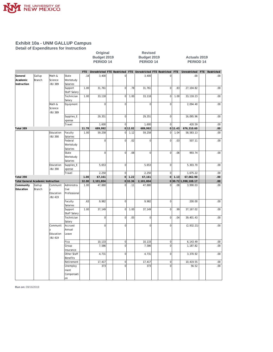

**Detail of Expenditures for Instruction**

| Original         | <b>Revised</b> |
|------------------|----------------|
| Budget 2019      | Budget 201     |
| <b>PERIOD 14</b> | PERIOD 14      |

**Budget 2019 Budget 2019 Actuals 2019 PERIOD 14 PERIOD 14 PERIOD 14**

|                                           |               |                            |                  | <b>FTE</b> | Unrestricted FTE Restricted FTE Unrestricted FTE Restricted FTE |                |         |              |                |         | Unrestricted       | FTE | Restricted   |
|-------------------------------------------|---------------|----------------------------|------------------|------------|-----------------------------------------------------------------|----------------|---------|--------------|----------------|---------|--------------------|-----|--------------|
| General                                   | Gallup        | Math &                     | State            | .18        | 3,400                                                           | $\overline{0}$ |         | 3,400        | $\overline{0}$ |         | .00                |     | .00          |
| Academic                                  | Branch        | Science                    | Workstudy        |            |                                                                 |                |         |              |                |         |                    |     |              |
| Instruction                               |               | <b>BU 389</b>              | Salaries         |            |                                                                 |                |         |              |                |         |                    |     |              |
|                                           |               |                            | Support          | 1.00       | 31,761                                                          | $\mathbf 0$    | .78     | 31,761       | $\mathbf 0$    | .83     | 27, 104.82         |     | .00          |
|                                           |               |                            | Staff Salary     |            |                                                                 |                |         |              |                |         |                    |     |              |
|                                           |               |                            | Technician       | 1.00       | 33,118                                                          | $\Omega$       | 1.00    | 33,118       | $\overline{0}$ | 1.00    | 33, 118.23         |     | .00          |
|                                           |               |                            | Salary           |            |                                                                 |                |         |              |                |         |                    |     |              |
|                                           |               | Math &                     | Equipment        |            | $\overline{0}$                                                  | $\mathbf 0$    |         | $\mathbf 0$  | $\mathbf 0$    |         | 2,094.40           |     | .00          |
|                                           |               | Science                    |                  |            |                                                                 |                |         |              |                |         |                    |     |              |
|                                           |               | <b>BU 389</b>              |                  |            |                                                                 |                |         |              |                |         |                    |     |              |
|                                           |               |                            | Supplies_E       |            | 29,351                                                          | $\overline{0}$ |         | 29,351       | $\overline{0}$ |         | 16,095.96          |     | .00          |
|                                           |               |                            | xpense           |            |                                                                 |                |         |              |                |         |                    |     |              |
|                                           |               |                            | Travel           |            | 1,600                                                           | $\mathbf{0}$   |         | 1,600        | $\overline{0}$ |         | 420.59             |     | .00          |
| Total 389                                 |               |                            |                  | 11.78      | 689,992                                                         |                | 0 12.02 | 689,992      |                | 0 11.43 | 676,310.60         |     | .00          |
|                                           |               | Education                  | Faculty          | 1.00       | 59,258                                                          | $\Omega$       | 1.12    | 59,258       | $\mathbf 0$    | 1.04    | 58,583.13          |     | .00          |
|                                           |               | <b>BU 390</b>              | Salaries         |            |                                                                 |                |         |              |                |         |                    |     |              |
|                                           |               |                            | Federal          |            | $\overline{0}$                                                  | $\mathbf 0$    | .02     | $\mathbf{0}$ | $\overline{0}$ | .03     | 507.11             |     | .00          |
|                                           |               |                            | Workstudy        |            |                                                                 |                |         |              |                |         |                    |     |              |
|                                           |               |                            | Salaries         |            |                                                                 |                |         |              |                |         |                    |     |              |
|                                           |               |                            | State            |            | $\overline{0}$                                                  | $\mathbf 0$    | .08     | $\Omega$     | $\mathbf 0$    | .06     | 993.74             |     | .00          |
|                                           |               |                            | Workstudy        |            |                                                                 |                |         |              |                |         |                    |     |              |
|                                           |               |                            | Salaries         |            |                                                                 | $\mathbf 0$    |         |              |                |         |                    |     |              |
|                                           |               | Education<br><b>BU 390</b> | Supplies_E       |            | 5,653                                                           |                |         | 5,653        | $\mathbf 0$    |         | 5,303.70           |     | .00          |
|                                           |               |                            | xpense<br>Travel |            | 2,250                                                           | $\Omega$       |         | 2,250        | $\overline{0}$ |         | 1,675.22           |     | .00          |
| Total 390                                 |               |                            |                  | 1.00       | 67,161                                                          | $\Omega$       | 1.22    | 67,161       | $\circ$        | 1.13    | 67,062.90          |     | .00.         |
| <b>Total General Academic Instruction</b> |               |                            |                  | 32.00      | 2,101,804                                                       |                | 0 32.36 | 2,101,804    |                |         | 030.721,998,108.17 |     | $.00 \times$ |
| Community                                 | Gallup        | Communit                   | Administra       | 1.00       | 47,880                                                          | $\Omega$       | .11     | 47,880       | $\overline{0}$ | .08     | 3,990.03           |     | .00          |
| Education                                 | <b>Branch</b> | V                          | tive             |            |                                                                 |                |         |              |                |         |                    |     |              |
|                                           |               | Education                  | Professional     |            |                                                                 |                |         |              |                |         |                    |     |              |
|                                           |               | <b>BU 419</b>              |                  |            |                                                                 |                |         |              |                |         |                    |     |              |
|                                           |               |                            | Faculty          | .63        | 9,982                                                           | $\overline{0}$ |         | 9,982        | $\overline{0}$ |         | 200.00             |     | .00          |
|                                           |               |                            | Salaries         |            |                                                                 |                |         |              |                |         |                    |     |              |
|                                           |               |                            | Support          | 1.00       | 37,149                                                          | $\mathbf 0$    | 1.00    | 37,149       | $\mathbf 0$    | .99     | 37, 167.02         |     | .00          |
|                                           |               |                            | Staff Salary     |            |                                                                 |                |         |              |                |         |                    |     |              |
|                                           |               |                            | Technician       |            | $\overline{0}$                                                  | $\mathbf 0$    | .05     | $\Omega$     | $\mathbf 0$    | .04     | 39,401.43          |     | .00          |
|                                           |               |                            | Salary           |            |                                                                 |                |         |              |                |         |                    |     |              |
|                                           |               | Communit                   | Accrued          |            | $\mathbf 0$                                                     | $\mathbf 0$    |         | $\mathbf{0}$ | $\mathbf 0$    |         | (2,932.21)         |     | .00          |
|                                           |               |                            | Annual           |            |                                                                 |                |         |              |                |         |                    |     |              |
|                                           |               | Education                  | Leave            |            |                                                                 |                |         |              |                |         |                    |     |              |
|                                           |               | <b>BU 419</b>              |                  |            |                                                                 |                |         |              |                |         |                    |     |              |
|                                           |               |                            | Fica             |            | 10,133                                                          | 0              |         | 10,133       | $\mathbf 0$    |         | 6,143.49           |     | .00          |
|                                           |               |                            | Group            |            | 7,586                                                           | $\mathbf 0$    |         | 7,586        | $\overline{0}$ |         | 1,187.82           |     | .00          |
|                                           |               |                            | Insurance        |            |                                                                 |                |         |              |                |         |                    |     |              |
|                                           |               |                            | Other Staff      |            | 4,731                                                           | $\Omega$       |         | 4,731        | $\overline{0}$ |         | 3,370.92           |     | .00          |
|                                           |               |                            | Benefits         |            |                                                                 |                |         |              |                |         |                    |     |              |
|                                           |               |                            | Retirement       |            | 17,417                                                          | $\overline{0}$ |         | 17,417       | $\mathbf 0$    |         | 10,419.55          |     | .00          |
|                                           |               |                            | Unemploy         |            | 373                                                             | $\Omega$       |         | 373          | $\overline{0}$ |         | 56.52              |     | .00          |
|                                           |               |                            | ment             |            |                                                                 |                |         |              |                |         |                    |     |              |
|                                           |               |                            | Compensati       |            |                                                                 |                |         |              |                |         |                    |     |              |
|                                           |               |                            | lon              |            |                                                                 |                |         |              |                |         |                    |     |              |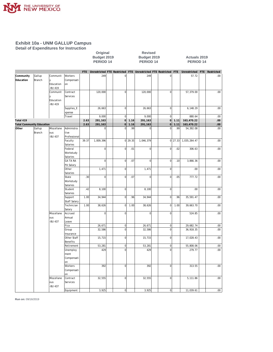

**Detail of Expenditures for Instruction**

# Original Revised<br>
Budget 2019 Budget 201<br>
PERIOD 14 PERIOD 1

**Budget 2019 Budget 2019 Actuals 2019 PERIOD 14 PERIOD 14 PERIOD 14**

|                                  |               |               |                 |       | FTE Unrestricted FTE Restricted FTE Unrestricted FTE Restricted FTE |                |           |                |                     |             | Unrestricted | FTE Restricted |
|----------------------------------|---------------|---------------|-----------------|-------|---------------------------------------------------------------------|----------------|-----------|----------------|---------------------|-------------|--------------|----------------|
| Community                        | Gallup        | Communit      | Workers         |       | 249                                                                 | $\mathbf 0$    |           | 249            | 0                   |             | 57.72        | .00            |
| Education                        | Branch        | y             | Compensati      |       |                                                                     |                |           |                |                     |             |              |                |
|                                  |               | Education     | on              |       |                                                                     |                |           |                |                     |             |              |                |
|                                  |               | <b>BU 419</b> |                 |       |                                                                     |                |           |                |                     |             |              |                |
|                                  |               | Communit      | Contract        |       | 120,000                                                             | $\Omega$       |           | 120,000        | $\overline{0}$      |             | 57,379.00    | .00            |
|                                  |               |               | Services        |       |                                                                     |                |           |                |                     |             |              |                |
|                                  |               | Education     |                 |       |                                                                     |                |           |                |                     |             |              |                |
|                                  |               | <b>BU 419</b> |                 |       |                                                                     |                |           |                |                     |             |              |                |
|                                  |               |               | Supplies_E      |       | 26,663                                                              | $\overline{0}$ |           | 26,663         | $\mathbf 0$         |             | 6,148.29     | .00            |
|                                  |               |               | xpense          |       |                                                                     |                |           |                |                     |             |              |                |
|                                  |               |               | Travel          |       | 9,000                                                               | $\mathbf 0$    |           | 9,000          | $\mathbf 0$         |             | 880.64       | .00            |
| Total 419                        |               |               |                 | 2.63  | 291,163                                                             | $\overline{0}$ | 1.16      | 291,163        | $\mathsf{O}\xspace$ | 1.11        | 163,470.22   | .00.           |
| <b>Total Community Education</b> |               |               |                 | 2.63  | 291,163                                                             | $\overline{0}$ | 1.16      | 291,163        | $\overline{0}$      | 1.11        | 163,470.22   | 00.            |
| Other                            | Gallup        | Miscellane    | Administra      |       | $\Omega$                                                            | $\Omega$       | .99       | $\Omega$       | $\Omega$            | .99         | 54,392.08    | .00            |
|                                  | <b>Branch</b> | ous           | tive            |       |                                                                     |                |           |                |                     |             |              |                |
|                                  |               | <b>BU 437</b> | Professional    |       |                                                                     |                |           |                |                     |             |              |                |
|                                  |               |               | Faculty         | 39.37 | 1,009,396                                                           |                | $0$ 29.35 | 1,046,379      |                     | $0$   27.33 | 1,035,264.47 | .00            |
|                                  |               |               | Salaries        |       |                                                                     |                |           |                |                     |             |              |                |
|                                  |               |               | Federal         |       | $\overline{0}$                                                      | $\mathbf 0$    | .01       | $\mathbf 0$    | 0                   | .02         | 306.63       | .00            |
|                                  |               |               | Workstudy       |       |                                                                     |                |           |                |                     |             |              |                |
|                                  |               |               | Salaries        |       |                                                                     |                |           |                |                     |             |              |                |
|                                  |               |               | <b>GA TA RA</b> |       | $\overline{0}$                                                      | $\overline{0}$ | .07       | $\overline{0}$ | $\overline{0}$      | .10         | 3,866.36     | .00            |
|                                  |               |               | PA Salary       |       |                                                                     |                |           |                |                     |             |              |                |
|                                  |               |               | Other           |       | 1,471                                                               | $\mathbf 0$    |           | 1,471          | 0                   |             | .00          | .00            |
|                                  |               |               | Salaries        |       |                                                                     |                |           |                |                     |             |              |                |
|                                  |               |               | State           | .30   | $\overline{0}$                                                      | $\Omega$       | .07       | $\mathbf 0$    | 0                   | .05         | 777.72       | .00            |
|                                  |               |               | Workstudy       |       |                                                                     |                |           |                |                     |             |              |                |
|                                  |               |               | Salaries        |       |                                                                     |                |           |                |                     |             |              |                |
|                                  |               |               | Student         | .42   | 8,100                                                               | $\overline{0}$ |           | 8,100          | $\mathbf 0$         |             | $.00\,$      | $.00\,$        |
|                                  |               |               | Salaries        |       |                                                                     |                |           |                |                     |             |              |                |
|                                  |               |               | Support         | 1.00  | 34,944                                                              | $\mathbf 0$    | .96       | 34,944         | $\mathbf 0$         | .96         | 35,591.47    | .00            |
|                                  |               |               | Staff Salary    |       |                                                                     |                |           |                |                     |             |              |                |
|                                  |               |               | Technician      | 1.00  | 38,626                                                              | $\mathbf 0$    | 1.00      | 38,626         | $\overline{0}$      | 1.00        | 39,663.70    | .00.           |
|                                  |               |               | Salary          |       |                                                                     |                |           |                |                     |             |              |                |
|                                  |               | Miscellane    | Accrued         |       | $\overline{0}$                                                      | $\mathbf 0$    |           | $\mathbf 0$    | $\mathbf 0$         |             | 524.85       | .00            |
|                                  |               | ous           | Annual          |       |                                                                     |                |           |                |                     |             |              |                |
|                                  |               | <b>BU 437</b> | Leave           |       |                                                                     |                |           |                |                     |             |              |                |
|                                  |               |               | Fica            |       | 26,671                                                              | $\mathbf 0$    |           | 26,671         | $\boldsymbol{0}$    |             | 29,682.74    | .00.           |
|                                  |               |               | Group           |       | 32,586                                                              | $\Omega$       |           | 32,586         | $\overline{0}$      |             | 36,918.35    | .00            |
|                                  |               |               | Insurance       |       |                                                                     |                |           |                |                     |             |              |                |
|                                  |               |               | Other Staff     |       | 15,715                                                              | $\mathbf 0$    |           | 15,715         | $\overline{0}$      |             | 17,028.43    | .00            |
|                                  |               |               | Benefits        |       |                                                                     |                |           |                |                     |             |              |                |
|                                  |               |               | Retirement      |       | 53,281                                                              | $\overline{0}$ |           | 53,281         | $\overline{0}$      |             | 55,808.06    | .00.           |
|                                  |               |               | Unemploy        |       | 429                                                                 | $\Omega$       |           | 429            | $\overline{0}$      |             | 279.77       | 00.            |
|                                  |               |               | ment            |       |                                                                     |                |           |                |                     |             |              |                |
|                                  |               |               | Compensati      |       |                                                                     |                |           |                |                     |             |              |                |
|                                  |               |               | on              |       |                                                                     |                |           |                |                     |             |              |                |
|                                  |               |               | Workers         |       | 392                                                                 | $\overline{0}$ |           | 392            | $\overline{0}$      |             | 313.55       | .00.           |
|                                  |               |               | Compensati      |       |                                                                     |                |           |                |                     |             |              |                |
|                                  |               |               | on              |       |                                                                     |                |           |                |                     |             |              |                |
|                                  |               | Miscellane    | Contract        |       | 32,555                                                              | $\mathbf 0$    |           | 32,555         | 0                   |             | 5,111.86     | .00            |
|                                  |               | ous           | Services        |       |                                                                     |                |           |                |                     |             |              |                |
|                                  |               | <b>BU 437</b> |                 |       |                                                                     |                |           |                |                     |             |              |                |
|                                  |               |               | Equipment       |       | 3,925                                                               | $\circ$        |           | 3,925          | $\mathbf{0}$        |             | 11,039.61    | 00.            |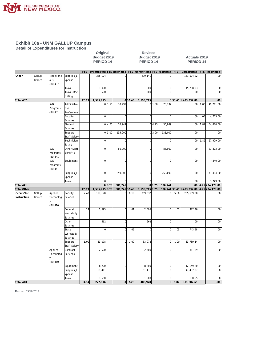

**Detail of Expenditures for Instruction**

| Original    |  |  |  |  |  |  |  |  |  |
|-------------|--|--|--|--|--|--|--|--|--|
| 3udget 2019 |  |  |  |  |  |  |  |  |  |
| PERIOD 14   |  |  |  |  |  |  |  |  |  |

**Revised Budget 2019 Budget 2019 Actuals 2019 PERIOD 14 PERIOD 14 PERIOD 14**

|                    |        |            |                     | FTE   |                |        |                |         | Unrestricted FTE Restricted FTE Unrestricted FTE Restricted FTE |        |                        |      | Unrestricted                  | <b>FTE</b> | Restricted                  |
|--------------------|--------|------------|---------------------|-------|----------------|--------|----------------|---------|-----------------------------------------------------------------|--------|------------------------|------|-------------------------------|------------|-----------------------------|
| Other              | Gallup | Miscellane | Supplies_E          |       | 336,124        |        | $\mathbf 0$    |         | 299,141                                                         |        | 0                      |      | 151,524.22                    |            | .00                         |
|                    | Branch | ous        | xpense              |       |                |        |                |         |                                                                 |        |                        |      |                               |            |                             |
|                    |        | -BU 437    |                     |       |                |        |                |         |                                                                 |        |                        |      |                               |            |                             |
|                    |        |            | Travel              |       | 1,000          |        | $\overline{0}$ |         | 1,000                                                           |        | $\mathbf 0$            |      | 15,238.93                     |            | .00                         |
|                    |        |            | Travel-Rec          |       | 500            |        | $\Omega$       |         | 500                                                             |        | $\mathbf 0$            |      | .00                           |            | .00                         |
|                    |        |            | ruiting             |       |                |        |                |         |                                                                 |        |                        |      |                               |            |                             |
| Total 437          |        |            |                     | 42.09 | 1,595,715      |        |                | 0 32.45 | 1,595,715                                                       |        |                        |      | 030.45 1,493,332.80           |            | .00.                        |
|                    |        | I&G        | Administra          |       |                | 0 1.50 | 78,792         |         |                                                                 | 0 1.50 | 78,792                 |      | .00                           | 1.00       | 49,211.00                   |
|                    |        | Programs   | tive                |       |                |        |                |         |                                                                 |        |                        |      |                               |            |                             |
|                    |        | -BU 441    | Professional        |       |                |        |                |         |                                                                 |        |                        |      |                               |            |                             |
|                    |        |            | Faculty             |       | $\mathbf 0$    |        | $\overline{0}$ |         | $\overline{0}$                                                  |        | $\mathbf 0$            |      | .00                           | .05        | 4,703.00                    |
|                    |        |            | Salaries            |       |                |        |                |         |                                                                 |        |                        |      |                               |            |                             |
|                    |        |            | Student             |       |                | 0 4.25 | 36,949         |         |                                                                 | 0 4.25 | 36,949                 |      | .00                           | 1.81       | 34,420.00                   |
|                    |        |            | Salaries            |       |                |        |                |         |                                                                 |        |                        |      |                               |            |                             |
|                    |        |            | Support             |       |                | 0 3.00 | 135,000        |         |                                                                 | 0 3.00 | 135,000                |      | .00.                          |            | .00                         |
|                    |        |            | Staff Salary        |       |                |        |                |         |                                                                 |        |                        |      |                               |            |                             |
|                    |        |            | Technician          |       | $\mathbf 0$    |        | $\mathbf 0$    |         | $\overline{0}$                                                  |        | $\mathbf 0$            |      | .00                           | 1.89       | 67,929.00                   |
|                    |        |            | Salary              |       |                |        |                |         |                                                                 |        |                        |      |                               |            |                             |
|                    |        | I&G        | Other Staff         |       | $\mathbf 0$    |        | 86,000         |         | $\mathbf 0$                                                     |        | 86,000                 |      | .00                           |            | 31,323.00                   |
|                    |        | Programs   | Benefits            |       |                |        |                |         |                                                                 |        |                        |      |                               |            |                             |
|                    |        | -BU 441    |                     |       |                |        |                |         |                                                                 |        |                        |      |                               |            |                             |
|                    |        | I&G        | Equipment           |       | $\overline{0}$ |        | $\Omega$       |         | $\mathbf{0}$                                                    |        | $\mathbf 0$            |      | .00.                          |            | (340.00)                    |
|                    |        | Programs   |                     |       |                |        |                |         |                                                                 |        |                        |      |                               |            |                             |
|                    |        | -BU 441    |                     |       |                |        |                |         |                                                                 |        |                        |      |                               |            |                             |
|                    |        |            | Supplies_E          |       | $\mathbf 0$    |        | 250,000        |         | $\mathbf{0}$                                                    |        | 250,000                |      | .00.                          |            | 43,484.00                   |
|                    |        |            | xpense              |       | $\mathbf 0$    |        | $\Omega$       |         | $\Omega$                                                        |        |                        |      | .00.                          |            |                             |
| Total 441          |        |            | Travel              |       |                | 0 8.75 | 586,741        |         |                                                                 | 0 8.75 | $\mathbf 0$<br>586,741 |      | .00                           |            | 3,749.00<br>4.75 234,479.00 |
| <b>Total Other</b> |        |            |                     | 42.09 | 1,595,715 8.75 |        | 586,741 32.45  |         | 1,595,715 8.75                                                  |        |                        |      | 586, 741 30.45 1, 493, 332.80 |            | 4.75 234,479.00             |
| Occup/Voc          | Gallup | Applied    | Faculty             | 2.40  | 127,170        |        | $\Omega$       | 6.19    | 309,032                                                         |        | $\Omega$               | 5.80 | 295,639.00                    |            | .00                         |
| Instruction        | Branch | Technolog  | Salaries            |       |                |        |                |         |                                                                 |        |                        |      |                               |            |                             |
|                    |        |            |                     |       |                |        |                |         |                                                                 |        |                        |      |                               |            |                             |
|                    |        | -BU 410    |                     |       |                |        |                |         |                                                                 |        |                        |      |                               |            |                             |
|                    |        |            | Federal             | .14   | 2,595          |        | $\overline{0}$ | .01     | 2,595                                                           |        | $\mathbf 0$            | .02  | 327.46                        |            | .00                         |
|                    |        |            | Workstudy           |       |                |        |                |         |                                                                 |        |                        |      |                               |            |                             |
|                    |        |            | Salaries            |       |                |        |                |         |                                                                 |        |                        |      |                               |            |                             |
|                    |        |            | Other               |       | 662            |        | $\overline{0}$ |         | 662                                                             |        | $\mathbf 0$            |      | .00.                          |            | .00                         |
|                    |        |            | Salaries            |       |                |        |                |         |                                                                 |        |                        |      |                               |            |                             |
|                    |        |            | State               |       | $\mathbf 0$    |        | $\Omega$       | .06     | $\mathbf 0$                                                     |        | $\mathbf 0$            | .05  | 743.58                        |            | .00                         |
|                    |        |            | Workstudy           |       |                |        |                |         |                                                                 |        |                        |      |                               |            |                             |
|                    |        |            | Salaries            |       |                |        |                |         |                                                                 |        |                        |      |                               |            |                             |
|                    |        |            | Support             | 1.00  | 33,078         |        | $\overline{0}$ | 1.00    | 33,078                                                          |        | $\mathbf 0$            | 1.00 | 33,739.14                     |            | .00                         |
|                    |        |            | <b>Staff Salary</b> |       |                |        |                |         |                                                                 |        |                        |      |                               |            |                             |
|                    |        | Applied    | Contract            |       | 2,500          |        | $\Omega$       |         | 2,500                                                           |        | $\mathbf 0$            |      | 811.39                        |            | .00                         |
|                    |        | Technolog  | Services            |       |                |        |                |         |                                                                 |        |                        |      |                               |            |                             |
|                    |        |            |                     |       |                |        |                |         |                                                                 |        |                        |      |                               |            |                             |
|                    |        | -BU 410    |                     |       |                |        |                |         |                                                                 |        |                        |      |                               |            |                             |
|                    |        |            | Equipment           |       | 8,200          |        | $\overline{0}$ |         | 8,200                                                           |        | $\mathbf 0$            |      | 12,149.20                     |            | .00                         |
|                    |        |            | Supplies_E          |       | 51,411         |        | $\Omega$       |         | 51,411                                                          |        | $\mathbf 0$            |      | 47,482.37                     |            | .00                         |
|                    |        |            | xpense              |       |                |        |                |         |                                                                 |        |                        |      |                               |            |                             |
|                    |        |            | Travel              |       | 1,500          |        | $\overline{0}$ |         | 1,500                                                           |        | 0                      |      | 190.55                        |            | .00.                        |
| Total 410          |        |            |                     | 3.54  | 227,116        |        | 0l             | 7.26    | 408,978                                                         |        | $\circ$                | 6.87 | 391,082.69                    |            | 00.                         |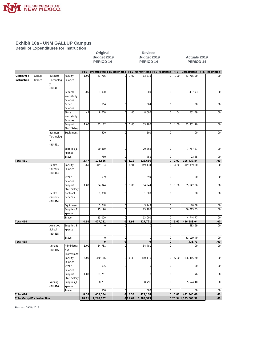

**Detail of Expenditures for Instruction**

**Revised Budget 2019 Budget 2019 Actuals 2019 PERIOD 14 PERIOD 14 PERIOD 14**

|                                    |               |                 |                          | FTE       | Unrestricted FTE Restricted |                         |                | FTE Unrestricted FTE Restricted  |                     | <b>FTE</b>             | Unrestricted      | FTE Restricted |
|------------------------------------|---------------|-----------------|--------------------------|-----------|-----------------------------|-------------------------|----------------|----------------------------------|---------------------|------------------------|-------------------|----------------|
| Occup/Voc                          | Gallup        | <b>Business</b> | Faculty                  | 1.00      | 63,716                      | $\overline{0}$          | 1.07           | 63,716                           | <sup>0</sup>        | 1.00                   | 63,715.90         | .00            |
| Instruction                        | <b>Branch</b> | Technolog       | Salaries                 |           |                             |                         |                |                                  |                     |                        |                   |                |
|                                    |               | V               |                          |           |                             |                         |                |                                  |                     |                        |                   |                |
|                                    |               | <b>BU 411</b>   |                          |           |                             |                         |                |                                  |                     |                        |                   |                |
|                                    |               |                 | Federal                  | .05       | 1,000                       | $\mathbf 0$             |                | 1,000                            | $\pmb{0}$           | .03                    | 437.73            | .00            |
|                                    |               |                 | Workstudy                |           |                             |                         |                |                                  |                     |                        |                   |                |
|                                    |               |                 | Salaries                 |           |                             |                         |                |                                  |                     |                        |                   |                |
|                                    |               |                 | Other                    |           | 664                         | $\mathbf 0$             |                | 664                              | $\pmb{0}$           |                        | .00               | .00            |
|                                    |               |                 | Salaries                 |           |                             |                         |                |                                  |                     |                        |                   |                |
|                                    |               |                 | State                    | .42       | 8,000                       | $\overline{0}$          | .05            | 8,000                            | $\mathbf 0$         | .04                    | 651.49            | .00            |
|                                    |               |                 | Workstudy                |           |                             |                         |                |                                  |                     |                        |                   |                |
|                                    |               |                 | Salaries<br>Support      | 1.00      | 33,187                      | $\overline{0}$          | 1.00           | 33,187                           | $\mathbf 0$         | 1.00                   | 33,851.20         | .00            |
|                                    |               |                 | Staff Salary             |           |                             |                         |                |                                  |                     |                        |                   |                |
|                                    |               | <b>Business</b> | Equipment                |           | 500                         | $\mathbf 0$             |                | 500                              | $\mathbf 0$         |                        | .00               | .00            |
|                                    |               | Technolog       |                          |           |                             |                         |                |                                  |                     |                        |                   |                |
|                                    |               |                 |                          |           |                             |                         |                |                                  |                     |                        |                   |                |
|                                    |               | <b>BU 411</b>   |                          |           |                             |                         |                |                                  |                     |                        |                   |                |
|                                    |               |                 | Supplies_E               |           | 20,869                      | $\mathbf 0$             |                | 20,869                           | $\mathbf 0$         |                        | 7,757.87          | .00            |
|                                    |               |                 | xpense                   |           |                             |                         |                |                                  |                     |                        |                   |                |
|                                    |               |                 | Travel                   |           | 750                         | $\mathbf 0$             |                | 750                              | $\pmb{0}$           |                        | 23.65             | .00            |
| Total 411                          |               |                 |                          | 2.47      | 128,686                     | $\overline{0}$          | 2.12           | 128,686                          | $\mathsf{O}\xspace$ | 2.07                   | 106,437.84        | .00            |
|                                    |               | Health          | Faculty                  | 3.60      | 349,134                     | $\mathbf 0$             | 4.91           | 349,134                          | $\mathbf 0$         | 4.60                   | 349, 359.30       | .00            |
|                                    |               | Careers         | Salaries                 |           |                             |                         |                |                                  |                     |                        |                   |                |
|                                    |               | -BU 414         |                          |           |                             |                         |                |                                  |                     |                        |                   |                |
|                                    |               |                 | Other                    |           | 699                         | $\mathbf{0}$            |                | 699                              | $\mathbf 0$         |                        | .00               | .00            |
|                                    |               |                 | Salaries                 | 1.00      |                             | $\mathbf 0$             | 1.00           |                                  | $\mathbf 0$         | 1.00                   |                   |                |
|                                    |               |                 | Support                  |           | 34,944                      |                         |                | 34,944                           |                     |                        | 35,642.86         | .00            |
|                                    |               | Health          | Staff Salary<br>Contract |           | 1,000                       | $\mathbf{0}$            |                | 1,000                            | $\mathbf 0$         |                        | .00               | .00            |
|                                    |               | Careers         | Services                 |           |                             |                         |                |                                  |                     |                        |                   |                |
|                                    |               | <b>BU 414</b>   |                          |           |                             |                         |                |                                  |                     |                        |                   |                |
|                                    |               |                 | Equipment                |           | 3,748                       | $\overline{0}$          |                | 3,748                            | $\mathbf 0$         |                        | 120.58            | .00.           |
|                                    |               |                 | Supplies_E               |           | 25,196                      | $\mathbf 0$             |                | 25,196                           | $\mathbf 0$         |                        | 36,715.53         | .00            |
|                                    |               |                 | xpense                   |           |                             |                         |                |                                  |                     |                        |                   |                |
|                                    |               |                 | Travel                   |           | 13,000                      | $\mathbf{0}$            |                | 13,000                           | $\mathbf 0$         |                        | 4,744.77          | .00            |
| Total 414                          |               |                 |                          | 4.60      | 427,721                     | $\overline{0}$          | 5.91           | 427,721                          | 0                   | 5.60                   | 426,583.04        | 00             |
|                                    |               | Area Voc        | Supplies_E               |           | $\overline{0}$              | $\Omega$                |                | $\mathbf 0$                      | $\overline{0}$      |                        | 683.69            | .00            |
|                                    |               | School          | xpense                   |           |                             |                         |                |                                  |                     |                        |                   |                |
|                                    |               | <b>BU 415</b>   |                          |           |                             |                         |                |                                  |                     |                        |                   |                |
|                                    |               |                 | Travel                   |           | 0 <br>$\overline{0}$        | $\overline{0}$          |                | $\overline{0}$<br>$\overline{0}$ | 0 <br> 0            |                        | (1, 119.40)       | .00<br>00.     |
| Total 415                          |               | Nursing         | Administra               | 1.00      | 54,781                      | $\mathbf 0$<br>$\Omega$ |                | 54,781                           | $\Omega$            |                        | (435.71)<br>.00.  | .00            |
|                                    |               | <b>BU 416</b>   | tive                     |           |                             |                         |                |                                  |                     |                        |                   |                |
|                                    |               |                 | Professional             |           |                             |                         |                |                                  |                     |                        |                   |                |
|                                    |               |                 | Faculty                  | 6.00      | 360,116                     | $\Omega$                | 6.33           | 360,116                          | $\Omega$            | 6.00                   | 426,415.60        | .00            |
|                                    |               |                 | Salaries                 |           |                             |                         |                |                                  |                     |                        |                   |                |
|                                    |               |                 | Other                    |           | 635                         | $\mathbf 0$             |                | $\overline{0}$                   | $\mathbf 0$         |                        | .00               | .00            |
|                                    |               |                 | Salaries                 |           |                             |                         |                |                                  |                     |                        |                   |                |
|                                    |               |                 | Support                  | 1.00      | 31,761                      | $\mathbf 0$             |                | $\mathbf 0$                      | $\mathbf 0$         |                        | .76               | .00            |
|                                    |               |                 | <b>Staff Salary</b>      |           |                             |                         |                |                                  |                     |                        |                   |                |
|                                    |               | Nursing         | Supplies_E               |           | 8,791                       | $\mathbf 0$             |                | 8,791                            | $\mathbf 0$         |                        | 5,524.10          | .00            |
|                                    |               | <b>BU 416</b>   | xpense                   |           |                             |                         |                |                                  |                     |                        |                   |                |
|                                    |               |                 | Travel                   |           | 500                         | $\mathbf 0$             |                | 500                              | $\mathbf 0$         |                        | .00               | .00.           |
| Total 416                          |               |                 |                          | 8.00      | 456,584                     |                         | $0 \big  6.33$ | 424,188                          | 0                   |                        | $6.00$ 431,940.46 | .00.           |
| <b>Total Occup/Voc Instruction</b> |               |                 | 18.61                    | 1,240,107 |                             | 0 21.62                 | 1,389,573      |                                  |                     | 0 20.54 1, 355, 608.32 | 00                |                |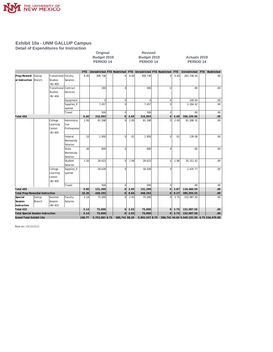

**Detail of Expenditures for Instruction**

**Revised Budget 2019 Budget 2019 Actuals 2019 PERIOD 14 PERIOD 14 PERIOD 14**

|                                          |                                        |                       |              | FTE           | Unrestricted FTE Restricted FTE Unrestricted FTE Restricted FTE |               |      |                |                |      | Unrestricted                               | FTE Restricted |
|------------------------------------------|----------------------------------------|-----------------------|--------------|---------------|-----------------------------------------------------------------|---------------|------|----------------|----------------|------|--------------------------------------------|----------------|
| Prep/Remedi Gallup                       |                                        | Transitional Faculty  |              | 6.40          | 308,736                                                         | $\Omega$      | 4.69 | 308,736        | $\Omega$       | 4.40 | 263,736.50                                 | .00.           |
| al Instruction Branch                    |                                        | <b>Studies</b>        | Salaries     |               |                                                                 |               |      |                |                |      |                                            |                |
|                                          |                                        | -BU 404               |              |               |                                                                 |               |      |                |                |      |                                            |                |
|                                          |                                        | Transitional Contract |              |               | 300                                                             |               |      | 300            | $\Omega$       |      | .00.                                       | .00            |
|                                          |                                        | <b>Studies</b>        | Services     |               |                                                                 |               |      |                |                |      |                                            |                |
|                                          |                                        | -BU 404               |              |               |                                                                 |               |      |                |                |      |                                            |                |
|                                          |                                        |                       | Equipment    |               | $\mathbf 0$                                                     | $\Omega$      |      | $\Omega$       | $\mathbf 0$    |      | 109.04                                     | $.00\,$        |
|                                          |                                        |                       | Supplies_E   |               | 7,457                                                           |               |      | 7,457          | $\Omega$       |      | 2,264.42                                   | .00            |
|                                          |                                        |                       | xpense       |               |                                                                 |               |      |                |                |      |                                            |                |
|                                          |                                        |                       | Travel       |               | 500                                                             | $\Omega$      |      | 500            | $\Omega$       |      | .00                                        | .00            |
| Total 404                                |                                        |                       |              | 6.40          | 316,993                                                         | $\Omega$      | 4.69 | 316,993        | $\overline{O}$ | 4.40 | 266,109.96                                 | $.00\,$        |
|                                          |                                        | College               | Administra   | 2.00          | 81,598                                                          |               | 2.00 | 81,598         | $\Omega$       | 2.00 | 81,598.32                                  | .00            |
|                                          |                                        | Learning              | tive         |               |                                                                 |               |      |                |                |      |                                            |                |
|                                          |                                        | Center                | Professional |               |                                                                 |               |      |                |                |      |                                            |                |
|                                          |                                        | -BU 405               |              |               |                                                                 |               |      |                |                |      |                                            |                |
|                                          |                                        |                       | Federal      | .10           | 1,950                                                           | $\Omega$      | .01  | 1,950          | $\mathbf 0$    | .01  | 139.08                                     | .00            |
|                                          |                                        |                       | Workstudy    |               |                                                                 |               |      |                |                |      |                                            |                |
|                                          |                                        |                       | Salaries     |               |                                                                 |               |      |                |                |      |                                            |                |
|                                          |                                        |                       | State        | .30           | 600                                                             | $\Omega$      |      | 600            | $\mathbf 0$    |      | .00                                        | .00.           |
|                                          |                                        |                       | Workstudy    |               |                                                                 |               |      |                |                |      |                                            |                |
|                                          |                                        |                       | Salaries     |               |                                                                 |               |      |                |                |      |                                            |                |
|                                          |                                        |                       | Student      | 1.50          | 28,623                                                          | $\Omega$      | 1.94 | 28,623         | $\overline{0}$ | 1.86 | 35, 311.42                                 | .00.           |
|                                          |                                        |                       | Salaries     |               |                                                                 |               |      |                |                |      |                                            |                |
|                                          |                                        | College               | Supplies_E   |               | 18,028                                                          | $\Omega$      |      | 18,028         | $\Omega$       |      | 2,435.77                                   | .00.           |
|                                          |                                        | Learning<br>Center    | xpense       |               |                                                                 |               |      |                |                |      |                                            |                |
|                                          |                                        | -BU 405               |              |               |                                                                 |               |      |                |                |      |                                            |                |
|                                          |                                        |                       | Travel       |               | 500                                                             | $\Omega$      |      | 500            | $\mathbf 0$    |      | .00.                                       | .00            |
| Total 405                                |                                        |                       |              | 3.90          | 131,299                                                         |               | 3.95 | 131,299        | $\overline{O}$ | 3.87 | 119,484.59                                 | .00            |
|                                          | <b>Total Prep/Remedial Instruction</b> |                       |              |               |                                                                 | $\Omega$      | 8.64 | 448,292        | $\overline{0}$ | 8.27 | 385,594.55                                 | .00            |
| Special                                  | Gallup                                 | Summer                | Faculty      | 10.30<br>3.14 | 448,292<br>75,000                                               | n             | 2.03 | 75,000         | $\Omega$       | 3.75 | 152,987.50                                 | .00.           |
| Session                                  | Branch                                 | Session               | Salaries     |               |                                                                 |               |      |                |                |      |                                            |                |
| Instruction                              |                                        | -BU 422               |              |               |                                                                 |               |      |                |                |      |                                            |                |
| Total 422                                |                                        |                       |              | 3.14          | 75,000                                                          | 0             | 2.03 | 75,000         | 0              | 3.75 | 152,987.50                                 | .00            |
| <b>Total Special Session Instruction</b> |                                        |                       |              |               | 75,000                                                          | οl            | 2.03 | 75,000         | 0              | 3.75 | 152,987.50                                 | .00.           |
| Grand Total Exhibit 10a                  |                                        |                       |              |               | 5,752,081 8.75                                                  | 586,741 98.26 |      | 5,901,547 8.75 |                |      | 586,741 94.84 5,549,101.56 4.75 234,479.00 |                |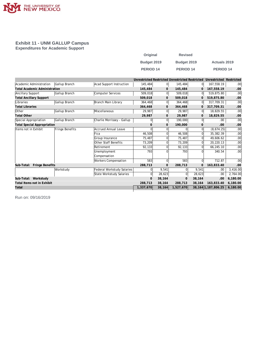

#### **Exhibit 11 - UNM GALLUP Campus Expenditures for Academic Support**

| Original         | <b>Revised</b> |                     |
|------------------|----------------|---------------------|
| Budget 2019      | Budget 2019    | <b>Actuals 2019</b> |
| <b>PERIOD 14</b> | PERIOD 14      | PERIOD 14           |

|                                      |                 |                             | Unrestricted Restricted Unrestricted Restricted |                |              |          | Unrestricted Restricted |          |
|--------------------------------------|-----------------|-----------------------------|-------------------------------------------------|----------------|--------------|----------|-------------------------|----------|
| Academic Administration              | Gallup Branch   | Acad Support Instruction    | 145,484                                         | $\overline{0}$ | 145,484      |          | 167,558.19              | .00.     |
| <b>Total Academic Administration</b> |                 |                             | 145,484                                         | $\mathbf{0}$   | 145,484      |          | 167.558.19              | .00      |
| Ancillary Support                    | Gallup Branch   | Computer Services           | 509,018                                         | 0              | 509,018      | $\Omega$ | 519,875.80              | .00      |
| <b>Total Ancillary Support</b>       |                 |                             | 509,018                                         | $\mathbf{0}$   | 509,018      |          | 519.875.80              | .00      |
| Libraries                            | Gallup Branch   | Branch Main Library         | 364,468                                         | 0              | 364,468      |          | 317,709.31              | .00      |
| <b>Total Libraries</b>               |                 |                             | 364,468                                         | $\mathbf{0}$   | 364,468      |          | 317,709.31              | .00      |
| Other                                | Gallup Branch   | Miscellaneous               | 29,987                                          | 0              | 29,987       | $\Omega$ | 18,829.55               | .00      |
| <b>Total Other</b>                   |                 |                             | 29,987                                          | 0              | 29,987       |          | 18,829.55               | .00      |
| Special Appropriation                | Gallup Branch   | Charlie Morrissey - Gallup  | 0                                               | 0              | 190,000      |          | .00.                    | .00      |
| <b>Total Special Appropriation</b>   |                 |                             | ∩                                               | $\mathbf{0}$   | 190,000      | $\Omega$ | .00                     | .00      |
| Items not in Exhibit                 | Fringe Benefits | <b>Accrued Annual Leave</b> |                                                 | ΩI             |              |          | (8,674.25)              | .00      |
|                                      |                 | Fica                        | 46,508                                          | ΩI             | 46,508       |          | 35,382.39               | .00      |
|                                      |                 | Group Insurance             | 75,487                                          | ΩI             | 75,487       |          | 49.606.62               | .00      |
|                                      |                 | Other Staff Benefits        | 73,209                                          | $\Omega$       | 73,209       |          | 20,220.13               | .00.     |
|                                      |                 | Retirement                  | 92,133                                          | $\Omega$       | 92,133       |          | 66,245.10               | .00      |
|                                      |                 | Unemployment                | 793                                             |                | 793          |          | 340.54                  | .00      |
|                                      |                 | Compensation                |                                                 |                |              |          |                         |          |
|                                      |                 | Workers Compensation        | 583                                             | $\overline{0}$ | 583          |          | 712.87                  | .00      |
| Sub-Total: Fringe Benefits           |                 |                             | 288,713                                         | $\mathbf{0}$   | 288,713      |          | 163,833.40              | .00      |
|                                      | Workstudy       | Federal Workstudy Salaries  |                                                 | 9,541          |              | 9,541    | .00.                    | 3,416.00 |
|                                      |                 | State Workstudy Salaries    | 0                                               | 28,623         | $\Omega$     | 28,623   | .00                     | 2,764.00 |
| Sub-Total: Workstudy                 |                 |                             | $\Omega$                                        | 38.164         | $\mathbf{0}$ | 38,164   | .00                     | 6,180.00 |
| Total Items not in Exhibit           |                 |                             | 288,713                                         | 38,164         | 288,713      | 38,164   | 163,833.40              | 6,180.00 |
| Total                                |                 |                             | 1,337,670                                       | 38,164         | 1,527,670    |          | 38, 164 1, 187, 806. 25 | 6,180.00 |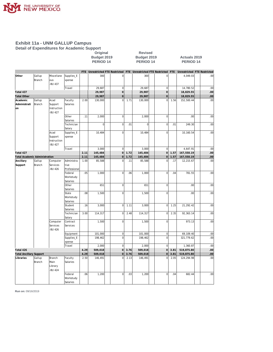

**Detail of Expenditures for Academic Support**

## **Original Revised**

#### **Budget 2019 Budget 2019 Actuals 2019 PERIOD 14 PERIOD 14 PERIOD 14**

|                                |                  |                                           |                                    |      | FTE Unrestricted FTE Restricted |                |      | FTE Unrestricted FTE Restricted FTE |                |      | Unrestricted FTE Restricted |     |
|--------------------------------|------------------|-------------------------------------------|------------------------------------|------|---------------------------------|----------------|------|-------------------------------------|----------------|------|-----------------------------|-----|
| Other                          | Gallup<br>Branch | Miscellane<br>ous                         | Supplies_E<br>xpense               |      | 300                             | 0              |      | 300                                 | 0              |      | 4,049.03                    | .00 |
|                                |                  | -BU 437                                   | Travel                             |      | 29.687                          | $\mathbf{0}$   |      | 29,687                              | $\mathbf 0$    |      | 14,780.52                   | .00 |
| Total 437                      |                  |                                           |                                    |      | 29,987                          | $\overline{O}$ |      | 29,987                              | $\circ$        |      | 18,829.55                   | .00 |
| <b>Total Other</b>             |                  |                                           |                                    |      | 29,987                          | $\mathbf 0$    |      | 29,987                              | $\circ$        |      | 18,829.55                   | .00 |
| Academic                       | Gallup           | Acad                                      | Faculty                            | 2.00 | 130,000                         | $\overline{0}$ | 1.71 | 130,000                             | $\overline{0}$ | 1.56 | 152,500.44                  | .00 |
| Administrati<br>lon            | Branch           | Support<br>Instruction<br>-BU 427         | Salaries                           |      |                                 |                |      |                                     |                |      |                             |     |
|                                |                  |                                           | Other<br>Salaries                  | .11  | 2,000                           | $\mathbf 0$    |      | 2,000                               | $\mathbf 0$    |      | .00                         | .00 |
|                                |                  |                                           | Technician<br>Salary               |      | $\overline{0}$                  | $\mathbf 0$    | .01  | $\mathbf 0$                         | 0              | .01  | 249.30                      | .00 |
|                                |                  | Acad<br>Support<br>Instruction<br>-BU 427 | Supplies_E<br>xpense               |      | 10,484                          | $\mathbf 0$    |      | 10,484                              | $\overline{0}$ |      | 10,160.54                   | .00 |
|                                |                  |                                           | Travel                             |      | 3,000                           | $\mathbf{0}$   |      | 3,000                               | $\mathbf 0$    |      | 4,647.91                    | .00 |
| Total 427                      |                  |                                           |                                    | 2.11 | 145,484                         | $\overline{0}$ | 1.72 | 145,484                             | $\overline{O}$ | 1.57 | 167,558.19                  | .00 |
| Total Academic Administration  |                  |                                           |                                    | 2.11 | 145,484                         | $\mathbf 0$    | 1.72 | 145,484                             | $\mathbf 0$    | 1.57 | 167,558.19                  | .00 |
| Ancillary<br>Support           | Gallup<br>Branch | Computer<br>Services<br>-BU 426           | Administra<br>tive<br>Professional | 1.00 | 85,588                          | $\mathbf 0$    | .11  | 85,588                              | 0              | .17  | 12,215.67                   | .00 |
|                                |                  |                                           | Federal<br>Workstudy<br>Salaries   | .05  | 1,000                           | $\mathbf 0$    | .06  | 1,000                               | 0              | .04  | 781.55                      | .00 |
|                                |                  |                                           | Other<br>Salaries                  |      | 651                             | $\mathbf 0$    |      | 651                                 | $\overline{0}$ |      | .00                         | .00 |
|                                |                  |                                           | State<br>Workstudy<br>Salaries     | .08  | 1,500                           | $\mathbf 0$    |      | 1,500                               | $\overline{0}$ |      | .00                         | .00 |
|                                |                  |                                           | Student<br>Salaries                | .16  | 3,000                           | $\mathbf 0$    | 1.11 | 3,000                               | $\overline{0}$ | 1.25 | 21,292.42                   | .00 |
|                                |                  |                                           | Technician<br>Salary               | 3.00 | 114,317                         | $\mathbf 0$    | 2.48 | 114,317                             | 0              | 2.35 | 92,363.14                   | .00 |
|                                |                  | Computer<br>Services<br>-BU 426           | Contract<br>Services               |      | 1,500                           | $\mathbf 0$    |      | 1,500                               | 0              |      | 973.13                      | .00 |
|                                |                  |                                           | Equipment                          |      | 101,000                         | $\mathbf 0$    |      | 101,000                             | $\mathbf 0$    |      | 69,109.40                   | .00 |
|                                |                  |                                           | Supplies_E<br>xpense               |      | 198,462                         | $\mathbf 0$    |      | 198,462                             | $\overline{0}$ |      | 321,779.62                  | .00 |
|                                |                  |                                           | Travel                             |      | 2,000                           | $\mathbf{0}$   |      | 2,000                               | $\mathbf 0$    |      | 1,360.87                    | .00 |
| Total 426                      |                  |                                           |                                    | 4.29 | 509,018                         | $\circ$        | 3.76 | 509,018                             | $\overline{0}$ | 3.81 | 519,875.80                  | .00 |
| <b>Total Ancillary Support</b> |                  |                                           |                                    | 4.29 | 509,018                         | $\mathbf 0$    | 3.76 | 509,018                             | $\mathbf 0$    | 3.81 | 519,875.80                  | .00 |
| Libraries                      | Gallup<br>Branch | Branch<br>Main<br>Library<br>-BU 424      | Faculty<br>Salaries                | 2.50 | 146,491                         | 0              | 2.13 | 146,491                             | Ò              | 2.05 | 124,294.98                  | .00 |
|                                |                  |                                           | Federal<br>Workstudy<br>Salaries   | .06  | 1,200                           | $\mathbf 0$    | .03  | 1,200                               | $\overline{0}$ | .04  | 682.44                      | .00 |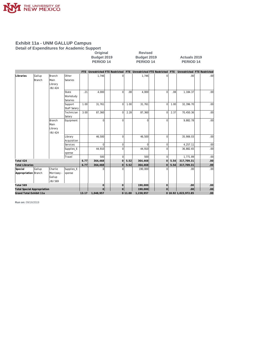

**Detail of Expenditures for Academic Support**

## **Original Revised**

**Budget 2019 Budget 2019 Actuals 2019 PERIOD 14 PERIOD 14 PERIOD 14**

|                                    |        |             |              |         |                |                |      |                      |                     |      | FTE Unrestricted FTE Restricted FTE Unrestricted FTE Restricted FTE Unrestricted FTE Restricted |                  |
|------------------------------------|--------|-------------|--------------|---------|----------------|----------------|------|----------------------|---------------------|------|-------------------------------------------------------------------------------------------------|------------------|
| Libraries                          | Gallup | Branch      | Other        |         | 1,746          |                |      | 1,746                |                     |      | .00.                                                                                            | .00              |
|                                    | Branch | Main        | Salaries     |         |                |                |      |                      |                     |      |                                                                                                 |                  |
|                                    |        | Library     |              |         |                |                |      |                      |                     |      |                                                                                                 |                  |
|                                    |        | -BU 424     |              |         |                |                |      |                      |                     |      |                                                                                                 |                  |
|                                    |        |             | State        | .21     | 4,000          | $\Omega$       | .08  | 4,000                | 0                   | .08  | 1,184.37                                                                                        | .00              |
|                                    |        |             | Workstudy    |         |                |                |      |                      |                     |      |                                                                                                 |                  |
|                                    |        |             | Salaries     |         |                |                |      |                      |                     |      |                                                                                                 |                  |
|                                    |        |             | Support      | 1.00    | 31,761         | $\mathbf 0$    | 1.00 | 31,761               | $\overline{0}$      | 1.00 | 32,396.70                                                                                       | .00              |
|                                    |        |             | Staff Salary |         |                |                |      |                      |                     |      |                                                                                                 |                  |
|                                    |        |             | Technician   | 3.00    | 87,360         | $\Omega$       | 2.28 | 87,360               | $\Omega$            | 2.37 | 70,450.36                                                                                       | .00              |
|                                    |        |             | Salary       |         |                |                |      |                      |                     |      |                                                                                                 |                  |
|                                    |        | Branch      | Equipment    |         | $\Omega$       | $\Omega$       |      | $\Omega$             | n                   |      | 9,882.78                                                                                        | .00              |
|                                    |        | <b>Main</b> |              |         |                |                |      |                      |                     |      |                                                                                                 |                  |
|                                    |        | Library     |              |         |                |                |      |                      |                     |      |                                                                                                 |                  |
|                                    |        | -BU 424     |              |         |                |                |      |                      |                     |      |                                                                                                 |                  |
|                                    |        |             | Library      |         | 46,500         | $\Omega$       |      | 46,500               | 0                   |      | 35,906.03                                                                                       | .00              |
|                                    |        |             | Acquisition  |         |                |                |      |                      |                     |      |                                                                                                 |                  |
|                                    |        |             | Services     |         | $\Omega$       | 0              |      | $\Omega$             | 0                   |      | 4,257.11                                                                                        | .00              |
|                                    |        |             | Supplies_E   |         | 44,910         | $\Omega$       |      | 44,910               | U                   |      | 36,882.65                                                                                       | .00              |
|                                    |        |             | xpense       |         |                |                |      |                      |                     |      |                                                                                                 |                  |
|                                    |        |             | Travel       |         | 500            | $\mathbf 0$    |      | 500                  | 0                   |      | 1,771.89                                                                                        | .00              |
| Total 424                          |        |             |              | 6.77    | 364,468        | $\mathbf 0$    | 5.52 | 364,468              | $\Omega$            | 5.54 | 317,709.31                                                                                      | .00              |
| <b>Total Libraries</b>             |        |             |              | 6.77    | 364,468        | $\overline{0}$ | 5.52 | 364,468              | $\overline{0}$      | 5.54 | 317,709.31                                                                                      | .00              |
| Special                            | Gallup | Charlie     | Supplies_E   |         |                |                |      | 190,000              |                     |      | .00                                                                                             | .00              |
| Appropriation Branch               |        | Morrissey - | xpense       |         |                |                |      |                      |                     |      |                                                                                                 |                  |
|                                    |        | Gallup      |              |         |                |                |      |                      |                     |      |                                                                                                 |                  |
|                                    |        | -BU 569     |              |         |                |                |      |                      |                     |      |                                                                                                 |                  |
| Total 569                          |        |             |              |         | $\overline{0}$ | $\Omega$       |      | 190,000              | $\mathsf{O}\xspace$ |      | .00 <sub>1</sub>                                                                                | .00              |
| <b>Total Special Appropriation</b> |        |             |              |         | $\mathbf 0$    | $\overline{0}$ |      | 190,000              | $\overline{O}$      |      | .00 <sub>1</sub>                                                                                | .00 <sub>1</sub> |
| Grand Total Exhibit 11a            | 13.17  | 1,048,957   |              | 0 11.00 | 1,238,957      |                |      | 0 10.92 1,023,972.85 | .00                 |      |                                                                                                 |                  |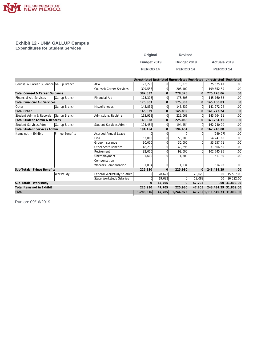

#### **Exhibit 12 - UNM GALLUP Campus Expenditures for Student Services**

| Original         | <b>Revised</b>   |                     |
|------------------|------------------|---------------------|
| Budget 2019      | Budget 2019      | <b>Actuals 2019</b> |
| <b>PERIOD 14</b> | <b>PERIOD 14</b> | PERIOD 14           |

|                                         |                 |                             | Unrestricted Restricted Unrestricted Restricted |                |                |              | Unrestricted Restricted       |           |
|-----------------------------------------|-----------------|-----------------------------|-------------------------------------------------|----------------|----------------|--------------|-------------------------------|-----------|
| Counsel & Career Guidance Gallup Branch |                 | <b>ADA</b>                  | 73,276                                          | 0l             | 73,276         | $\Omega$     | 75,525.47                     | .00       |
|                                         |                 | Counsel/Career Services     | 309,556                                         | 0              | 205,102        | $\Omega$     | 199,652.59                    | .00       |
| Total Counsel & Career Guidance         |                 |                             | 382,832                                         | 0              | 278,378        | $\mathbf{0}$ | 275,178.06                    | .00       |
| Financial Aid Services                  | Gallup Branch   | <b>Financial Aid</b>        | 175,303                                         | 0              | 175,303        | $\Omega$     | 145, 160.83                   | .00       |
| <b>Total Financial Aid Services</b>     |                 |                             | 175,303                                         | 0              | 175,303        | $\mathbf{0}$ | 145, 160.83                   | .00       |
| <b>Other</b>                            | Gallup Branch   | Miscellaneous               | 145.839                                         | 0              | 145,839        | $\Omega$     | 141,272.24                    | .00       |
| <b>Total Other</b>                      |                 |                             | 145,839                                         | 0              | 145,839        | $\mathbf{0}$ | 141,272.24                    | .00       |
| Student Admin & Records                 | Gallup Branch   | Admissions/Registrar        | 163,958                                         | 0              | 225,068        | 0l           | 143,764.31                    | .00       |
| Total Student Admin & Records           |                 |                             | 163,958                                         | 0              | 225,068        | $\mathbf{O}$ | 143,764.31                    | .00       |
| Student Services Admin                  | Gallup Branch   | Student Services Admin      | 194,454                                         | 0              | 194,454        | $\Omega$     | 162,740.00                    | .00       |
| <b>Total Student Services Admin</b>     |                 |                             | 194,454                                         | $\mathbf{0}$   | 194,454        |              | 162.740.00                    | .00       |
| lltems not in Exhibit                   | Fringe Benefits | <b>Accrued Annual Leave</b> |                                                 | $\overline{0}$ |                |              | (249.77)                      | .00       |
|                                         |                 | Fica                        | 53,000                                          | $\Omega$       | 53,000         |              | 54,741.68                     | .00       |
|                                         |                 | Group Insurance             | 30.000                                          | 0              | 30,000         |              | 53,557.71                     | .00       |
|                                         |                 | Other Staff Benefits        | 48,296                                          | $\Omega$       | 48,296         | <sup>0</sup> | 31,506.59                     | .00.      |
|                                         |                 | Retirement                  | 92,000                                          | $\Omega$       | 92,000         | <sup>0</sup> | 102,745.85                    | .00       |
|                                         |                 | Unemployment                | 1,600                                           | $\Omega$       | 1,600          |              | 517.30                        | .00       |
|                                         |                 | Compensation                |                                                 |                |                |              |                               |           |
|                                         |                 | <b>Workers Compensation</b> | 1,034                                           | 0              | 1,034          |              | 614.93                        | .00       |
| Sub-Total: Fringe Benefits              |                 |                             | 225,930                                         | $\Omega$       | 225,930        | $\Omega$     | 243,434.29                    | .00       |
|                                         | Workstudy       | Federal Workstudy Salaries  |                                                 | 28,623         | $\Omega$       | 28,623       | .00.                          | 15,587.00 |
|                                         |                 | State Workstudy Salaries    | ΩI                                              | 19,082         | $\overline{0}$ | 19,082       | .00.                          | 16,222.00 |
| Sub-Total: Workstudy                    |                 |                             | $\Omega$                                        | 47,705         | $\mathbf{0}$   | 47,705       | .00.                          | 31,809.00 |
| Total Items not in Exhibit              |                 |                             | 225,930                                         | 47,705         | 225,930        | 47,705       | 243,434.29 31,809.00          |           |
| Total                                   |                 |                             | 1,288,316                                       | 47,705         | 1,244,972      |              | 47,705 1,111,549.73 31,809.00 |           |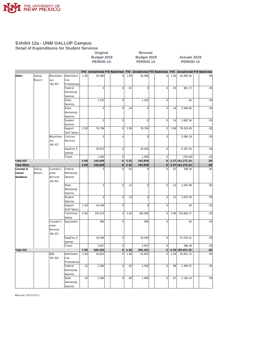

**Detail of Expenditures for Student Services**

# **Original** Revised<br>
Budget 2019 Budget 2019<br>
PERIOD 14 PERIOD 1

#### **Budget 2019 Budget 2019 Actuals 2019 PERIOD 14 PERIOD 14 PERIOD 14**

|                    |                  |                              |                      |      | FTE Unrestricted FTE Restricted |                |      | FTE Unrestricted FTE Restricted |                | FTE  | Unrestricted FTE Restricted |      |
|--------------------|------------------|------------------------------|----------------------|------|---------------------------------|----------------|------|---------------------------------|----------------|------|-----------------------------|------|
| Other              | Gallup<br>Branch | Miscellane<br>ous            | Administra<br>tive   | 1.00 | 45,900                          | $\overline{0}$ | 1.00 | 45,900                          | 0              | 1.00 | 45,900.00                   | .00  |
|                    |                  | <b>BU 437</b>                | Professional         |      |                                 |                |      |                                 |                |      |                             |      |
|                    |                  |                              | Federal              |      | $\overline{0}$                  | $\overline{0}$ | .02  | $\mathbf 0$                     | $\mathbf 0$    | .05  | 861.72                      | .00  |
|                    |                  |                              | Workstudy            |      |                                 |                |      |                                 |                |      |                             |      |
|                    |                  |                              | Salaries             |      |                                 |                |      |                                 |                |      |                             |      |
|                    |                  |                              | Other                |      | 1,535                           | <sup>o</sup>   |      | 1,535                           | $\overline{0}$ |      | .00.                        | .00  |
|                    |                  |                              | Salaries             |      |                                 |                |      |                                 |                |      |                             |      |
|                    |                  |                              | State                |      | $\overline{0}$                  | $\overline{0}$ | .24  | $\mathbf 0$                     | $\mathbf 0$    | .18  | 2,998.69                    | .00  |
|                    |                  |                              | Workstudy            |      |                                 |                |      |                                 |                |      |                             |      |
|                    |                  |                              | Salaries             |      |                                 |                |      |                                 |                |      |                             |      |
|                    |                  |                              | Student              |      | $\overline{0}$                  | $\overline{0}$ |      | $\mathbf 0$                     | $\mathbf 0$    | .16  | 2,682.56                    | .00  |
|                    |                  |                              | Salaries             |      |                                 |                |      |                                 |                |      |                             |      |
|                    |                  |                              | Support              | 2.00 | 76,794                          | <sup>o</sup>   | 1.99 | 76,794                          | $\mathbf 0$    | 1.98 | 78,329.49                   | .00  |
|                    |                  |                              | Staff Salary         |      |                                 |                |      |                                 |                |      |                             |      |
|                    |                  | Miscellane                   | Contract             |      | $\mathbf 0$                     | $\overline{0}$ |      | $\mathbf 0$                     | $\mathbf 0$    |      | 2,084.18                    | .00. |
|                    |                  | ous<br>-BU 437               | Services             |      |                                 |                |      |                                 |                |      |                             |      |
|                    |                  |                              | Supplies_E<br>xpense |      | 20,610                          | $\bf 0$        |      | 20,610                          | $\overline{0}$ |      | 9,181.44                    | .00  |
|                    |                  |                              | Travel               |      | 1,000                           | $\mathbf 0$    |      | 1,000                           | $\mathbf 0$    |      | (765.84)                    | .00  |
| Total 437          |                  |                              |                      | 3.00 | 145,839                         | 0              | 3.25 | 145,839                         | 0              |      | 3.37 141, 272.24            | .00  |
| <b>Total Other</b> |                  |                              |                      | 3.00 | 145,839                         | $\mathbf 0$    | 3.25 | 145,839                         | $\overline{0}$ |      | 3.37 141, 272.24            | .00  |
| Counsel &          | Gallup           | Counsel/C                    | Federal              |      | 0                               | $\mathbf 0$    | .02  | 0                               | $\mathbf 0$    | .02  | 309.26                      | .00  |
| Career             | Branch           | areer                        | Workstudy            |      |                                 |                |      |                                 |                |      |                             |      |
| Guidance           |                  | Services<br><b>BU 431</b>    | Salaries             |      |                                 |                |      |                                 |                |      |                             |      |
|                    |                  |                              | State                |      | $\overline{0}$                  | $\mathbf 0$    | .14  | $\mathbf 0$                     | $\mathbf 0$    | .10  | 1,641.88                    | .00  |
|                    |                  |                              | Workstudy            |      |                                 |                |      |                                 |                |      |                             |      |
|                    |                  |                              | Salaries             |      |                                 |                |      |                                 |                |      |                             |      |
|                    |                  |                              | Student              |      | $\overline{0}$                  | $\overline{0}$ | .19  | $\mathsf 0$                     | $\overline{0}$ | .31  | 5,025.39                    | .00  |
|                    |                  |                              | Salaries             |      |                                 |                |      |                                 |                |      |                             |      |
|                    |                  |                              | Support              | 1.00 | 43,344                          | $\mathbf 0$    |      | $\overline{0}$                  | $\mathbf 0$    |      | .00                         | .00  |
|                    |                  |                              | Staff Salary         |      |                                 |                |      |                                 |                |      |                             |      |
|                    |                  |                              | Technician           | 6.00 | 245,015                         | $\mathbf 0$    | 3.95 | 183,905                         | $\mathbf 0$    | 3.96 | 170,856.27                  | .00  |
|                    |                  |                              | Salary               |      |                                 |                |      |                                 |                |      |                             |      |
|                    |                  | Counsel/C                    | Equipment            |      | 900                             | $\mathbf 0$    |      | 900                             | $\bf 0$        |      | .00                         | .00. |
|                    |                  | areer<br>Services<br>-BU 431 |                      |      |                                 |                |      |                                 |                |      |                             |      |
|                    |                  |                              | Supplies_E           |      | 16,440                          | $\mathbf 0$    |      | 16,440                          | $\overline{0}$ |      | 21,533.41                   | .00  |
|                    |                  |                              | xpense               |      |                                 |                |      |                                 |                |      |                             |      |
|                    |                  |                              | Travel               |      | 3,857                           | $\mathbf 0$    |      | 3,857                           | $\mathbf 0$    |      | 286.38                      | .00  |
| Total 431          |                  |                              |                      | 7.00 | 309,556                         | $\mathbf 0$    | 4.30 | 205,102                         | $\overline{0}$ |      | 4.39 199,652.59             | .00. |
|                    |                  | ADA                          | Administra           | 1.00 | 54,822                          | $\mathbf 0$    | 1.00 | 54,822                          | $\mathbf 0$    | 1.00 | 54,822.12                   | .00  |
|                    |                  | <b>BU 432</b>                | tive<br>Professional |      |                                 |                |      |                                 |                |      |                             |      |
|                    |                  |                              | Federal              | .13  | 2,500                           | $\mathbf 0$    | .05  | 2,500                           | $\mathbf 0$    | .08  | 1,449.52                    | .00  |
|                    |                  |                              | Workstudy            |      |                                 |                |      |                                 |                |      |                             |      |
|                    |                  |                              | Salaries             |      |                                 |                |      |                                 |                |      |                             |      |
|                    |                  |                              | State                | .10  | 1,900                           | $\mathbf 0$    | .09  | 1,900                           | $\mathbf 0$    | .07  | 1,160.24                    | .00  |
|                    |                  |                              | Workstudy            |      |                                 |                |      |                                 |                |      |                             |      |
|                    |                  |                              | Salaries             |      |                                 |                |      |                                 |                |      |                             |      |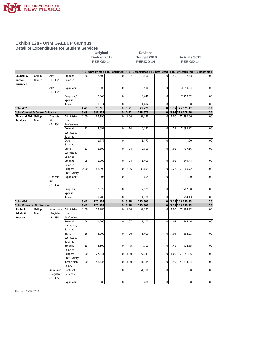

**Detail of Expenditures for Student Services**

# **Original** Revised<br>
Budget 2019 Budget 2019<br>
PERIOD 14 PERIOD 1

#### **Budget 2019 Budget 2019 Actuals 2019 PERIOD 14 PERIOD 14 PERIOD 14**

|                                     |        |               |                     |      |                |                |      | FTE Unrestricted FTE Restricted FTE Unrestricted FTE Restricted |                |      | FTE Unrestricted FTE Restricted |                  |
|-------------------------------------|--------|---------------|---------------------|------|----------------|----------------|------|-----------------------------------------------------------------|----------------|------|---------------------------------|------------------|
| Counsel &                           | Gallup | ADA           | Student             | .26  | 2,500          | 0              | .37  | 2,500                                                           | $\mathbf 0$    | .40  | 7,032.43                        | .00              |
| Career                              | Branch | -BU 432       | Salaries            |      |                |                |      |                                                                 |                |      |                                 |                  |
| Guidance                            |        |               |                     |      |                |                |      |                                                                 |                |      |                                 |                  |
|                                     |        | ADA           | Equipment           |      | 900            | <sub>0</sub>   |      | 900                                                             | $\bf 0$        |      | 3,350.64                        | .00              |
|                                     |        | -BU 432       |                     |      |                |                |      |                                                                 |                |      |                                 |                  |
|                                     |        |               | Supplies_E          |      | 8,840          | $\overline{0}$ |      | 8,840                                                           | $\bf 0$        |      | 7,710.52                        | .00              |
|                                     |        |               | xpense              |      |                |                |      |                                                                 |                |      |                                 |                  |
|                                     |        |               | Travel              |      | 1,814          | $\overline{0}$ |      | 1,814                                                           | $\mathbf 0$    |      | .00                             | .00              |
| Total 432                           |        |               |                     | 1.49 | 73,276         | $\circ$        | 1.51 | 73,276                                                          | $\overline{0}$ | 1.55 | 75,525.47                       | .00              |
| Total Counsel & Career Guidance     |        |               |                     | 8.49 | 382,832        | $\overline{0}$ | 5.81 | 278,378                                                         | $\overline{0}$ |      | 5.94 275,178.06                 | .00 <sub>1</sub> |
| Financial Aid                       | Gallup | Financial     | Administra          | 1.00 | 62,196         | $\overline{0}$ | 1.00 | 62,196                                                          | $\mathbf 0$    | 1.00 | 62, 196.36                      | .00.             |
| Services                            | Branch | Aid           | tive                |      |                |                |      |                                                                 |                |      |                                 |                  |
|                                     |        | -BU 434       | Professional        |      |                |                |      |                                                                 |                |      |                                 |                  |
|                                     |        |               | Federal             | .23  | 4,397          | $\overline{0}$ | .14  | 4,397                                                           | $\mathbf 0$    | .17  | 2,895.22                        | .00              |
|                                     |        |               | Workstudy           |      |                |                |      |                                                                 |                |      |                                 |                  |
|                                     |        |               | Salaries            |      |                |                |      |                                                                 |                |      |                                 |                  |
|                                     |        |               | Other               |      | 1,777          | $\mathbf{0}$   |      | 1,777                                                           | $\bf 0$        |      | .00                             | .00              |
|                                     |        |               | Salaries            |      |                |                |      |                                                                 |                |      |                                 |                  |
|                                     |        |               | State               | .13  | 2,500          | $\overline{0}$ | .04  | 2,500                                                           | $\mathbf 0$    | .03  | 497.16                          | .00              |
|                                     |        |               | Workstudy           |      |                |                |      |                                                                 |                |      |                                 |                  |
|                                     |        |               | Salaries<br>Student | .05  | 1,000          | $\mathbf{0}$   | .04  | 1,000                                                           | $\mathbf 0$    | .03  | 549.44                          | .00              |
|                                     |        |               |                     |      |                |                |      |                                                                 |                |      |                                 |                  |
|                                     |        |               | Salaries<br>Support | 2.00 | 88,899         | $\mathbf{0}$   | 2.36 | 88,899                                                          | $\mathbf 0$    | 2.26 | 71,060.72                       | .00              |
|                                     |        |               | Staff Salary        |      |                |                |      |                                                                 |                |      |                                 |                  |
|                                     |        | Financial     | Equipment           |      | 805            | $\overline{0}$ |      | 805                                                             | $\mathbf 0$    |      | .00                             | .00              |
|                                     |        | Aid           |                     |      |                |                |      |                                                                 |                |      |                                 |                  |
|                                     |        | -BU 434       |                     |      |                |                |      |                                                                 |                |      |                                 |                  |
|                                     |        |               | Supplies_E          |      | 12,529         | $\circ$        |      | 12,529                                                          | $\mathbf 0$    |      | 7,707.80                        | .00              |
|                                     |        |               | xpense              |      |                |                |      |                                                                 |                |      |                                 |                  |
|                                     |        |               | Travel              |      | 1,200          | $\circ$        |      | 1,200                                                           | $\mathbf 0$    |      | 254.13                          | .00              |
| Total 434                           |        |               |                     | 3.41 | 175,303        | 0              | 3.58 | 175,303                                                         | $\overline{0}$ |      | 3.49 145, 160.83                | $.00 \,$         |
| <b>Total Financial Aid Services</b> |        |               |                     | 3.41 | 175,303        | $\overline{0}$ | 3.58 | 175,303                                                         | $\mathbf 0$    |      | 3.49 145, 160.83                | .00              |
| Student                             | Gallup | Admissions    | Administra          | 1.00 | 52,285         | $\mathbf 0$    | 1.00 | 52,285                                                          | $\mathbf 0$    | 1.00 | 52,284.72                       | .00.             |
| Admin &                             | Branch | /Registrar    | tive                |      |                |                |      |                                                                 |                |      |                                 |                  |
| Records                             |        | <b>BU 435</b> | Professional        |      |                |                |      |                                                                 |                |      |                                 |                  |
|                                     |        |               | Federal             | .06  | 1,200          | $\mathbf{0}$   | .07  | 1,200                                                           | $\mathbf 0$    | .07  | 1,164.46                        | .00.             |
|                                     |        |               | Workstudy           |      |                |                |      |                                                                 |                |      |                                 |                  |
|                                     |        |               | Salaries            |      |                |                |      |                                                                 |                |      |                                 |                  |
|                                     |        |               | State               | .16  | 3,000          | $\overline{0}$ | .06  | 3,000                                                           | $\overline{0}$ | .04  | 654.23                          | .00              |
|                                     |        |               | Workstudy           |      |                |                |      |                                                                 |                |      |                                 |                  |
|                                     |        |               | Salaries            |      |                |                |      |                                                                 |                |      |                                 |                  |
|                                     |        |               | Student             | .23  | 4,300          | 0              | .45  | 4,300                                                           | $\mathbf 0$    | .49  | 7,712.65                        | .00              |
|                                     |        |               | Salaries            |      |                |                |      |                                                                 |                |      |                                 |                  |
|                                     |        |               | Support             | 1.00 | 27,241         | $\mathbf{0}$   | 1.00 | 27,241                                                          | $\mathbf 0$    | 1.00 | 27,241.35                       | .00              |
|                                     |        |               | Staff Salary        |      |                |                |      |                                                                 |                |      |                                 |                  |
|                                     |        |               | Technician          | 1.00 | 41,435         | $\mathbf{0}$   | 1.00 | 41,435                                                          | $\mathbf 0$    | .99  | 41,434.84                       | .00              |
|                                     |        |               | Salary              |      |                |                |      |                                                                 |                |      |                                 |                  |
|                                     |        | Admissions    | Contract            |      | $\overline{0}$ | $\mathbf{0}$   |      | 61,110                                                          | $\mathbf 0$    |      | .00                             | .00              |
|                                     |        | /Registrar    | Services            |      |                |                |      |                                                                 |                |      |                                 |                  |
|                                     |        | <b>BU 435</b> |                     |      |                |                |      |                                                                 |                |      |                                 |                  |
|                                     |        |               | Equipment           |      | 600            | 0              |      | 600                                                             | $\overline{0}$ |      | 00 <sub>1</sub>                 | .00              |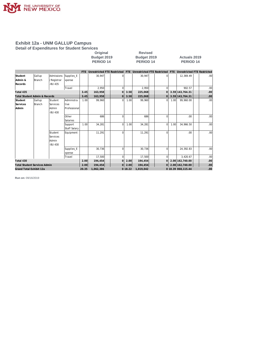

**Detail of Expenditures for Student Services**

| Original         | <b>Revised</b>   |
|------------------|------------------|
| Budget 2019      | Budget 201       |
| <b>PERIOD 14</b> | <b>PERIOD 14</b> |

**Budget 2019 Budget 2019 Actuals 2019 PERIOD 14 PERIOD 14 PERIOD 14**

|                                          |               |                 |              | FTE   |           |          |         | Unrestricted FTE Restricted FTE Unrestricted FTE Restricted |                |      | FTE Unrestricted FTE Restricted |                  |
|------------------------------------------|---------------|-----------------|--------------|-------|-----------|----------|---------|-------------------------------------------------------------|----------------|------|---------------------------------|------------------|
| Student                                  | Gallup        | Admissions      | Supplies_E   |       | 30,947    | $\Omega$ |         | 30.947                                                      |                |      | 12,369.49                       | .00 <sub>1</sub> |
| Admin &                                  | <b>Branch</b> | /Registrar      | xpense       |       |           |          |         |                                                             |                |      |                                 |                  |
| Records                                  |               | -BU 435         |              |       |           |          |         |                                                             |                |      |                                 |                  |
|                                          |               |                 | Travel       |       | 2,950     | $\Omega$ |         | 2,950                                                       | ΩI             |      | 902.57                          | .00 <sub>1</sub> |
| Total 435                                |               |                 |              | 3.45  | 163,958   | $\Omega$ | 3.58    | 225,068                                                     | οl             |      | 3.59 143, 764. 31               | .00              |
| <b>Total Student Admin &amp; Records</b> |               |                 |              | 3.45  | 163,958   | $\Omega$ | 3.58    | 225,068                                                     | 0l             |      | 3.59 143, 764. 31               | .00.             |
| Student                                  | Gallup        | Student         | Administra   | 1.00  | 99,960    | $\Omega$ | 1.00    | 99,960                                                      | ΩI             | 1.00 | 99,960.00                       | .00.             |
| Services                                 | Branch        | <b>Services</b> | tive         |       |           |          |         |                                                             |                |      |                                 |                  |
| Admin                                    |               | Admin           | Professional |       |           |          |         |                                                             |                |      |                                 |                  |
|                                          |               | -BU 430         |              |       |           |          |         |                                                             |                |      |                                 |                  |
|                                          |               |                 | Other        |       | 686       | $\Omega$ |         | 686                                                         | $\Omega$       |      | .00                             | .00              |
|                                          |               |                 | Salaries     |       |           |          |         |                                                             |                |      |                                 |                  |
|                                          |               |                 | Support      | 1.00  | 34.281    | $\Omega$ | 1.00    | 34,281                                                      | ΩI             | 1.00 | 34,966.50                       | .00 <sub>1</sub> |
|                                          |               |                 | Staff Salary |       |           |          |         |                                                             |                |      |                                 |                  |
|                                          |               | Student         | Equipment    |       | 11,291    | $\Omega$ |         | 11.291                                                      | $\Omega$       |      | .00                             | .00 <sub>1</sub> |
|                                          |               | Services        |              |       |           |          |         |                                                             |                |      |                                 |                  |
|                                          |               | Admin           |              |       |           |          |         |                                                             |                |      |                                 |                  |
|                                          |               | -BU 430         |              |       |           |          |         |                                                             |                |      |                                 |                  |
|                                          |               |                 | Supplies_E   |       | 30.736    | $\Omega$ |         | 30.736                                                      | $\Omega$       |      | 24.392.83                       | .00 <sub>1</sub> |
|                                          |               |                 | xpense       |       |           |          |         |                                                             |                |      |                                 |                  |
|                                          |               |                 | Travel       |       | 17,500    | $\Omega$ |         | 17,500                                                      | ΩI             |      | 3,420.67                        | .00 <sub>1</sub> |
| Total 430                                |               |                 |              | 2.00  | 194,454   | $\Omega$ | 2.00    | 194,454                                                     | 0l             |      | 2.00 162,740.00                 | .00              |
| <b>Total Student Services Admin</b>      |               |                 |              | 2.00  | 194,454   | 0        | 2.00    | 194,454                                                     | $\overline{O}$ |      | 2.00 162,740.00                 | .00.             |
| Grand Total Exhibit 12a                  |               |                 |              | 20.35 | 1,062,386 |          | 0 18.22 | 1,019,042                                                   |                |      | 0 18.39 868,115.44              | .00              |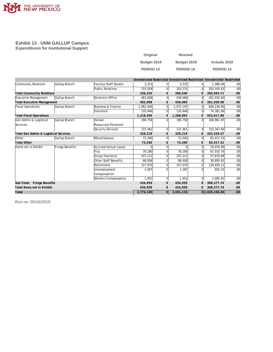

#### **Exhibit 13 - UNM GALLUP Campus Expenditures for Institutional Support**

| Original    | <b>Revised</b> |                      |
|-------------|----------------|----------------------|
| Budget 2019 | Budget 2019    | <b>Actuals 2019</b>  |
| PERIOD 14   | PERIOD 14      | PERIOD <sub>14</sub> |

|                                       |                 |                             |           |                |           |          | Unrestricted Restricted Unrestricted Restricted Unrestricted Restricted |      |
|---------------------------------------|-----------------|-----------------------------|-----------|----------------|-----------|----------|-------------------------------------------------------------------------|------|
| Community Relations                   | Gallup Branch   | Faculty/Staff Senate        | 3,315     | $\Omega$       | 3,315     | 01       | 1,988.08                                                                | .00  |
|                                       |                 | Public Relations            | 233,018   | $\Omega$       | 203,231   | 0l       | 203,505.63                                                              | .00  |
| <b>Total Community Relations</b>      |                 |                             | 236,333   | 0              | 206,546   | 0        | 205,493.71                                                              | .00  |
| Executive Management                  | Gallup Branch   | Director's Office           | 483,008   | $\overline{0}$ | 439,069   | 0l       | 261,930.00                                                              | .00  |
| <b>Total Executive Management</b>     |                 |                             | 483.008   | $\mathbf{0}$   | 439.069   | 0        | 261.930.00                                                              | .00. |
| <b>Fiscal Operations</b>              | Gallup Branch   | Business & Finance          | 1,082,444 | $\mathbf 0$    | 1,073,147 | $\Omega$ | 848,236.80                                                              | .00  |
|                                       |                 | Insurance                   | 135,846   | $\mathbf 0$    | 135,846   | $\Omega$ | 74,381.06                                                               | .00  |
| <b>Total Fiscal Operations</b>        |                 |                             | 1,218,290 | 0              | 1,208,993 | 0        | 922,617.86                                                              | .00  |
| Gen Admin & Logistical                | Gallup Branch   | Human                       | 190,758   | $\Omega$       | 190,758   | $\Omega$ | 108,961.97                                                              | .00  |
| Services                              |                 | Resources/Personnel         |           |                |           |          |                                                                         |      |
|                                       |                 | Security Services           | 137,461   | $\Omega$       | 137,461   | 0l       | 153,367.60                                                              | .00  |
| Total Gen Admin & Logistical Services |                 |                             | 328,219   | 0              | 328,219   | 0        | 262,329.57                                                              | .00. |
| Other                                 | Gallup Branch   | Miscellaneous               | 73,340    | $\Omega$       | 73,340    | 0        | 65,417.52                                                               | .00  |
| <b>Total Other</b>                    |                 |                             | 73,340    | $\mathbf{0}$   | 73,340    | 0        | 65,417.52                                                               | .00  |
| Items not in Exhibit                  | Fringe Benefits | Accrued Annual Leave        | $\Omega$  | 0              |           | 0        | 10,970.99                                                               | .00  |
|                                       |                 | Fica                        | 78.180    | $\Omega$       | 78.180    | 0        | 67,010.78                                                               | .00  |
|                                       |                 | Group Insurance             | 107,212   | $\Omega$       | 107,212   | 0        | 57,819.88                                                               | .00  |
|                                       |                 | Other Staff Benefits        | 88,958    | $\Omega$       | 88,958    | 0        | 39,895.83                                                               | .00  |
|                                       |                 | Retirement                  | 157,070   | $\Omega$       | 157.070   | $\Omega$ | 129.929.12                                                              | .00  |
|                                       |                 | Unemployment                | 1,587     | $\Omega$       | 1,587     | 0        | 655.23                                                                  | .00  |
|                                       |                 | Compensation                |           |                |           |          |                                                                         |      |
|                                       |                 | <b>Workers Compensation</b> | 1,952     | $\Omega$       | 1,952     | 0l       | 2,095.91                                                                | .00  |
| Sub-Total: Fringe Benefits            |                 |                             | 434,959   | $\mathbf{0}$   | 434,959   | 0        | 308, 377.74                                                             | .00. |
| Total Items not in Exhibit            |                 |                             | 434,959   | $\mathbf{0}$   | 434,959   | 0        | 308, 377.74                                                             | .00  |
| Total                                 |                 |                             | 2,774,149 | 0l             | 2,691,126 |          | 0 2,026,166.40                                                          | .00  |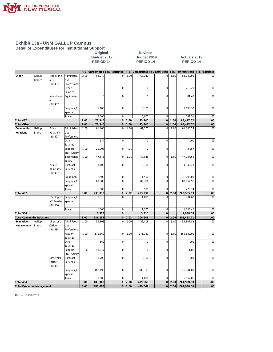

**Detail of Expenditures for Institutional Support**

## **Original Revised**

#### **Budget 2019 Budget 2019 Actuals 2019 PERIOD 14 PERIOD 14 PERIOD 14**

|                                               |                  |                                       |                                    | <b>FTE</b>   | Unrestricted FTE Restricted |                 |              | FTE Unrestricted FTE Restricted |                                  | FTE          | Unrestricted FTE Restricted |                  |
|-----------------------------------------------|------------------|---------------------------------------|------------------------------------|--------------|-----------------------------|-----------------|--------------|---------------------------------|----------------------------------|--------------|-----------------------------|------------------|
| Other                                         | Gallup<br>Branch | Miscellane<br>ous<br><b>BU 437</b>    | Administra<br>tive<br>Professional | 2.00         | 63,240                      | $\pmb{0}$       | 1.00         | 63,240                          | 0                                | 1.00         | 63,240.00                   | .00              |
|                                               |                  |                                       | Other                              |              | 0                           | $\mathbf 0$     |              | $\overline{0}$                  | $\overline{0}$                   |              | 210.21                      | .00              |
|                                               |                  | Miscellane<br>ous                     | Salaries<br>Equipment              |              | $\Omega$                    | $\mathbf 0$     |              | $\mathbf 0$                     | $\overline{0}$                   |              | 81.48                       | .00              |
|                                               |                  | <b>BU 437</b>                         | Supplies_E                         |              | 5,100                       | $\mathbf 0$     |              | 5,100                           | $\overline{0}$                   |              | 1,603.32                    | .00              |
|                                               |                  |                                       | xpense<br>Travel                   |              | 5,000                       | $\mathbf 0$     |              | 5,000                           | $\overline{0}$                   |              | 282.51                      | .00              |
| Total 437                                     |                  |                                       |                                    | 2.00         | 73,340                      | $\Omega$        | 1.00         | 73,340                          | 0                                | 1.00         | 65,417.52                   | .00              |
| <b>Total Other</b>                            |                  |                                       |                                    | 2.00         | 73,340                      | $\overline{0}$  | 1.00         | 73,340                          | $\overline{O}$                   | 1.00         | 65,417.52                   | .00              |
| Community<br>Relations                        | Gallup<br>Branch | Public<br>Relations<br><b>BU 407</b>  | Administra<br>tive<br>Professional | 1.00         | 61,200                      | $\mathbf 0$     | 1.00         | 61,200                          | $\mathbf 0$                      | 1.00         | 61,200.24                   | .00              |
|                                               |                  |                                       | Other<br>Salaries                  |              | 584                         | $\mathbf 0$     |              | $\overline{0}$                  | $\overline{0}$                   |              | .00                         | .00              |
|                                               |                  |                                       | Support<br><b>Staff Salary</b>     | 1.00         | 29,203                      | $\mathbf 0$     | .01          | $\mathbf 0$                     | $\overline{0}$                   |              | 24.57                       | .00              |
|                                               |                  |                                       | Technician<br>Salary               | 1.00         | 47,545                      | $\mathbf 0$     | 1.01         | 47,545                          | $\overline{0}$                   | 1.00         | 47,904.69                   | .00              |
|                                               |                  | Public<br>Relations<br>-BU 407        | Contract<br>Services               |              | 3,100                       | $\mathbf 0$     |              | 3,100                           | $\mathbf 0$                      |              | 4,342.43                    | .00              |
|                                               |                  |                                       | Equipment                          |              | 1,500                       | $\mathbf 0$     |              | 1,500                           | $\overline{0}$                   |              | 799.00                      | .00              |
|                                               |                  |                                       | Supplies_E<br>xpense               |              | 89,386                      | $\mathbf 0$     |              | 89,386                          | $\mathbf 0$                      |              | 88,957.96                   | .00              |
|                                               |                  |                                       | Travel                             |              | 500                         | $\mathbf 0$     |              | 500                             | $\mathbf 0$                      |              | 276.74                      | .00              |
| Total 407                                     |                  |                                       |                                    | 3.00         | 233,018                     | $\overline{0}$  | 2.02         | 203,231                         | $\circ$                          | 2.00         | 203,505.63                  | .00              |
|                                               |                  | Faculty/St<br>aff Senate<br>-BU 500   | Supplies_E<br>xpense               |              | 1,815                       | $\Omega$        |              | 1,815                           | $\Omega$                         |              | 731.62                      | .00              |
|                                               |                  |                                       | Travel                             |              | 1,500                       | $\mathbf 0$     |              | 1,500                           | $\mathbf 0$                      |              | 1,256.46                    | .00              |
| Total 500                                     |                  |                                       |                                    |              | 3,315                       | $\overline{0}$  |              | 3,315                           | $\circ$                          |              | 1,988.08                    | .00              |
| <b>Total Community Relations</b><br>Executive | Gallup           | Director's                            | Administra                         | 3.00<br>1.00 | 236,333<br>59,808           | 0 <br>$\pmb{0}$ | 2.02<br>1.00 | 206,546<br>59,808               | $\overline{O}$<br>$\overline{0}$ | 2.00<br>1.00 | 205,493.71<br>59,807.88     | .00<br>.00       |
| Management                                    | Branch           | Office<br><b>BU 484</b>               | tive<br>Professional               |              |                             |                 |              |                                 |                                  |              |                             |                  |
|                                               |                  |                                       | Faculty<br>Salaries                | 1.00         | 171,360                     | $\mathbf 0$     | 1.00         | 171,360                         | $\overline{0}$                   | 1.00         | 169,680.00                  | .00              |
|                                               |                  |                                       | Other<br>Salaries                  |              | 862                         | $\bf 0$         |              | $\overline{0}$                  | $\overline{0}$                   |              | .00                         | .00              |
|                                               |                  |                                       | Support<br><b>Staff Salary</b>     | 1.00         | 43,077                      | $\mathbf 0$     |              | $\mathsf 0$                     | $\overline{0}$                   |              | 1.06                        | .00              |
|                                               |                  | Director's<br>Office<br><b>BU 484</b> | Contract<br>Services               |              | 8,708                       | $\mathbf 0$     |              | 8,708                           | $\mathbf 0$                      |              | .00                         | .00              |
|                                               |                  |                                       | Supplies_E<br>xpense               |              | 188,193                     | $\mathbf 0$     |              | 188,193                         | $\overline{0}$                   |              | 26,884.00                   | .00              |
|                                               |                  |                                       | Travel                             |              | 11,000                      | $\mathbf 0$     |              | 11,000                          | $\overline{0}$                   |              | 5,557.06                    | .00              |
| Total 484                                     |                  |                                       |                                    | 3.00         | 483,008                     | $\overline{0}$  | 2.00         | 439,069                         | <sub>0</sub>                     | 2.00         | 261,930.00                  | .00              |
| <b>Total Executive Management</b>             |                  |                                       |                                    | 3.00         | 483,008                     | $\Omega$        | 2.00         | 439,069                         | $\overline{O}$                   | 2.00         | 261,930.00                  | .00 <sub>1</sub> |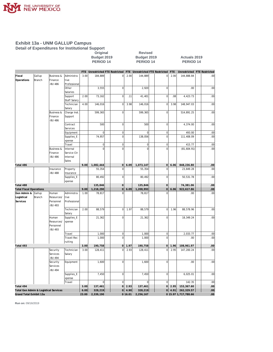

**Detail of Expenditures for Institutional Support**

## **Original Revised**

#### **Budget 2019 Budget 2019 Actuals 2019 PERIOD 14 PERIOD 14 PERIOD 14**

|                                       |        |                                  |                         |       | FTE Unrestricted FTE Restricted |                 |        | FTE Unrestricted FTE Restricted |                                    | <b>FTE</b> | Unrestricted         | <b>FTE Restricted</b> |
|---------------------------------------|--------|----------------------------------|-------------------------|-------|---------------------------------|-----------------|--------|---------------------------------|------------------------------------|------------|----------------------|-----------------------|
| Fiscal                                | Gallup | <b>Business &amp;</b>            | Administra              | 3.00  | 184,889                         | $\overline{0}$  | 2.00   | 144,889                         | $\overline{0}$                     | 2.00       | 144,888.84           | .00                   |
| Operations                            | Branch | Finance                          | tive                    |       |                                 |                 |        |                                 |                                    |            |                      |                       |
|                                       |        | -BU 486                          | Professional            |       |                                 |                 |        |                                 |                                    |            |                      |                       |
|                                       |        |                                  | Other                   |       | 3,555                           | $\overline{0}$  |        | 2,920                           | $\mathbf 0$                        |            | .00                  | .00                   |
|                                       |        |                                  | Salaries                | 2.00  | 73,162                          | $\overline{0}$  | .11    | 41,401                          | $\mathbf 0$                        | .08        | 4,423.73             | .00                   |
|                                       |        |                                  | Support<br>Staff Salary |       |                                 |                 |        |                                 |                                    |            |                      |                       |
|                                       |        |                                  | Technician              | 4.00  | 146,016                         | $\overline{0}$  | 3.98   | 146,016                         | $\mathbf 0$                        | 3.98       | 148,947.03           | .00                   |
|                                       |        |                                  | Salary                  |       |                                 |                 |        |                                 |                                    |            |                      |                       |
|                                       |        | <b>Business &amp;</b>            | Charge Inst             |       | 599,365                         | $\overline{0}$  |        | 599,365                         | $\bf 0$                            |            | 514,891.25           | .00                   |
|                                       |        | Finance                          | Support                 |       |                                 |                 |        |                                 |                                    |            |                      |                       |
|                                       |        | -BU 486                          |                         |       |                                 |                 |        |                                 |                                    |            |                      |                       |
|                                       |        |                                  | Contract                |       | 500                             | $\overline{0}$  |        | 500                             | $\mathbf 0$                        |            | 4,374.00             | .00                   |
|                                       |        |                                  | Services                |       |                                 |                 |        |                                 |                                    |            |                      |                       |
|                                       |        |                                  | Equipment               |       | $\mathbf 0$                     | 0               |        | $\mathsf{O}\xspace$             | $\mathbf 0$                        |            | 493.00               | .00                   |
|                                       |        |                                  | Supplies_E              |       | 74,957                          | $\mathbf 0$     |        | 138,056                         | $\mathbf 0$                        |            | 111,408.09           | .00                   |
|                                       |        |                                  | xpense                  |       |                                 |                 |        |                                 |                                    |            |                      |                       |
|                                       |        |                                  | Travel                  |       | $\overline{0}$                  | 0               |        | $\mathbf 0$                     | $\overline{0}$                     |            | 415.77               | .00                   |
|                                       |        | <b>Business &amp;</b><br>Finance | Internal<br>Service Ctr |       | $\overline{0}$                  | $\overline{0}$  |        | $\mathsf 0$                     | $\bf 0$                            |            | (81,604.91)          | .00                   |
|                                       |        | -BU 486                          | Internal                |       |                                 |                 |        |                                 |                                    |            |                      |                       |
|                                       |        |                                  | Sales                   |       |                                 |                 |        |                                 |                                    |            |                      |                       |
| Total 486                             |        |                                  |                         | 9.00  | 1,082,444                       | 0               | 6.09   | 1,073,147                       | 0                                  | 6.06       | 848,236.80           | .00                   |
|                                       |        | Insurance                        | Property                |       | 55,354                          | $\overline{0}$  |        | 55,354                          | $\mathbf 0$                        |            | 23,849.28            | .00                   |
|                                       |        | -BU 488                          | Insurance               |       |                                 |                 |        |                                 |                                    |            |                      |                       |
|                                       |        |                                  | Supplies_E              |       | 80,492                          | $\mathbf 0$     |        | 80,492                          | $\mathbf 0$                        |            | 50,531.78            | .00                   |
|                                       |        |                                  | xpense                  |       |                                 |                 |        |                                 |                                    |            |                      |                       |
| Total 488                             |        |                                  |                         |       | 135,846                         | 0               |        | 135,846                         | $\overline{0}$                     |            | 74,381.06            | .00                   |
| <b>Total Fiscal Operations</b>        |        |                                  |                         | 9.00  | 1,218,290                       | $\overline{0}$  | 6.09   | 1,208,993                       | $\mathsf{O}\xspace$                | 6.06       | 922,617.86           | .00                   |
| Gen Admin &                           | Gallup | Human                            | Administra              | 1.00  | 78,817                          | $\Omega$        |        | 78,817                          | $\Omega$                           |            | .00.                 | .00                   |
| Logistical                            | Branch | Resources/                       | tive                    |       |                                 |                 |        |                                 |                                    |            |                      |                       |
| Services                              |        | Personnel<br>-BU 493             | Professional            |       |                                 |                 |        |                                 |                                    |            |                      |                       |
|                                       |        |                                  | Technician              | 2.00  | 88,579                          | <sub>0</sub>    | 1.97   | 88,579                          | $\mathbf 0$                        | 1.96       | 88,578.96            | .00                   |
|                                       |        |                                  | Salary                  |       |                                 |                 |        |                                 |                                    |            |                      |                       |
|                                       |        | Human                            | Supplies_E              |       | 21,362                          | $\mathbf 0$     |        | 21,362                          | $\mathbf 0$                        |            | 18,349.24            | .00                   |
|                                       |        | Resources/                       | xpense                  |       |                                 |                 |        |                                 |                                    |            |                      |                       |
|                                       |        | Personnel                        |                         |       |                                 |                 |        |                                 |                                    |            |                      |                       |
|                                       |        | -BU 493                          |                         |       |                                 |                 |        |                                 |                                    |            |                      |                       |
|                                       |        |                                  | Travel                  |       | 1,000                           | $\vert 0 \vert$ |        | 1,000                           | $\mathbf 0$                        |            | 2,033.77             | .00                   |
|                                       |        |                                  | Travel-Rec              |       | 1,000                           | $\overline{0}$  |        | 1,000                           | $\overline{0}$                     |            | .00.                 | .00                   |
|                                       |        |                                  | ruiting                 |       |                                 |                 |        |                                 |                                    |            |                      |                       |
| Total 493                             |        |                                  |                         | 3.00  | 190,758                         | 0               | 1.97   | 190,758                         | $\mathsf{O}\xspace$<br>$\mathbf 0$ | 1.96       | 108,961.97           | .00                   |
|                                       |        | Security<br>Services             | Technician<br>Salary    | 3.00  | 128,411                         | $\mathbf 0$     | 2.93   | 128,411                         |                                    | 2.95       | 147,200.24           | .00                   |
|                                       |        | -BU 494                          |                         |       |                                 |                 |        |                                 |                                    |            |                      |                       |
|                                       |        | Security                         | Equipment               |       | 1,600                           | $\overline{0}$  |        | 1,600                           | $\mathbf 0$                        |            | .00                  | .00                   |
|                                       |        | Services                         |                         |       |                                 |                 |        |                                 |                                    |            |                      |                       |
|                                       |        | -BU 494                          |                         |       |                                 |                 |        |                                 |                                    |            |                      |                       |
|                                       |        |                                  | Supplies_E              |       | 7,450                           | 0               |        | 7,450                           | $\overline{0}$                     |            | 6,025.01             | .00                   |
|                                       |        |                                  | xpense                  |       |                                 |                 |        |                                 |                                    |            |                      |                       |
|                                       |        |                                  | Travel                  |       | $\mathbf 0$                     | $\overline{0}$  |        | $\mathbf 0$                     | $\mathbf 0$                        |            | 142.35               | .00                   |
| Total 494                             |        |                                  |                         | 3.00  | 137,461                         | 0               | 2.93   | 137,461                         | $\circ$                            | 2.95       | 153,367.60           | .00 <sub>1</sub>      |
| Total Gen Admin & Logistical Services |        |                                  |                         | 6.00  | 328,219                         | 0               | 4.90   | 328,219                         |                                    | 0   4.91   | 262,329.57           | .00 <sub>1</sub>      |
| Grand Total Exhibit 13a               |        |                                  |                         | 23.00 | 2,339,190                       |                 | 016.01 | 2,256,167                       |                                    |            | 0 15.97 1,717,788.66 | .00                   |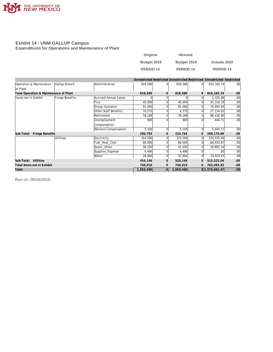

#### **Exhibit 14 - UNM GALLUP Campus Expenditures for Operations and Maintenance of Plant**

| Original    | <b>Revised</b>   |                      |
|-------------|------------------|----------------------|
| Budget 2019 | Budget 2019      | <b>Actuals 2019</b>  |
| PERIOD 14   | <b>PERIOD 14</b> | PERIOD <sub>14</sub> |

|                                        |                 |                             |           |                |           |    | Unrestricted Restricted Unrestricted Restricted Unrestricted Restricted |                  |
|----------------------------------------|-----------------|-----------------------------|-----------|----------------|-----------|----|-------------------------------------------------------------------------|------------------|
| Operation & Maintenance<br>of Plant    | Gallup Branch   | Administration              | 818,580   | $\Omega$       | 818,580   | ΩI | 810, 165. 74                                                            | .00 <sub>1</sub> |
| Total Operation & Maintenance of Plant |                 |                             | 818,580   | $\mathbf{0}$   | 818,580   | 0  | 810, 165. 74                                                            | .00              |
| Items not in Exhibit                   | Fringe Benefits | <b>Accrued Annual Leave</b> |           |                |           |    | 2,325.86                                                                | .00              |
|                                        |                 | Fica                        | 45,000    |                | 45,000    |    | 47,218.29                                                               | .00              |
|                                        |                 | Group Insurance             | 91,000    |                | 91,000    |    | 76,944.94                                                               | .00 <sub>l</sub> |
|                                        |                 | Other Staff Benefits        | 70,575    |                | 4,575     |    | 27,124.02                                                               | .00              |
|                                        |                 | Retirement                  | 78,189    |                | 78,189    |    | 88,418.80                                                               | .00 <sub>l</sub> |
|                                        |                 | Unemployment                | 900       |                | 900       |    | 444.71                                                                  | .00 <sub>l</sub> |
|                                        |                 | Compensation                |           |                |           |    |                                                                         |                  |
|                                        |                 | Workers Compensation        | 5,100     | $\Omega$       | 5,100     | ΩI | 5,694.27                                                                | .00 <sub>1</sub> |
| Fringe Benefits<br>Sub-Total:          |                 |                             | 290,764   | $\mathbf{O}$   | 224,764   | 0  | 248,170.89                                                              | .00.             |
|                                        | Utilities       | Electricity                 | 314,500   |                | 373,500   | ΩI | 374,375.66                                                              | .00              |
|                                        |                 | Fuel Heat Cool              | 68,000    |                | 68,000    |    | 68,033.67                                                               | .00              |
|                                        |                 | Sewer Other                 | 38,250    |                | 41,550    | ΩI | 39,892.24                                                               | .00 <sub>l</sub> |
|                                        |                 | Supplies_Expense            | 4,496     |                | 4,496     |    | .00                                                                     | .00              |
|                                        |                 | Water                       | 28,900    | $\overline{0}$ | 32,600    | ΩI | 33,023.47                                                               | .00              |
| Sub-Total: Utilities                   |                 |                             | 454,146   | $\mathbf{0}$   | 520,146   | 0  | 515,325.04                                                              | .00.             |
| Total Items not in Exhibit             |                 |                             | 744,910   | $\mathbf{O}$   | 744,910   |    | 763,495.93                                                              | .00.             |
| Total                                  |                 |                             | 1,563,490 | 0              | 1,563,490 |    | 0 1,573,661.67                                                          | .00.             |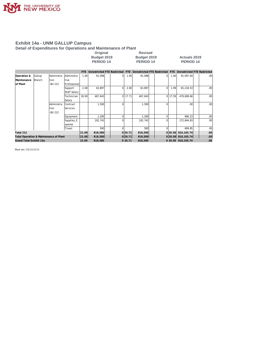

**Detail of Expenditures for Operations and Maintenance of Plant**

| <b>Original</b> | <b>Revised</b> |              |
|-----------------|----------------|--------------|
| Budget 2019     | Budget 2019    | Actuals 2019 |
| PERIOD 14       | PERIOD 14      | PERIOD 14    |
|                 |                |              |

|                                        |        |             |                     | FTE.    | Unrestricted FTE Restricted |         | <b>FTE</b> | Unrestricted FTE Restricted |         | <b>FTE</b>   | Unrestricted FTE Restricted |                  |
|----------------------------------------|--------|-------------|---------------------|---------|-----------------------------|---------|------------|-----------------------------|---------|--------------|-----------------------------|------------------|
| Operation &                            | Gallup | lAdministra | Administra          | 1.00    | 91,098                      | 0l      | 1.00       | 91.098                      | ΩI      | 1.00         | 91,097.64                   | .00 <sub>1</sub> |
| Maintenance                            | Branch | Ition       | tive                |         |                             |         |            |                             |         |              |                             |                  |
| of Plant                               |        | -BU 212     | Professional        |         |                             |         |            |                             |         |              |                             |                  |
|                                        |        |             | Support             | 2.00    | 63,897                      | ΩI      | 2.00       | 63,897                      |         | 1.991        | 65,218.53                   | .00 <sub>1</sub> |
|                                        |        |             | <b>Staff Salarv</b> |         |                             |         |            |                             |         |              |                             |                  |
|                                        |        |             | Technician          | 18.00   | 467,643                     | ΩI      | 17.71      | 467,643                     | ΩI      | 17.59        | 479,608.66                  | .00 <sub>1</sub> |
|                                        |        |             | Salary              |         |                             |         |            |                             |         |              |                             |                  |
|                                        |        | Administra  | Contract            |         | 1,500                       | ΩI      |            | 1,500                       |         |              | .00                         | .00 <sub>1</sub> |
|                                        |        | Ition       | Services            |         |                             |         |            |                             |         |              |                             |                  |
|                                        |        | -BU 212     |                     |         |                             |         |            |                             |         |              |                             |                  |
|                                        |        |             | Equipment           |         | 1,200                       | Ωl      |            | 1,200                       |         |              | 696.23                      | .00              |
|                                        |        |             | Supplies E          |         | 192,742                     | ΩI      |            | 192,742                     |         |              | 172,844.83                  | .00 <sub>1</sub> |
|                                        |        |             | xpense              |         |                             |         |            |                             |         |              |                             |                  |
|                                        |        |             | Travel              |         | 500                         |         |            | 500                         |         |              | 699.85                      | .00              |
| Total 212                              |        |             | 21.00               | 818,580 |                             | 0 20.71 | 818,580    |                             | 0 20.58 | 810, 165. 74 | .00                         |                  |
| Total Operation & Maintenance of Plant |        |             |                     | 21.00   | 818,580                     |         | 0 20.71    | 818,580                     |         |              | 0 20.58 810, 165.74         | .00 <sub>1</sub> |
| Grand Total Exhibit 14a                |        |             |                     | 21.00   | 818,580                     |         | 0 20.71    | 818,580                     |         |              | 0 20.58 810, 165.74         | .00              |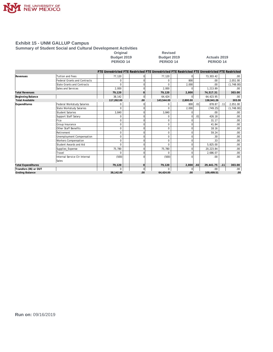

#### **Summary of Student Social and Cultural Development Activities**

Original Revised<br>Budget 2019 Budget 201<br>PERIOD 14 PERIOD 14

|                           |                                     |            |              | FTE Unrestricted FTE Restricted FTE Unrestricted FTE Restricted FTE Unrestricted FTE Restricted |          |     |            |     |            |
|---------------------------|-------------------------------------|------------|--------------|-------------------------------------------------------------------------------------------------|----------|-----|------------|-----|------------|
| Revenues                  | <b>Tuition and Fees</b>             | 77,120     |              | 77,120                                                                                          |          |     | 73,303.42  |     | .00        |
|                           | <b>Federal Grants and Contracts</b> | O          |              |                                                                                                 | 800      |     | .00.       |     | 2,051.00   |
|                           | <b>State Grants and Contracts</b>   | O          |              |                                                                                                 | 2,000    |     | .00        |     | (1,748.00) |
|                           | Sales and Services                  | 2,000      |              | 2,000                                                                                           |          |     | 1,213.89   |     | .00        |
| <b>Total Revenues</b>     |                                     | 79,120     | $\mathbf{O}$ | 79,120                                                                                          | 2,800    |     | 74,517.31  |     | 303.00     |
| Beginning Balance         |                                     | 38,142     | $\Omega$     | 64,424                                                                                          | $\Omega$ |     | 64,423.95  |     | .00.       |
| <b>Total Available</b>    |                                     | 117,262.00 | .00          | 143,544.00                                                                                      | 2,800.00 |     | 138,941.26 |     | 303.00     |
| Expenditures              | Federal Workstudy Salaries          | N          |              |                                                                                                 | 800      | .01 | 878.87     | .11 | 2,051.00   |
|                           | State Workstudy Salaries            | 0          |              | <sup>n</sup>                                                                                    | 2,000    |     | (749.25)   |     | (1,748.00) |
|                           | <b>Student Salaries</b>             | 3,840      | $\Omega$     | 3,840                                                                                           | C        |     | .00        |     | .00        |
|                           | Support Staff Salary                | 0          |              |                                                                                                 | $\Omega$ | .01 | 426.18     |     | .00        |
|                           | Fica                                | 0          |              | $\Omega$                                                                                        |          |     | 31.17      |     | .00        |
|                           | Group Insurance                     | 0          | $\Omega$     | $\Omega$                                                                                        | $\Omega$ |     | 41.84      |     | .00        |
|                           | Other Staff Benefits                | $\Omega$   | $\Omega$     | $\Omega$                                                                                        | $\Omega$ |     | 18.16      |     | .00        |
|                           | Retirement                          | $\Omega$   |              | $\Omega$                                                                                        |          |     | 59.24      |     | .00        |
|                           | Unemployment Compensation           | $\Omega$   |              | $\Omega$                                                                                        |          |     | .30        |     | .00        |
|                           | <b>Workers Compensation</b>         | $\Omega$   | $\Omega$     | $\Omega$                                                                                        | $\Omega$ |     | .33        |     | .00        |
|                           | Student Awards and Aid              | 0          |              | <sup>0</sup>                                                                                    | U        |     | 5,825.00   |     | .00        |
|                           | Supplies_Expense                    | 75,780     |              | 75,780                                                                                          | $\Omega$ |     | 20,223.84  |     | .00        |
|                           | Travel                              | O          |              |                                                                                                 |          |     | 2,686.07   |     | .00        |
|                           | Internal Service Ctr Internal       | (500)      | $\Omega$     | (500)                                                                                           |          |     | .00        |     | .00.       |
|                           | Sales                               |            |              |                                                                                                 |          |     |            |     |            |
| <b>Total Expenditures</b> |                                     | 79,120     | $\Omega$     | 79.120                                                                                          | 2,800    | .02 | 29,441.75  | .11 | 303.00     |
| Transfers (IN) or OUT     |                                     | 0          | $\Omega$     |                                                                                                 | $\Omega$ |     | .00.       |     | .00.       |
| <b>Ending Balance</b>     |                                     | 38,142.00  | .00          | 64,424.00                                                                                       | .00      |     | 109,499.51 |     | .00        |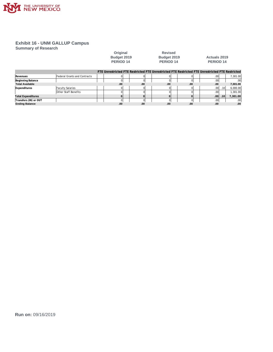

**Summary of Research**

| Original          |
|-------------------|
| <b>Budget 201</b> |
| <b>DEDIAN 14</b>  |

d Revised<br>**PERIOP 14**<br>PERIOP 14

**Budget 2019 Budget 2019 Actuals 2019** PERIOD 14 PERIOD 14 PERIOD 14

|                           |                              | FTE Unrestricted FTE Restricted FTE Unrestricted FTE Restricted FTE Unrestricted FTE Restricted |     |     |     |                  |      |                  |
|---------------------------|------------------------------|-------------------------------------------------------------------------------------------------|-----|-----|-----|------------------|------|------------------|
| Revenues                  | Federal Grants and Contracts |                                                                                                 |     |     |     | .00              |      | 7.301.00         |
| Beginning Balance         |                              |                                                                                                 |     |     |     | .00'             |      | .00 <sub>1</sub> |
| <b>Total Available</b>    |                              | .00                                                                                             | .00 | .00 | .00 | .00              |      | 7,301.00         |
| Expenditures              | <b>Faculty Salaries</b>      |                                                                                                 |     |     |     | .00 <sub>l</sub> | .101 | 6,000.00         |
|                           | Other Staff Benefits         |                                                                                                 |     |     |     | .00'             |      | 1.301.00         |
| <b>Total Expenditures</b> |                              |                                                                                                 |     |     |     | .00 <sub>1</sub> | .10  | 7,301.00         |
| Transfers (IN) or OUT     |                              |                                                                                                 |     |     |     | .00 <sup>1</sup> |      | .00.             |
| <b>Ending Balance</b>     |                              | .00                                                                                             | .00 | .00 | .00 | .00              |      | .00              |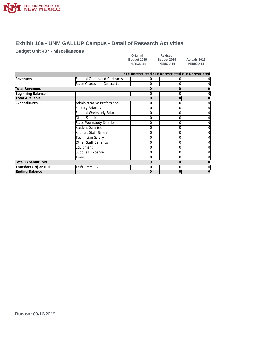

## **Exhibit 16a - UNM GALLUP Campus - Detail of Research Activities**

#### **Budget Unit 437 - Miscellaneous**

| Original    | Revised              |            |
|-------------|----------------------|------------|
| Budget 2019 | Budget 2019          | Actu       |
| PERIOD 14   | PERIOD <sub>14</sub> | <b>PEF</b> |

|                           |                                     |   | FTE Unrestricted FTE Unrestricted FTE Unrestricted |  |
|---------------------------|-------------------------------------|---|----------------------------------------------------|--|
| Revenues                  | <b>Federal Grants and Contracts</b> |   |                                                    |  |
|                           | State Grants and Contracts          |   |                                                    |  |
| <b>Total Revenues</b>     |                                     |   |                                                    |  |
| Beginning Balance         |                                     |   |                                                    |  |
| <b>Total Available</b>    |                                     |   |                                                    |  |
| <b>Expenditures</b>       | Administrative Professional         |   |                                                    |  |
|                           | <b>Faculty Salaries</b>             | U |                                                    |  |
|                           | Federal Workstudy Salaries          |   |                                                    |  |
|                           | Other Salaries                      | 0 |                                                    |  |
|                           | State Workstudy Salaries            |   |                                                    |  |
|                           | Student Salaries                    | 0 |                                                    |  |
|                           | Support Staff Salary                |   |                                                    |  |
|                           | Technician Salary                   |   |                                                    |  |
|                           | Other Staff Benefits                |   |                                                    |  |
|                           | Equipment                           |   |                                                    |  |
|                           | Supplies_Expense                    | 0 |                                                    |  |
|                           | Travel                              | 0 |                                                    |  |
| <b>Total Expenditures</b> |                                     |   |                                                    |  |
| Transfers (IN) or OUT     | Trsfr From I G                      | 0 |                                                    |  |
| <b>Ending Balance</b>     |                                     |   |                                                    |  |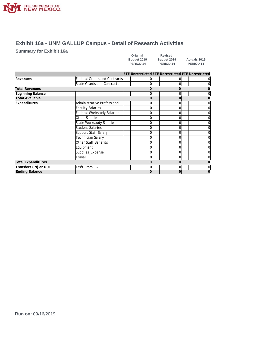

### **Exhibit 16a - UNM GALLUP Campus - Detail of Research Activities**

#### **Summary for Exhibit 16a**

| Original    | <b>Revised</b>       |
|-------------|----------------------|
| Budget 2019 | Budget 2019          |
| PERIOD 14   | PERIOD <sub>14</sub> |

|                           |                                     |   | FTE Unrestricted FTE Unrestricted FTE Unrestricted |   |
|---------------------------|-------------------------------------|---|----------------------------------------------------|---|
| Revenues                  | <b>Federal Grants and Contracts</b> |   |                                                    |   |
|                           | <b>State Grants and Contracts</b>   |   |                                                    |   |
| <b>Total Revenues</b>     |                                     |   |                                                    |   |
| Beginning Balance         |                                     |   |                                                    |   |
| <b>Total Available</b>    |                                     |   |                                                    |   |
| <b>Expenditures</b>       | Administrative Professional         |   |                                                    |   |
|                           | <b>Faculty Salaries</b>             | 0 | 0                                                  | 0 |
|                           | <b>Federal Workstudy Salaries</b>   |   |                                                    |   |
|                           | Other Salaries                      |   |                                                    | 0 |
|                           | State Workstudy Salaries            |   |                                                    |   |
|                           | <b>Student Salaries</b>             |   |                                                    |   |
|                           | Support Staff Salary                |   |                                                    |   |
|                           | Technician Salary                   |   |                                                    |   |
|                           | Other Staff Benefits                |   |                                                    |   |
|                           | Equipment                           |   |                                                    |   |
|                           | Supplies_Expense                    | 0 | 0                                                  | 0 |
|                           | Travel                              | 0 | U                                                  |   |
| <b>Total Expenditures</b> |                                     |   |                                                    |   |
| Transfers (IN) or OUT     | Trsfr From I G                      |   |                                                    | ი |
| <b>Ending Balance</b>     |                                     |   |                                                    |   |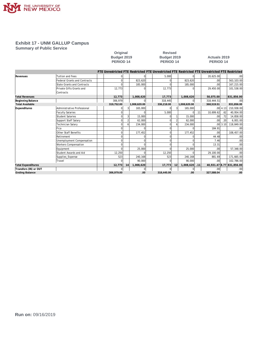

#### **Summary of Public Service**

# Original Revised<br>
Budget 2019 Budget 2019<br>
PERIOD 14 PERIOD 1

|                           |                                     |            |    |              | FTE Unrestricted FTE Restricted FTE Unrestricted FTE Restricted FTE Unrestricted FTE Restricted |    |              |     |                  |          |                           |
|---------------------------|-------------------------------------|------------|----|--------------|-------------------------------------------------------------------------------------------------|----|--------------|-----|------------------|----------|---------------------------|
| Revenues                  | Tuition and Fees                    |            |    |              | 5.000                                                                                           |    |              |     | 20,625.00        |          | .00 <sub>1</sub>          |
|                           | <b>Federal Grants and Contracts</b> |            |    | 823.620      |                                                                                                 |    | 823.620      |     | .00              |          | 563,103.00                |
|                           | <b>State Grants and Contracts</b>   |            |    | 185,000      |                                                                                                 |    | 185,000      |     | .00              |          | 167,215.00                |
|                           | Private Gifts Grants and            | 12.773     |    |              | 12.773                                                                                          |    |              |     | 29.450.00        |          | 101.538.00                |
|                           | Contracts                           |            |    |              |                                                                                                 |    |              |     |                  |          |                           |
| <b>Total Revenues</b>     |                                     | 12,773     |    | 1.008.620    | 17,773                                                                                          |    | 1.008.620    |     | 50.075.00        |          | 831,856.00                |
| Beginning Balance         |                                     | 306,979    |    | $\Omega$     | 318,445                                                                                         |    | U            |     | 318,444.51       |          | .00 <sub>1</sub>          |
| <b>Total Available</b>    |                                     | 319,752.00 |    | 1,008,620.00 | 336,218.00                                                                                      |    | 1,008,620.00 |     | 368,519.51       |          | 831,856.00                |
| Expenditures              | Administrative Professional         |            | 3  | 165,000      |                                                                                                 |    | 165,000      |     |                  | .00 4.13 | 210,938.00                |
|                           | <b>Faculty Salaries</b>             |            |    |              | 5.000                                                                                           |    | U            | .11 | 10.699.62        | .62      | 40,954.00                 |
|                           | <b>Student Salaries</b>             |            |    | 15,000       |                                                                                                 |    | 15,000       |     | .00 <sub>1</sub> | .72      | 14,858.00                 |
|                           | Support Staff Salary                |            |    | 62.000       |                                                                                                 |    | 62.000       |     | .00 <sub>1</sub> | .20      | 6,001.00                  |
|                           | Technician Salary                   |            |    | 234,000      |                                                                                                 |    | 234,000      |     |                  | .0013.10 | 118,849.00                |
|                           | Fica                                |            |    |              |                                                                                                 |    |              |     | 184.91           |          | .00 <sub>1</sub>          |
|                           | Other Staff Benefits                |            |    | 177.452      |                                                                                                 |    | 177,452      |     | .00              |          | 108,457.00                |
|                           | Retirement                          |            |    |              |                                                                                                 |    |              |     | 44.48            |          | .00 <sub>1</sub>          |
|                           | Unemployment Compensation           |            |    |              |                                                                                                 |    |              |     | 7.46             |          | .00 <sub>1</sub>          |
|                           | <b>Workers Compensation</b>         |            |    |              |                                                                                                 |    |              |     | 13.31            |          | .00 <sub>l</sub>          |
|                           | Equipment                           |            |    | 25,000       |                                                                                                 |    | 25,000       |     | .00              |          | 57,348.00                 |
|                           | Student Awards and Aid              | 12,250     |    |              | 12,250                                                                                          |    |              |     | 29.100.00        |          | .00 <sub>l</sub>          |
|                           | Supplies_Expense                    | 523        |    | 240,168      | 523                                                                                             |    | 240,168      |     | 881.69           |          | 171,665.00                |
|                           | Travel                              |            |    | 90.000       |                                                                                                 |    | 90.000       |     | .00              |          | 102,786.00                |
| <b>Total Expenditures</b> |                                     | 12,773     | 14 | 1.008.620    | 17.773                                                                                          | 12 | 1.008.620    | .11 |                  |          | 40,931.47 8.77 831,856.00 |
| Transfers (IN) or OUT     |                                     |            |    | 0            |                                                                                                 |    | U            |     | .00 <sub>1</sub> |          | .00 <sub>1</sub>          |
| <b>Ending Balance</b>     |                                     | 306,979.00 |    | .00          | 318,445.00                                                                                      |    | .00          |     | 327,588.04       |          | .00                       |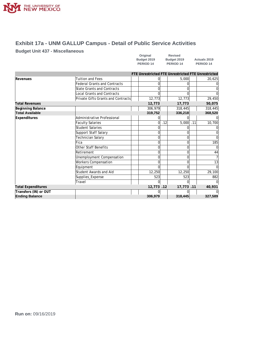

## **Exhibit 17a - UNM GALLUP Campus - Detail of Public Service Activities**

#### **Budget Unit 437 - Miscellaneous**

| Original    | Revised              |                      |
|-------------|----------------------|----------------------|
| Budget 2019 | Budget 2019          | <b>Actuals 2019</b>  |
| PERIOD 14   | PERIOD <sub>14</sub> | PERIOD <sub>14</sub> |

|                           |                                    | FTE Unrestricted FTE Unrestricted FTE Unrestricted |     |           |     |         |
|---------------------------|------------------------------------|----------------------------------------------------|-----|-----------|-----|---------|
| Revenues                  | Tuition and Fees                   |                                                    |     | 5,000     |     | 20,625  |
|                           | Federal Grants and Contracts       |                                                    |     |           |     |         |
|                           | <b>State Grants and Contracts</b>  |                                                    |     |           |     |         |
|                           | <b>Local Grants and Contracts</b>  |                                                    |     |           |     |         |
|                           | Private Gifts Grants and Contracts | 12,773                                             |     | 12,773    |     | 29,450  |
| <b>Total Revenues</b>     |                                    | 12,773                                             |     | 17,773    |     | 50,075  |
| Beginning Balance         |                                    | 306,979                                            |     | 318,445   |     | 318,445 |
| <b>Total Available</b>    |                                    | 319,752                                            |     | 336,218   |     | 368,520 |
| Expenditures              | Administrative Professional        |                                                    |     |           |     |         |
|                           | <b>Faculty Salaries</b>            | $\Omega$                                           | .12 | 5,000     | .11 | 10,700  |
|                           | <b>Student Salaries</b>            |                                                    |     |           |     |         |
|                           | Support Staff Salary               |                                                    |     |           |     |         |
|                           | Technician Salary                  |                                                    |     |           |     |         |
|                           | Fica                               |                                                    |     |           |     | 185     |
|                           | <b>Other Staff Benefits</b>        |                                                    |     |           |     |         |
|                           | Retirement                         |                                                    |     |           |     | 44      |
|                           | Unemployment Compensation          |                                                    |     |           |     |         |
|                           | <b>Workers Compensation</b>        |                                                    |     |           |     | 13      |
|                           | Equipment                          |                                                    |     |           |     |         |
|                           | Student Awards and Aid             | 12,250                                             |     | 12,250    |     | 29,100  |
|                           | Supplies_Expense                   | 523                                                |     | 523       |     | 882     |
|                           | Travel                             |                                                    |     |           |     |         |
| <b>Total Expenditures</b> |                                    | 12,773.12                                          |     | 17,773.11 |     | 40,931  |
| Transfers (IN) or OUT     |                                    |                                                    |     |           |     |         |
| <b>Ending Balance</b>     |                                    | 306,979                                            |     | 318,445   |     | 327,589 |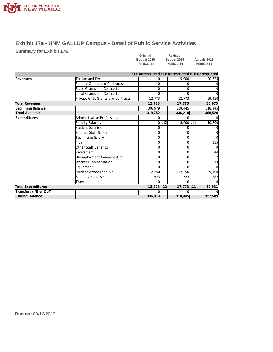

### **Exhibit 17a - UNM GALLUP Campus - Detail of Public Service Activities**

#### **Summary for Exhibit 17a**

| Original    | <b>Revised</b>       |                      |
|-------------|----------------------|----------------------|
| Budget 2019 | Budget 2019          | <b>Actuals 2019</b>  |
| PERIOD 14   | PERIOD <sub>14</sub> | PERIOD <sub>14</sub> |

|                           |                                     | FTE Unrestricted FTE Unrestricted FTE Unrestricted |     |           |     |                |
|---------------------------|-------------------------------------|----------------------------------------------------|-----|-----------|-----|----------------|
| Revenues                  | <b>Tuition and Fees</b>             |                                                    |     | 5,000     |     | 20,625         |
|                           | <b>Federal Grants and Contracts</b> |                                                    |     |           |     | $\Omega$       |
|                           | State Grants and Contracts          |                                                    |     |           |     | $\overline{0}$ |
|                           | <b>Local Grants and Contracts</b>   |                                                    |     |           |     | $\Omega$       |
|                           | Private Gifts Grants and Contracts  | 12,773                                             |     | 12,773    |     | 29,450         |
| <b>Total Revenues</b>     |                                     | 12,773                                             |     | 17,773    |     | 50,075         |
| Beginning Balance         |                                     | 306,979                                            |     | 318,445   |     | 318,445        |
| <b>Total Available</b>    |                                     | 319,752                                            |     | 336,218   |     | 368,520        |
| Expenditures              | Administrative Professional         |                                                    |     |           |     | $\overline{0}$ |
|                           | <b>Faculty Salaries</b>             | 0                                                  | .12 | 5,000     | .11 | 10,700         |
|                           | Student Salaries                    |                                                    |     |           |     | $\Omega$       |
|                           | Support Staff Salary                | U                                                  |     |           |     | $\overline{0}$ |
|                           | Technician Salary                   |                                                    |     |           |     | $\overline{0}$ |
|                           | Fica                                | <sup>0</sup>                                       |     | $\Omega$  |     | 185            |
|                           | Other Staff Benefits                | U                                                  |     | 0         |     | $\Omega$       |
|                           | Retirement                          | U                                                  |     | $\Omega$  |     | 44             |
|                           | Unemployment Compensation           |                                                    |     | 0         |     | $\overline{7}$ |
|                           | <b>Workers Compensation</b>         |                                                    |     |           |     | 13             |
|                           | Equipment                           |                                                    |     |           |     | $\Omega$       |
|                           | Student Awards and Aid              | 12,250                                             |     | 12,250    |     | 29,100         |
|                           | Supplies_Expense                    | 523                                                |     | 523       |     | 882            |
|                           | Travel                              |                                                    |     |           |     |                |
| <b>Total Expenditures</b> |                                     | 12,773.12                                          |     | 17,773.11 |     | 40,931         |
| Transfers (IN) or OUT     |                                     |                                                    |     |           |     | $\Omega$       |
| <b>Ending Balance</b>     |                                     | 306,979                                            |     | 318,445   |     | 327,589        |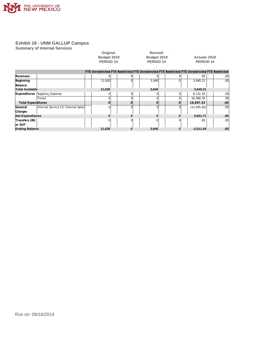

#### **Summary of Internal Services**

|                           |                                       | Original         |          | <b>Revised</b>                                                                                  |          |                      |     |
|---------------------------|---------------------------------------|------------------|----------|-------------------------------------------------------------------------------------------------|----------|----------------------|-----|
|                           |                                       | Budget 2019      |          | Budget 2019                                                                                     |          | <b>Actuals 2019</b>  |     |
|                           |                                       | <b>PERIOD 14</b> |          | PERIOD <sub>14</sub>                                                                            |          | PERIOD <sub>14</sub> |     |
|                           |                                       |                  |          |                                                                                                 |          |                      |     |
|                           |                                       |                  |          | FTE Unrestricted FTE Restricted FTE Unrestricted FTE Restricted FTE Unrestricted FTE Restricted |          |                      |     |
| Revenues                  |                                       |                  | ΩI       |                                                                                                 |          | .00                  | .00 |
| Beginning                 |                                       | 11,630           | $\Omega$ | 3,640                                                                                           | $\Omega$ | 3,640.21             | .00 |
| Balance                   |                                       |                  |          |                                                                                                 |          |                      |     |
| <b>Total Available</b>    |                                       | 11,630           |          | 3,640                                                                                           |          | 3,640.21             |     |
| <b>Expenditures</b>       | Supplies Expense                      |                  | ΩI       |                                                                                                 | $\Omega$ | 8,131.03             | .00 |
|                           | Travel                                |                  | O        |                                                                                                 |          | 10,566.50            | .00 |
| <b>Total Expenditures</b> |                                       | $\Omega$         | $\Omega$ |                                                                                                 | $\Omega$ | 18,697.53            | .00 |
| General                   | linternal Service Ctr Internal Salesl | $\Omega$         | $\Omega$ | 0                                                                                               | ΩI       | (13, 045.82)         | .00 |
| Charges                   |                                       |                  |          |                                                                                                 |          |                      |     |
| <b>Net Expenditures</b>   |                                       | o                | 0        | 0                                                                                               | ŋ        | 5,651.71             | .00 |
| Transfers (IN)            |                                       |                  | O.       |                                                                                                 |          | .00                  | .00 |
| lor OUT                   |                                       |                  |          |                                                                                                 |          |                      |     |
| <b>Ending Balance</b>     |                                       | 11,630           | 0        | 3,640                                                                                           | $\bf{0}$ | $-2,011.50$          | .00 |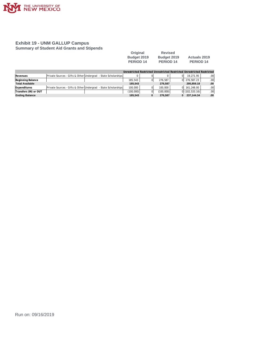

#### **Exhibit 19 - UNM GALLUP Campus Summary of Student Aid Grants and Stipends**

| Original         | <b>Revised</b> |                     |
|------------------|----------------|---------------------|
| Budget 2019      | Budget 2019    | <b>Actuals 2019</b> |
| <b>PERIOD 14</b> | PERIOD 14      | PERIOD 14           |

|                        |                                                                |           |           | Unrestricted Restricted Unrestricted Restricted Unrestricted Restricted |     |
|------------------------|----------------------------------------------------------------|-----------|-----------|-------------------------------------------------------------------------|-----|
| Revenues               | Private Sources - Gifts & Other Undergrad - State Scholarships |           |           | 19.271.95                                                               | .00 |
| Beginning Balance      |                                                                | 185.543   | 276.587   | 0 276.587.23                                                            | .00 |
| <b>Total Available</b> |                                                                | 185.543   | 276.587   | 295.859.18                                                              | .00 |
| Expenditures           | Private Sources - Gifts & Other Undergrad - State Scholarships | 100,000   | 100.000   | 161.248.00<br>ΩI                                                        | .00 |
| Transfers (IN) or OUT  |                                                                | (100,000) | (100,000) | $0$ (102,533.16)                                                        | .00 |
| <b>Ending Balance</b>  |                                                                | 185.543   | 276.587   | 237.144.34<br>0                                                         | .00 |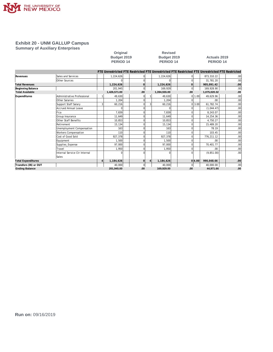

#### **Exhibit 20 - UNM GALLUP Campus Summary of Auxiliary Enterprises**

## Original Revised<br>
Budget 2019 Budget 201<br>
PERIOD 14 PERIOD 14 **PERIOD 14 PERIOD 14 PERIOD 14**

## **Budget 2019 Budget 2019 Actuals 2019**

|                           |                               |              |              |   | FTE Unrestricted FTE Restricted FTE Unrestricted FTE Restricted FTE Unrestricted FTE Restricted |     |        |              |                  |
|---------------------------|-------------------------------|--------------|--------------|---|-------------------------------------------------------------------------------------------------|-----|--------|--------------|------------------|
| Revenues                  | Sales and Services            | 1,224,626    | $\Omega$     |   | 1,224,626                                                                                       |     |        | 873.310.22   | .00              |
|                           | Other Sources                 |              | 0            |   |                                                                                                 |     |        | 31.781.20    | .00              |
| <b>Total Revenues</b>     |                               | 1,224,626    | 0            |   | 1,224,626                                                                                       | 0   |        | 905.091.42   | .00              |
| Beginning Balance         |                               | 201,945      | $\mathbf 0$  |   | 169,929                                                                                         | 0   |        | 169,928.90   | .00              |
| <b>Total Available</b>    |                               | 1,426,571.00 | .00          |   | 1,394,555.00                                                                                    | .00 |        | 1,075,020.32 | .00              |
| Expenditures              | Administrative Professional   | 49,630       | 0            |   | 49,630                                                                                          | 01  | 1.00   | 49,629.96    | .00              |
|                           | Other Salaries                | 1,204        | $\mathbf 0$  |   | 1,204                                                                                           |     |        | .00.         | .00              |
|                           | Support Staff Salary          | 60,216       | $\Omega$     | 3 | 60,216                                                                                          |     | 013.00 | 61,782.74    | .00              |
|                           | <b>Accrued Annual Leave</b>   |              | 0            |   |                                                                                                 |     |        | (1,044.47)   | .00              |
|                           | Fica                          | 7,839        | 0            |   | 7,839                                                                                           |     |        | 8,243.07     | .00              |
|                           | Group Insurance               | 11.649       | 0            |   | 11.649                                                                                          |     |        | 14,254.36    | .00              |
|                           | Other Staff Benefits          | 10.853       | 0            |   | 10.853                                                                                          |     |        | 4,750.27     | .00              |
|                           | Retirement                    | 15,134       | 0            |   | 15.134                                                                                          |     |        | 15,489.20    | .00              |
|                           | Unemployment Compensation     | 163          | 0            |   | 163                                                                                             |     |        | 78.19        | .00              |
|                           | Workers Compensation          | 110          | 0            |   | 110                                                                                             |     |        | 103.45       | .00              |
|                           | Cost of Good Sold             | 927,378      | 0            |   | 927,378                                                                                         |     |        | 776,211.12   | .00              |
|                           | Equipment                     | 1,500        | 0            |   | 1,500                                                                                           |     |        | .00.         | .00              |
|                           | Supplies_Expense              | 97.000       | 0            |   | 97.000                                                                                          |     |        | 70.401.77    | .00              |
|                           | Travel                        | 1.950        | 0            |   | 1,950                                                                                           |     |        | .00.         | .00              |
|                           | Internal Service Ctr Internal |              | $\Omega$     |   |                                                                                                 |     |        | (9, 851.00)  | .00 <sub>1</sub> |
|                           | Sales                         |              |              |   |                                                                                                 |     |        |              |                  |
| <b>Total Expenditures</b> |                               | 1,184,626    | $\mathbf{O}$ |   | 1,184,626                                                                                       |     | 0 4.00 | 990.048.66   | .00              |
| Transfers (IN) or OUT     |                               | 40,000       | $\mathbf 0$  |   | 40,000                                                                                          | 0   |        | 40,000.00    | .00              |
| <b>Ending Balance</b>     |                               | 201.945.00   | .00          |   | 169,929.00                                                                                      | .00 |        | 44,971.66    | .00              |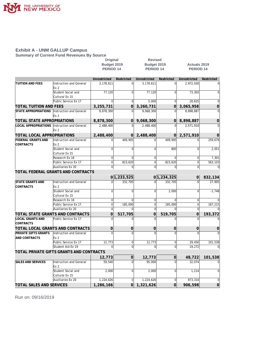

#### **Exhibit A - UNM GALLUP Campus Summary of Current Fund Revenues By Source**

|                                              |                                            | Original         |                | <b>Revised</b>        |                |                       |                |
|----------------------------------------------|--------------------------------------------|------------------|----------------|-----------------------|----------------|-----------------------|----------------|
|                                              |                                            | Budget 2019      |                | Budget 2019           |                | <b>Actuals 2019</b>   |                |
|                                              |                                            | <b>PERIOD 14</b> |                | PERIOD <sub>14</sub>  |                | <b>PERIOD 14</b>      |                |
|                                              |                                            |                  |                |                       |                |                       |                |
|                                              |                                            | Unrestricted     | Restricted     | Unrestricted          | Restricted     | Unrestricted          | Restricted     |
| <b>TUITION AND FEES</b>                      | Instruction and General<br>Ex <sub>2</sub> | 3,178,611        | $\Omega$       | 3,178,611             | $\overline{0}$ | 2,972,030             | $\Omega$       |
|                                              | Student Social and                         | 77,120           | $\Omega$       | 77,120                | $\overline{0}$ | 73,303                | 0              |
|                                              | Cultural Ex 15                             |                  |                |                       |                |                       |                |
|                                              | Public Service Ex 17                       | $\Omega$         | $\mathbf{0}$   | 5.000                 | $\Omega$       | 20,625                | $\mathbf 0$    |
| TOTAL TUITION AND FEES                       |                                            | 3,255,731        | $\Omega$       | 3,260,731             | $\Omega$       | 3,065,958             | $\overline{0}$ |
| STATE APPROPRIATIONS                         | Instruction and General                    | 8,878,300        | $\Omega$       | 9,068,300             | $\Omega$       | 8,898,887             | $\Omega$       |
|                                              | Ex <sub>2</sub>                            |                  |                |                       |                |                       |                |
| TOTAL STATE APPROPRIATIONS                   |                                            | 8,878,300        | $\Omega$       | 9,068,300             | $\Omega$       | 8,898,887             | $\Omega$       |
| LOCAL APPROPRIATIONS Instruction and General |                                            | 2,488,400        | $\Omega$       | 2,488,400             | $\Omega$       | 2,571,910             |                |
|                                              | Ex 2                                       |                  |                |                       |                |                       |                |
| TOTAL LOCAL APPROPRIATIONS                   |                                            |                  | $\Omega$       |                       | Οl             |                       |                |
| <b>FEDERAL GRANTS AND</b>                    | Instruction and General                    | 2,488,400        | 409.905        | 2,488,400<br>$\Omega$ | 409.905        | 2,571,910<br>$\Omega$ | 0<br>259.679   |
| <b>CONTRACTS</b>                             | Ex <sub>2</sub>                            |                  |                |                       |                |                       |                |
|                                              | Student Social and                         | $\Omega$         | $\Omega$       | $\Omega$              | 800            | $\Omega$              | 2,051          |
|                                              | Cultural Ex 15                             |                  |                |                       |                |                       |                |
|                                              | Research Ex 16                             | $\Omega$         | $\Omega$       | $\Omega$              | $\Omega$       | $\mathbf 0$           | 7,301          |
|                                              | Public Service Ex 17                       | $\mathbf 0$      | 823,620        | $\overline{0}$        | 823,620        | $\overline{0}$        | 563,103        |
|                                              | Auxiliaries Ex 20                          | $\mathbf 0$      | <sup>0</sup>   | $\Omega$              | <sub>0</sub>   | $\Omega$              | 0              |
|                                              | TOTAL FEDERAL GRANTS AND CONTRACTS         |                  |                |                       |                |                       |                |
|                                              |                                            |                  | 0 1,233,525    |                       | 0 1,234,325    | 0                     | 832,134        |
| <b>STATE GRANTS AND</b>                      | Instruction and General                    | $\Omega$         | 332.705        | $\Omega$              | 332.705        | $\Omega$              | 27,905         |
| <b>CONTRACTS</b>                             | Ex <sub>2</sub>                            |                  |                |                       |                |                       |                |
|                                              | Student Social and                         | $\Omega$         | $\Omega$       | $\overline{0}$        | 2.000          | $\Omega$              | $-1.748$       |
|                                              | Cultural Ex 15                             |                  |                |                       |                |                       |                |
|                                              | Research Ex 16                             | $\Omega$         | $\Omega$       | $\overline{0}$        | $\Omega$       | $\overline{0}$        |                |
|                                              | Public Service Ex 17                       | $\Omega$         | 185,000        | $\overline{0}$        | 185,000        | $\Omega$              | 167,215        |
|                                              | Auxiliaries Ex 20                          | $\Omega$         | ∩              | $\overline{0}$        | $\Omega$       | $\mathbf 0$           |                |
|                                              | TOTAL STATE GRANTS AND CONTRACTS           | $\Omega$         | 517,705        | $\Omega$              | 519,705        | $\Omega$              | 193,372        |
| <b>LOCAL GRANTS AND</b>                      | Public Service Ex 17                       | $\Omega$         |                | $\Omega$              | $\Omega$       | $\Omega$              |                |
| CONTRACTS                                    |                                            |                  |                |                       |                |                       |                |
|                                              | TOTAL LOCAL GRANTS AND CONTRACTS           | 0                | $\overline{0}$ | $\overline{0}$        | 0              | 0                     | 0              |
| PRIVATE GIFTS GRANTS                         | Instruction and General                    | $\Omega$         | $\Omega$       | $\Omega$              | $\Omega$       | $\Omega$              |                |
| <b>AND CONTRACTS</b>                         | Ex 2                                       |                  |                |                       |                |                       |                |
|                                              | Public Service Ex 17                       | 12.773           | $\Omega$       | 12.773                | $\overline{0}$ | 29.450                | 101.538        |
|                                              | Student Aid Ex 19                          | $\mathbf 0$      | $\mathbf{0}$   | $\overline{0}$        | 0              | 19,272                |                |
|                                              | TOTAL PRIVATE GIFTS GRANTS AND CONTRACTS   |                  |                |                       |                |                       |                |
|                                              |                                            | 12,773           | $\overline{0}$ | 12,773                | 0              | 48,722                | 101,538        |
| <b>SALES AND SERVICES</b>                    | Instruction and General                    | 59,540           | $\Omega$       | 95,000                | $\Omega$       | 32,074                |                |
|                                              | Ex <sub>2</sub>                            |                  |                |                       |                |                       |                |
|                                              | Student Social and                         | 2,000            | $\Omega$       | 2,000                 | $\Omega$       | 1,214                 | $\Omega$       |
|                                              | Cultural Ex 15                             |                  |                |                       |                |                       |                |
|                                              | Auxiliaries Ex 20                          | 1,224,626        | $\Omega$       | 1,224,626             | $\overline{0}$ | 873,310               | $\mathbf 0$    |
| <b>TOTAL SALES AND SERVICES</b>              |                                            | 1,286,166        | $\Omega$       | 1,321,626             | $\Omega$       | 906,598               | $\Omega$       |
|                                              |                                            |                  |                |                       |                |                       |                |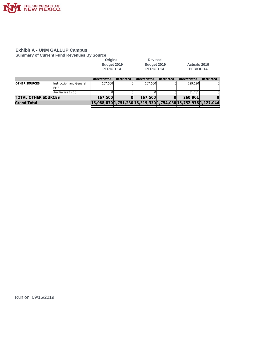

#### **Exhibit A - UNM GALLUP Campus Summary of Current Fund Revenues By Source**

|                            |                         | Original<br>Budget 2019<br><b>PERIOD 14</b> |            | <b>Revised</b><br>Budget 2019<br>PERIOD <sub>14</sub> |            | Actuals 2019<br>PERIOD <sub>14</sub>                           |                |
|----------------------------|-------------------------|---------------------------------------------|------------|-------------------------------------------------------|------------|----------------------------------------------------------------|----------------|
|                            |                         | Unrestricted                                | Restricted | Unrestricted                                          | Restricted | Unrestricted                                                   | Restricted     |
| <b>IOTHER SOURCES</b>      | Instruction and General | 167,500                                     |            | 167.500                                               |            | 229.120                                                        | 01             |
|                            | Ex 2                    |                                             |            |                                                       |            |                                                                |                |
|                            | Auxiliaries Ex 20       |                                             |            |                                                       |            | 31.781                                                         | $\Omega$       |
| <b>TOTAL OTHER SOURCES</b> |                         | 167,500                                     |            | 167,500                                               | $\Omega$   | 260,901                                                        | $\overline{0}$ |
| <b>Grand Total</b>         |                         |                                             |            |                                                       |            | 16,088,870 1,751,230 16,319,330 1,754,030 15,752,976 1,127,044 |                |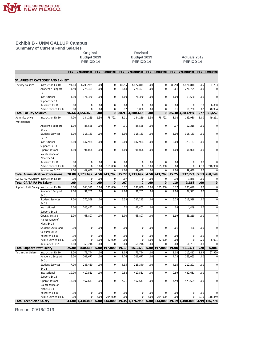

**Summary of Current Fund Salaries**

## Original Revised<br>
Budget 2019<br>
PERIOD 14<br>
PERIOD 1 **PERIOD 14 PERIOD 14 PERIOD 14**

**Budget 2019 Budget 2019 Actuals 2019**

|                                        |                                        | FTE             | Unrestricted         | FTE       | Restricted                    | FTE           | Unrestricted         | FTE                     | Restricted                    | FTE           | Unrestricted         | <b>FTE</b>  | Restricted           |
|----------------------------------------|----------------------------------------|-----------------|----------------------|-----------|-------------------------------|---------------|----------------------|-------------------------|-------------------------------|---------------|----------------------|-------------|----------------------|
|                                        |                                        |                 |                      |           |                               |               |                      |                         |                               |               |                      |             |                      |
|                                        | SALARIES BY CATEGORY AND EXHIBIT       |                 |                      |           |                               |               |                      |                         |                               |               |                      |             |                      |
| <b>Faculty Salaries</b>                | Instruction Ex 10<br>Academic Support  | 91.14<br>4.50   | 4,208,969<br>276,491 | 00<br>.00 | $\mathbf 0$<br>$\overline{0}$ | 83.95<br>3.84 | 4,427,814<br>276,491 | 00 <sub>1</sub><br>.00. | $\overline{0}$<br>$\mathbf 0$ | 80.58<br>3.61 | 4,426,818<br>276,795 | .05<br>.00  | 4,703<br>$\mathbf 0$ |
|                                        | Ex 11                                  |                 |                      |           |                               |               |                      |                         |                               |               |                      |             |                      |
|                                        | Institutional                          | 1.00            | 171,360              | .00       | $\overline{0}$                | 1.00          | 171,360              | .00                     | $\mathbf 0$                   | 1.00          | 169,680              | .00         | $\mathbf 0$          |
|                                        | Support Ex 13                          |                 |                      |           |                               |               |                      |                         |                               |               |                      |             |                      |
|                                        | Research Ex 16                         | .00             | $\overline{0}$       | .00       | $\mathbf 0$                   | .00           | $\mathbf 0$          | .00                     | $\overline{0}$                | .00           | $\mathbf 0$          | .10         | 6,000                |
|                                        | Public Service Ex 17                   | .00             | $\Omega$             | .00       | $\Omega$                      | .12           | 5,000                | .00                     | $\overline{0}$                | .11           | 10,700               | .62         | 40,954               |
| <b>Total Faculty Salaries</b>          |                                        | 96.64           | 4,656,820            | .00       | $\mathbf 0$                   | 88.91         | 4,880,665            | .00                     | $\Omega$                      | 85.30         | 4,883,994            | .77         | 51,657               |
| Administrative                         | Instruction Ex 10                      | 4.00            | 184,259              | 1.50      | 78.792                        | 3.11          | 184,259              | 1.50                    | 78,792                        | 3.08          | 139.980              | 1.00        | 49,211               |
| Professional                           |                                        |                 |                      |           |                               |               |                      |                         |                               |               |                      |             |                      |
|                                        | Academic Support                       | 1.00            | 85,588               | .00       | $\overline{0}$                | .11           | 85,588               | .00.                    | $\overline{0}$                | .17           | 12,216               | .00         | $\mathbf 0$          |
|                                        | Ex 11                                  |                 |                      |           |                               |               |                      |                         |                               |               |                      |             |                      |
|                                        | <b>Student Services</b>                | 5.00            | 315,163              | .00       | $\mathbf 0$                   | 5.00          | 315,163              | .00.                    | $\overline{0}$                | 5.00          | 315.163              | .00         | $\mathbf 0$          |
|                                        | Ex 12                                  |                 |                      |           |                               |               |                      |                         |                               |               |                      |             |                      |
|                                        | Institutional                          | 8.00            | 447,954              | .00       | $\mathbf 0$                   | 5.00          | 407,954              | .00.                    | $\mathbf 0$                   | 5.00          | 329,137              | .00         | $\mathbf 0$          |
|                                        | Support Ex 13                          |                 |                      |           |                               |               |                      |                         |                               |               |                      |             |                      |
|                                        | Operations and                         | 1.00            | 91,098               | .00       | $\overline{0}$                | 1.00          | 91,098               | .00                     | $\mathbf 0$                   | 1.00          | 91.098               | .00         | $\mathbf 0$          |
|                                        | Maintenance of                         |                 |                      |           |                               |               |                      |                         |                               |               |                      |             |                      |
|                                        | Plant Ex 14                            | 00              | $\overline{0}$       | .00       | $\overline{0}$                | .00           | $\mathsf{O}\xspace$  | .00                     | $\mathbf 0$                   | .00           | $\overline{0}$       |             |                      |
|                                        | Research Ex 16<br>Public Service Ex 17 | 00 <sub>1</sub> | $\overline{0}$       | 3.00      | 165,000                       | .00           | $\mathbf 0$          | 3.00                    | 165,000                       | .00           | $\overline{0}$       | .00<br>4.13 | 0<br>210,938         |
|                                        | Auxiliaries Ex 20                      | 1.00            | 49.630               | .00       |                               | 1.00          | 49.630               | .00                     |                               | 1.00          | 49.630               | .00         |                      |
|                                        | Total Administrative Professional      | 20.00           | 1,173,692            | 4.50      | 243,792                       | 15.22         | 1,133,692            | 4.50                    | 243,792                       | 15.25         | 937,224              | 5.13        | 260,149              |
| GA TA RA PA Salary   Instruction Ex 10 |                                        | .00             | $\overline{0}$       | .00       | $\overline{0}$                | .07           | $\mathbf 0$          | .00                     | $\mathbf 0$                   | .10           | 3,866                | .00         | $\mathbf 0$          |
| Total GA TA RA PA Salary               |                                        | .00             | $\Omega$             | .00       | $\overline{0}$                | .07           | $\overline{0}$       | .00                     | $\overline{O}$                | .10           | 3,866                | .00         | $\mathbf 0$          |
| Support Staff Salary Instruction Ex 10 |                                        | 8.00            | 268,591              | 3.00      | 135,000                       | 6.72          | 236,830              | 3.00                    | 135,000                       | 6.77          | 235,499              | .00         | $\mathbf 0$          |
|                                        | Academic Support                       | 1.00            | 31,761               | .00       | $\Omega$                      | 1.00          | 31,761               | .00.                    | $\Omega$                      | 1.00          | 32,397               | .00         | $\mathbf 0$          |
|                                        | Ex 11                                  |                 |                      |           |                               |               |                      |                         |                               |               |                      |             |                      |
|                                        | <b>Student Services</b>                | 7.00            | 270,559              | .00       | $\mathbf 0$                   | 6.33          | 227,215              | .00.                    | $\overline{0}$                | 6.23          | 211,598              | .00         | $\mathbf 0$          |
|                                        | Ex 12                                  |                 |                      |           |                               |               |                      |                         |                               |               |                      |             |                      |
|                                        | Institutional                          | 4.00            | 145,442              | .00       | $\mathbf{0}$                  | .12           | 41,401               | .00.                    | $\mathbf 0$                   | .08           | 4,449                | .00         | $\mathbf 0$          |
|                                        | Support Ex 13                          |                 |                      |           |                               |               |                      |                         |                               |               |                      |             |                      |
|                                        | Operations and                         | 2.00            | 63,897               | .00       | $\overline{0}$                | 2.00          | 63,897               | .00                     | $\mathbf 0$                   | 1.99          | 65,219               | .00         | $\mathbf 0$          |
|                                        | Maintenance of                         |                 |                      |           |                               |               |                      |                         |                               |               |                      |             |                      |
|                                        | Plant Ex 14                            |                 |                      |           |                               |               |                      |                         |                               |               |                      |             |                      |
|                                        | Student Social and                     | .00             | $\overline{0}$       | .00       | $\overline{0}$                | .00           | $\mathbf{0}$         | .00                     | $\Omega$                      | .01           | 426                  | .00         | $\mathbf 0$          |
|                                        | Cultural Ex 15                         |                 |                      |           |                               |               |                      |                         |                               |               |                      |             |                      |
|                                        | Research Ex 16                         | .00             | $\overline{0}$       | .00       | $\mathbf 0$                   | .00           | $\mathbf 0$          | .00                     | $\mathbf 0$                   | .00           | $\mathbf 0$          | .00         | $\mathbf 0$          |
|                                        | Public Service Ex 17                   | 00              | $\overline{0}$       | 2.00      | 62,000                        | .00           | $\mathbf 0$          | 2.00                    | 62,000                        | .00           | $\mathbf 0$          | .20         | 6,001                |
|                                        | Auxiliaries Ex 20                      | 3.00            | 60,216               | 00        | $\Omega$                      | 3.00          | 60,216               | .00                     | $\mathbf 0$                   | 3.00          | 61,783               | .00<br>.20  | $\Omega$<br>6,001    |
| Total Support Staff Salary             |                                        | 25.00           | 840,466              | 5.00      | 197,000                       | 19.17         | 661,320              | 5.00                    | 197,000                       | 19.08         | 611,371              |             |                      |
| Technician Salary                      | Instruction Ex 10                      | 2.00            | 71,744               | 00        | $\Omega$<br>$\mathbf 0$       | 2.05          | 71,744               | .00                     | 0<br>$\overline{0}$           | 2.03          | 112,412              | 1.89        | 67,929               |
|                                        | Academic Support<br>Ex 11              | 6.00            | 201,677              | .00       |                               | 4.76          | 201,677              | .00                     |                               | 4.73          | 163,063              | .00         | $\mathbf 0$          |
|                                        | <b>Student Services</b>                | 7.00            | 286,450              | .00       | $\mathbf 0$                   | 4.95          | 225,340              | .00                     | $\mathbf 0$                   | 4.95          | 212,291              | .00         | $\mathbf 0$          |
|                                        | Ex 12                                  |                 |                      |           |                               |               |                      |                         |                               |               |                      |             |                      |
|                                        | Institutional                          | 10.00           | 410,551              | .00       | $\overline{0}$                | 9.88          | 410,551              | .00                     | $\mathbf 0$                   | 9.89          | 432,631              | .00         | $\mathbf 0$          |
|                                        | Support Ex 13                          |                 |                      |           |                               |               |                      |                         |                               |               |                      |             |                      |
|                                        | Operations and                         | 18.00           | 467,643              | .00       | $\overline{0}$                | 17.71         | 467,643              | .00                     | $\mathbf 0$                   | 17.59         | 479,609              | .00         | $\mathbf 0$          |
|                                        | Maintenance of                         |                 |                      |           |                               |               |                      |                         |                               |               |                      |             |                      |
|                                        | Plant Ex 14                            |                 |                      |           |                               |               |                      |                         |                               |               |                      |             |                      |
|                                        | Research Ex 16                         | 00              | $\overline{0}$       | 00        | $\Omega$                      | .00           | $\mathbf 0$          | .00                     | $\mathbf 0$                   | .00           | $\Omega$             | .00         |                      |
|                                        | Public Service Ex 17                   | 00              | $\Omega$             | 6.00      | 234,000                       | .00           | $\Omega$             | 6.00                    | 234,000                       | .00           | $\Omega$             | 3.10        | 118,849              |
| <b>Total Technician Salary</b>         |                                        |                 | 43.00 1,438,065      |           | $6.00$   234,000              |               | 39.35 1,376,955      |                         | 6.00 234,000                  |               | 39.19 1,400,006      | 4.99        | 186,778              |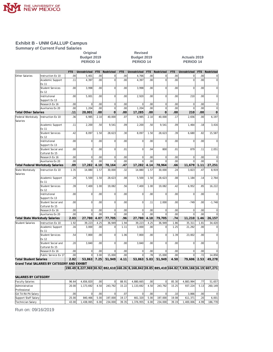

**Summary of Current Fund Salaries**

### **Original Revised PERIOD 14 PERIOD 14 PERIOD 14**

**Budget 2019 Budget 2019 Actuals 2019**

|                                |                                              | FTE.             | Unrestricted   | FTE              | Restricted     | <b>FTE</b> | Unrestricted | FTE  | Restricted     | FTE  | Unrestricted | <b>FTE</b> | Restricted     |
|--------------------------------|----------------------------------------------|------------------|----------------|------------------|----------------|------------|--------------|------|----------------|------|--------------|------------|----------------|
| Other Salaries                 | Instruction Ex 10                            | .00.             | 5,401          | .00 <sub>1</sub> | $\Omega$       | .00        | 4,766        | .00  | $\overline{0}$ | .00  | $\Omega$     | .00.       | $\overline{0}$ |
|                                | Academic Support                             | .11              | 4,397          | .00              | $\Omega$       | .00        | 4,397        | .00  | $\Omega$       | .00  |              | .00.       | $\overline{0}$ |
|                                | Ex 11                                        |                  |                |                  |                |            |              |      |                |      |              |            |                |
|                                | <b>Student Services</b>                      | .00 <sub>1</sub> | 3.998          | .00 <sub>1</sub> | $\Omega$       | .00        | 3.998        | .00  | $\overline{0}$ | .00  | $\Omega$     | .00.       | $\overline{0}$ |
|                                | Ex 12                                        |                  |                |                  |                |            |              |      |                |      |              |            |                |
|                                | Institutional                                | .00              | 5,001          | .00 <sub>1</sub> | $\Omega$       | .00        | 2,920        | .00  | $\Omega$       | .00  | 210          | .00.       | $\overline{0}$ |
|                                | Support Ex 13                                |                  |                |                  |                |            |              |      |                |      |              |            |                |
|                                | Research Ex 16                               | 00               | $\mathbf 0$    | .00              | $\bf 0$        | .00        | $\mathbf 0$  | .00  | $\mathbf 0$    | .00  | $\mathbf 0$  | .00        | $\overline{0}$ |
|                                | Auxiliaries Ex 20                            | .00              | 1,204          | .00              | $\mathbf 0$    | .00        | 1,204        | .00  | $\overline{0}$ | .00  | $\Omega$     | .00        | $\overline{0}$ |
| <b>Total Other Salaries</b>    |                                              | .11              | 20,001         | .00              | $\overline{0}$ | .00        | 17,285       | .00  | $\Omega$       | .00  | 210          | .00        | $\overline{0}$ |
| Federal Workstudy              | Instruction Ex 10                            | .36              | 6,985          | 2.10             | 40.000         | .07        | 6,985        | 2.10 | 40.000         | .17  | 2,656        | .00        | 6,197          |
| Salaries                       |                                              |                  |                |                  |                |            |              |      |                |      |              |            |                |
|                                |                                              |                  |                |                  |                |            |              |      |                |      |              |            |                |
|                                | Academic Support                             | .11              | 2,200          | .50 <sub>1</sub> | 9,541          | .09        | 2,200        | .50  | 9,541          | .09  | 1,464        | .18        | 3,416          |
|                                | Ex 11                                        |                  |                |                  |                |            |              |      |                |      |              |            |                |
|                                | <b>Student Services</b>                      | .42              | 8,097          | 1.50             | 28,623         | .30        | 8,097        | 1.50 | 28,623         | .39  | 6,680        | .82        | 15,587         |
|                                | Ex 12                                        |                  |                |                  |                |            |              |      |                |      |              |            |                |
|                                | Institutional                                | .00 <sub>1</sub> | $\mathbf 0$    | .00 <sub>1</sub> | $\Omega$       | .00        | $\mathbf 0$  | .00  | $\Omega$       | .00. | $\Omega$     | .00.       | $\overline{0}$ |
|                                | Support Ex 13                                |                  |                |                  |                |            |              |      |                |      |              |            |                |
|                                | Student Social and                           | .00 <sub>1</sub> | $\overline{0}$ | .00 <sub>1</sub> | $\mathbf{0}$   | .01        | $\mathbf{0}$ | .04  | 800            | .01  | 879          | .11        | 2,051          |
|                                | Cultural Ex 15                               |                  |                |                  |                |            |              |      |                |      |              |            |                |
|                                | Research Ex 16                               | .00              | $\bf 0$        | .00 <sub>1</sub> | $\mathbf 0$    | .00        | $\mathbf 0$  | .00  | $\mathbf 0$    | .00  | $\mathbf 0$  | .00        | $\overline{0}$ |
|                                | Auxiliaries Ex 20                            | .00              | $\Omega$       | .00              |                | .00        | $\Omega$     | .00  | $\Omega$       | .00  |              | .00        | $\overline{0}$ |
|                                | Total Federal Workstudy Salaries             | .89              | 17,282         | 4.10             | 78,164         | .47        | 17,282       | 4.14 | 78,964         | .66  | 11,679       | 1.11       | 27,251         |
| State Workstudy                | Instruction Ex 10                            | 1.35             | 14,880         | 1.57             | 30,000         | .32        | 14,880       | 1.57 | 30,000         | .24  | 3,823        | .47        | 8,919          |
| Salaries                       |                                              |                  |                |                  |                |            |              |      |                |      |              |            |                |
|                                | Academic Support                             | .29              | 5,500          | 1.50             | 28,623         | .08        | 5,500        | 1.50 | 28,623         | .08  | 1,184        | .14        | 2,764          |
|                                | Ex 11                                        |                  |                |                  |                |            |              |      |                |      |              |            |                |
|                                | <b>Student Services</b>                      | .39              | 7,400          | 1.00             | 19,082         | .56        | 7,400        | 1.00 | 19,082         | .42  | 6,952        | .85        | 16,222         |
|                                | Ex 12                                        |                  |                |                  |                |            |              |      |                |      |              |            |                |
|                                | Institutional                                | .00              | $\Omega$       | .00              | $\Omega$       | .00        | $\Omega$     | .00  | $\Omega$       | .00  | $\Omega$     | .00.       | $\overline{0}$ |
|                                | Support Ex 13                                |                  |                |                  |                |            |              |      |                |      |              |            |                |
|                                | Student Social and                           | .00              | $\mathbf 0$    | .00.             | $\Omega$       | .00        | $\mathbf 0$  | .11  | 2,000          | .00  | $-749$       | .00        | $-1,748$       |
|                                | Cultural Ex 15                               |                  |                |                  |                |            |              |      |                |      |              |            |                |
|                                | Research Ex 16                               | .00              | $\overline{0}$ | .00 <sub>1</sub> | $\mathbf{0}$   | .00        | $\bf 0$      | .00  | $\mathbf 0$    | .00  | $\Omega$     | .00        | $\overline{0}$ |
|                                | Auxiliaries Ex 20                            | .00              | $\Omega$       | .00.             | $\Omega$       | .00        | $\Omega$     | .00  | $\Omega$       | .00  | $\Omega$     | .00.       | $\overline{0}$ |
| Total State Workstudy Salaries |                                              | 2.03             | 27,780         | 4.07             | 77,705         | .96        | 27,780       | 4.18 | 79,705         | .74  | 11,210       | 1.46       | 26,157         |
| <b>Student Salaries</b>        | Instruction Ex 10                            | 1.92             | 39,223         | 4.25             | 36,949         | 1.94       | 39,223       | 4.25 | 36,949         | 1.86 | 35,311       | 1.81       | 34,420         |
|                                | Academic Support                             | .16              | 3,000          | .00 <sub>1</sub> | $\mathbf{0}$   | 1.11       | 3,000        | .00  | $\Omega$       | 1.25 | 21,292       | .00        | $\vert$        |
|                                | Ex 11                                        |                  |                |                  |                |            |              |      |                |      |              |            |                |
|                                | <b>Student Services</b>                      | .54              | 7.800          | .00 <sub>l</sub> | $\Omega$       | 1.06       | 7,800        | .00  | $\Omega$       | 1.39 | 23,002       | .00.       | $\overline{0}$ |
|                                | Ex 12                                        |                  |                |                  |                |            |              |      |                |      |              |            |                |
|                                | Student Social and                           |                  |                |                  | $\Omega$       |            |              | .00  | $\overline{0}$ |      | $\Omega$     |            |                |
|                                |                                              | .20              | 3,840          | .00.             |                | .00        | 3,840        |      |                | .00  |              | .00.       | $\overline{0}$ |
|                                | Cultural Ex 15                               |                  |                |                  |                |            |              |      |                |      |              |            |                |
|                                | Research Ex 16                               | .00              | $\mathbf 0$    | .00.             | $\Omega$       | .00        | $\mathbf 0$  | .00  | $\Omega$       | .00  | $\Omega$     | .00        | $\overline{0}$ |
|                                | Public Service Ex 17                         | .00              | $\Omega$       | 3.00             | 15,000         | .00        | $\Omega$     | .78  | 15,000         | .00  | $\Omega$     | .72        | 14,858         |
| <b>Total Student Salaries</b>  |                                              | 2.82             | 53,863         | 7.25             | 51,949         | 4.11       | 53,863       | 5.03 | 51,949         | 4.50 | 79,606       | 2.53       | 49,278         |
|                                | Grand Total SALARIES BY CATEGORY AND EXHIBIT |                  |                |                  |                |            |              |      |                |      |              |            |                |

**190.49 8,227,969 30.92 882,610 168.26 8,168,842 28.85 885,410 164.82 7,939,166 16.19 607,271**

#### **SALARIES BY CATEGORY**

| <b>Faculty Salaries</b>   | 96.64 | 4.656.820 | .001   |         | 88.91 | 4.880.665 | .001             |         | 85.30            | 4.883.994 |      | 51.657   |
|---------------------------|-------|-----------|--------|---------|-------|-----------|------------------|---------|------------------|-----------|------|----------|
| <b>Administrative</b>     | 20.00 | .173.692  | 4.50 l | 243.792 | 15.22 | 1.133.692 | 4.50             | 243.792 | 15.25            | 937.224   | 5.13 | 260.149  |
| Professional              |       |           |        |         |       |           |                  |         |                  |           |      |          |
| <b>GA TA RA PA Salary</b> | .00 l |           | .00    |         | .07   |           | .00 <sub>1</sub> |         | .10 <sup>1</sup> | 3.866     | ا00. | $\Omega$ |
| Support Staff Salary      | 25.00 | 840.466   | 5.00   | 197.000 | 19.17 | 661.320   | 5.00             | 197.000 | 19.08            | 611.371   | .20  | 6.001    |
| <b>Technician Salary</b>  | 43.00 | .438.065  | 6.001  | 234.000 | 39.35 | .376.955  | 6.00             | 234,000 | 39.19            | .400.006  | 4.99 | 186.778  |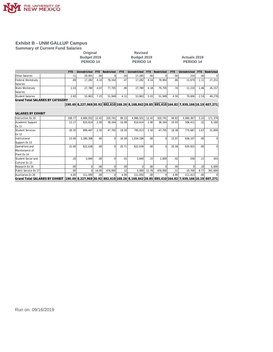

**Summary of Current Fund Salaries**

### **Original Revised PERIOD 14 PERIOD 14 PERIOD 14**

**Budget 2019 Budget 2019 Actuals 2019**

|                                         | <b>FTE</b> | Unrestricted                                                                                 | <b>FTE</b> | Restricted | FTE   | Unrestricted | FTE.           | Restricted | FTE.  | Unrestricted | FTE.             | Restricted  |
|-----------------------------------------|------------|----------------------------------------------------------------------------------------------|------------|------------|-------|--------------|----------------|------------|-------|--------------|------------------|-------------|
| Other Salaries                          | .11        | 20,001                                                                                       | .00        |            | .00   | 17,285       | .00.           |            | .00.  | 210          | .00 <sub>1</sub> | $\Omega$    |
| Federal Workstudy                       | .89        | 17,282                                                                                       | 4.10       | 78,164     | .47   | 17,282       | 4.14           | 78,964     | .66   | 11,679       | 1.11             | 27,251      |
| Salaries                                |            |                                                                                              |            |            |       |              |                |            |       |              |                  |             |
| State Workstudy                         | 2.03       | 27.780                                                                                       | 4.07       | 77.705     | .96   | 27,780       | 4.18           | 79,705     | .74'  | 11,210       | 1.46             | 26,157      |
| Salaries                                |            |                                                                                              |            |            |       |              |                |            |       |              |                  |             |
| Student Salaries                        | 2.82       | 53,863                                                                                       | 7.25       | 51,949     | 4.11  | 53,863       | 5.03           | 51,949     | 4.50  | 79,606       | 2.53             | 49,278      |
| <b>Grand Total SALARIES BY CATEGORY</b> |            |                                                                                              |            |            |       |              |                |            |       |              |                  |             |
|                                         |            | 190.49 8,227,969 30.92 882,610 168.26 8,168,842 28.85 885,410 164.82 7,939,166 16.19 607,271 |            |            |       |              |                |            |       |              |                  |             |
| SALARIES BY EXHIBIT                     |            |                                                                                              |            |            |       |              |                |            |       |              |                  |             |
|                                         |            |                                                                                              |            |            |       |              |                |            |       |              |                  |             |
| Instruction Ex 10                       | 108.77     | 4,800,052                                                                                    | 12.42      | 320.741    | 98.23 | 4,986,501    | 12.42          | 320,741    | 94.83 | 4,960,367    | 5.22             | 171,379     |
| Academic Support                        | 13.17      | 610.614                                                                                      | 2.00       | 38.164     | 10.99 | 610.614      | 2.00           | 38.164     | 10.93 | 508.411      | .32              | 6,180       |
| Ex 11                                   |            |                                                                                              |            |            |       |              |                |            |       |              |                  |             |
| Student Services                        | 20.35      | 899,467                                                                                      | 2.50       | 47.705     | 18.20 | 795,013      | 2.50           | 47.705     | 18.38 | 775,687      | 1.67             | 31,809      |
| Ex 12                                   |            |                                                                                              |            |            |       |              |                |            |       |              |                  |             |
| Institutional                           | 23.00      | 1,180,308                                                                                    | .00        | $\Omega$   | 16.00 | 1,034,186    | .00.           | $\Omega$   | 15.97 | 936,107      | .00 <sub>l</sub> | $\mathbf 0$ |
| Support Ex 13                           |            |                                                                                              |            |            |       |              |                |            |       |              |                  |             |
| In a ratio of a                         | $21$ 00    | 622 638                                                                                      | nnl        |            | 20.71 | 622 638      | n <sub>0</sub> |            | 20.58 | 635 025      | nnl              | $\cap$      |

| Operations and       |                                                                                                                                     | 21.00   | 622.6381 | .001             | ΩI      | 20.71 | 622.6381 | .00              | ΩI      | 20.581           | 635.9251 | . OO I |         |
|----------------------|-------------------------------------------------------------------------------------------------------------------------------------|---------|----------|------------------|---------|-------|----------|------------------|---------|------------------|----------|--------|---------|
| Maintenance of       |                                                                                                                                     |         |          |                  |         |       |          |                  |         |                  |          |        |         |
| Plant Ex 14          |                                                                                                                                     |         |          |                  |         |       |          |                  |         |                  |          |        |         |
| Student Social and   |                                                                                                                                     | 20      | 3.840    | .00 <sub>l</sub> |         | .01   | 3.840    | .15              | 2.800   | .02              | 556      |        | 303     |
| Cultural Ex 15       |                                                                                                                                     |         |          |                  |         |       |          |                  |         |                  |          |        |         |
| Research Ex 16       |                                                                                                                                     | .00'    |          | .00              |         | .00.  |          | .00 <sub>1</sub> |         | .00 <sub>1</sub> |          |        | 6.000   |
| Public Service Ex 17 |                                                                                                                                     | $00 \,$ |          | 14.00            | 476.000 | .12   | 5.000    | 11.78            | 476.000 | .11              | 10.700   | 8.77   | 391.600 |
| Auxiliaries Ex 20    |                                                                                                                                     | 4.00    | 111.050  | .00 <sub>l</sub> |         | 4.00  | 111.050  | .00.             |         | 4.00             | 111.413  | .001   |         |
|                      | Grand Total SALARIES BY EXHIBIT  190.49  8,227,969 30.92  882,610 168.26  8,168,842 28.85  885,410 164.82  7,939,166 16.19  607,271 |         |          |                  |         |       |          |                  |         |                  |          |        |         |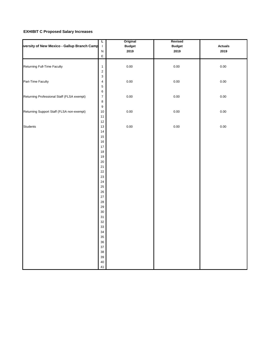#### **EXHIBIT C Proposed Salary Increases**

| versity of New Mexico - Gallup Branch Camp | L<br>$\overline{\phantom{a}}$           | Original<br><b>Budget</b> | Revised<br><b>Budget</b> | <b>Actuals</b> |
|--------------------------------------------|-----------------------------------------|---------------------------|--------------------------|----------------|
|                                            | ${\sf N}$<br>$\mathsf E$                | 2019                      | 2019                     | 2019           |
| Returning Full-Time Faculty                | $\mathbf{1}$<br>$\overline{\mathbf{c}}$ | 0.00                      | 0.00                     | 0.00           |
| Part-Time Faculty                          | 3<br>4<br>5                             | 0.00                      | 0.00                     | 0.00           |
| Returning Professional Staff (FLSA exempt) | $\,6$<br>$\overline{7}$<br>$\bf8$       | $0.00\,$                  | 0.00                     | 0.00           |
| Returning Support Staff (FLSA non-exempt)  | $\boldsymbol{9}$<br>10<br>11            | $0.00\,$                  | $0.00\,$                 | 0.00           |
| <b>Students</b>                            | 12<br>13<br>14                          | 0.00                      | 0.00                     | 0.00           |
|                                            | 15<br>16<br>17                          |                           |                          |                |
|                                            | 18<br>19<br>20                          |                           |                          |                |
|                                            | 21<br>22                                |                           |                          |                |
|                                            | 23<br>24<br>25                          |                           |                          |                |
|                                            | 26<br>27<br>28                          |                           |                          |                |
|                                            | 29<br>$30\,$<br>31                      |                           |                          |                |
|                                            | 32<br>33<br>34                          |                           |                          |                |
|                                            | 35<br>36<br>37                          |                           |                          |                |
|                                            | 38<br>39                                |                           |                          |                |
|                                            | 40<br>41                                |                           |                          |                |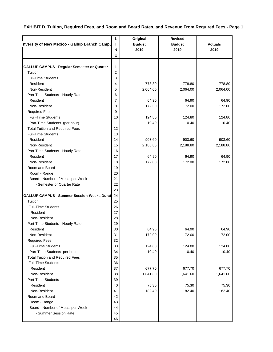#### **EXHIBIT D. Tuition, Required Fees, and Room and Board Rates, and Revenue From Required Fees - Page 1**

|                                                    | L              | Original      | <b>Revised</b> |                |
|----------------------------------------------------|----------------|---------------|----------------|----------------|
| nversity of New Mexico - Gallup Branch Campu       | $\mathbf{I}$   | <b>Budget</b> | <b>Budget</b>  | <b>Actuals</b> |
|                                                    | N              | 2019          | 2019           | 2019           |
|                                                    | E              |               |                |                |
|                                                    |                |               |                |                |
| <b>GALLUP CAMPUS - Regular Semester or Quarter</b> | $\mathbf{1}$   |               |                |                |
| Tuition                                            | $\overline{2}$ |               |                |                |
| <b>Full-Time Students</b>                          | 3              |               |                |                |
| Resident                                           | 4              | 778.80        | 778.80         | 778.80         |
| Non-Resident                                       | 5              | 2,064.00      | 2,064.00       | 2,064.00       |
| Part-Time Students - Hourly Rate                   | 6              |               |                |                |
| Resident                                           | 7              | 64.90         | 64.90          | 64.90          |
| Non-Resident                                       | 8              | 172.00        | 172.00         | 172.00         |
| <b>Required Fees</b>                               | 9              |               |                |                |
| <b>Full-Time Students</b>                          | 10             | 124.80        | 124.80         | 124.80         |
| Part-Time Students (per hour)                      | 11             | 10.40         | 10.40          | 10.40          |
| <b>Total Tuition and Required Fees</b>             | 12             |               |                |                |
| <b>Full-Time Students</b>                          | 13             |               |                |                |
| Resident                                           | 14             | 903.60        | 903.60         | 903.60         |
| Non-Resident                                       | 15             | 2,188.80      | 2,188.80       | 2,188.80       |
| Part-Time Students - Hourly Rate                   | 16             |               |                |                |
| Resident                                           | 17             | 64.90         | 64.90          | 64.90          |
| Non-Resident                                       | 18             | 172.00        | 172.00         | 172.00         |
| Room and Board                                     | 19             |               |                |                |
| Room - Range                                       | 20             |               |                |                |
| Board - Number of Meals per Week                   | 21             |               |                |                |
| - Semester or Quarter Rate                         | 22             |               |                |                |
|                                                    | 23             |               |                |                |
| <b>GALLUP CAMPUS - Summer Session-Weeks Durat</b>  | 24             |               |                |                |
| Tuition                                            | 25             |               |                |                |
| <b>Full-Time Students</b>                          | 26             |               |                |                |
| Resident                                           | 27             |               |                |                |
| Non-Resident                                       | 28             |               |                |                |
| Part-Time Students - Hourly Rate                   | 29             |               |                |                |
| Resident                                           | 30             | 64.90         | 64.90          | 64.90          |
| Non-Resident                                       | 31             | 172.00        | 172.00         | 172.00         |
| <b>Required Fees</b>                               | 32             |               |                |                |
| <b>Full-Time Students</b>                          | 33             | 124.80        | 124.80         | 124.80         |
| Part-Time Students per hour                        | 34             | 10.40         | 10.40          | 10.40          |
| <b>Total Tuition and Required Fees</b>             | 35             |               |                |                |
| <b>Full-Time Students</b>                          | 36             |               |                |                |
| Resident                                           | 37             | 677.70        | 677.70         | 677.70         |
| Non-Resident                                       | 38             | 1,641.60      | 1,641.60       | 1,641.60       |
| Part-Time Students                                 | 39             |               |                |                |
| Resident                                           | 40             | 75.30         | 75.30          | 75.30          |
| Non-Resident                                       | 41             | 182.40        | 182.40         | 182.40         |
| Room and Board                                     | 42             |               |                |                |
| Room - Range                                       | 43             |               |                |                |
| Board - Number of Meals per Week                   | 44             |               |                |                |
| - Summer Session Rate                              | 45             |               |                |                |
|                                                    | 46             |               |                |                |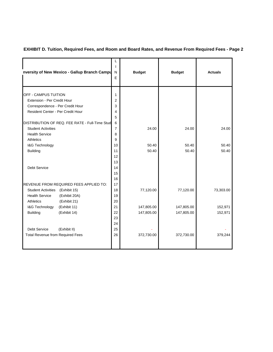#### **EXHIBIT D. Tuition, Required Fees, and Room and Board Rates, and Revenue From Required Fees - Page 2**

| nversity of New Mexico - Gallup Branch Campu   | L<br>T<br>N<br>E | <b>Budget</b> | <b>Budget</b> | <b>Actuals</b> |
|------------------------------------------------|------------------|---------------|---------------|----------------|
|                                                |                  |               |               |                |
| OFF - CAMPUS TUITION                           | 1                |               |               |                |
| Extension - Per Credit Hour                    | $\overline{2}$   |               |               |                |
| Correspondence - Per Credit Hour               | 3                |               |               |                |
| Resident Center - Per Credit Hour              | 4                |               |               |                |
|                                                | 5                |               |               |                |
| DISTRIBUTION OF REQ. FEE RATE - Full-Time Stud | 6                |               |               |                |
| <b>Student Activities</b>                      | $\overline{7}$   | 24.00         | 24.00         | 24.00          |
| <b>Health Service</b>                          | 8                |               |               |                |
| <b>Athletics</b>                               | 9                |               |               |                |
| I&G Technology                                 | 10               | 50.40         | 50.40         | 50.40          |
| <b>Building</b>                                | 11               | 50.40         | 50.40         | 50.40          |
|                                                | 12               |               |               |                |
|                                                | 13               |               |               |                |
| <b>Debt Service</b>                            | 14               |               |               |                |
|                                                | 15               |               |               |                |
|                                                | 16               |               |               |                |
| <b>REVENUE FROM REQUIRED FEES APPLIED TO:</b>  | 17               |               |               |                |
| Student Activities (Exhibit 15)                | 18               | 77,120.00     | 77,120.00     | 73,303.00      |
| <b>Health Service</b><br>(Exhibit 20A)         | 19               |               |               |                |
| <b>Athletics</b><br>(Exhibit 21)               | 20               |               |               |                |
| I&G Technology<br>(Exhibit 11)                 | 21               | 147,805.00    | 147,805.00    | 152,971        |
| <b>Building</b><br>(Exhibit 14)                | 22               | 147,805.00    | 147,805.00    | 152,971        |
|                                                | 23               |               |               |                |
|                                                | 24               |               |               |                |
| <b>Debt Service</b><br>(Exhibit II)            | 25               |               |               |                |
| Total Revenue from Required Fees               | 26               | 372,730.00    | 372,730.00    | 379,244        |
|                                                |                  |               |               |                |